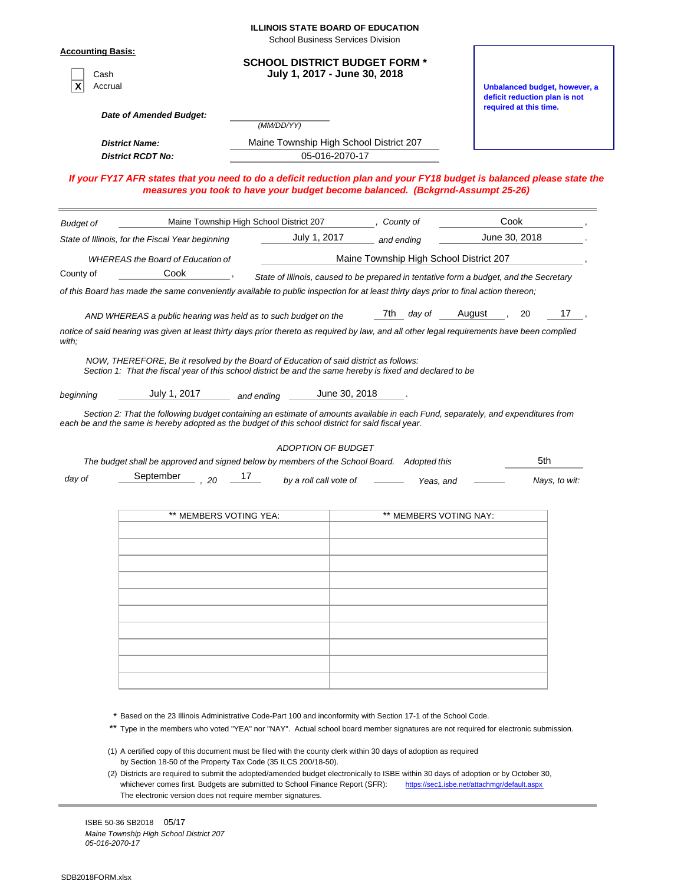|                                                                                                                                                      |                                         | <b>ILLINOIS STATE BOARD OF EDUCATION</b><br><b>School Business Services Division</b> |                                                                                                                                                                                                                                |                                                                |               |
|------------------------------------------------------------------------------------------------------------------------------------------------------|-----------------------------------------|--------------------------------------------------------------------------------------|--------------------------------------------------------------------------------------------------------------------------------------------------------------------------------------------------------------------------------|----------------------------------------------------------------|---------------|
| <b>Accounting Basis:</b><br>Cash<br>Accrual                                                                                                          |                                         | <b>SCHOOL DISTRICT BUDGET FORM *</b><br>July 1, 2017 - June 30, 2018                 |                                                                                                                                                                                                                                | Unbalanced budget, however, a<br>deficit reduction plan is not |               |
| Date of Amended Budget:                                                                                                                              |                                         |                                                                                      |                                                                                                                                                                                                                                | required at this time.                                         |               |
|                                                                                                                                                      |                                         | (MM/DD/YY)                                                                           |                                                                                                                                                                                                                                |                                                                |               |
| <b>District Name:</b><br><b>District RCDT No:</b>                                                                                                    |                                         | Maine Township High School District 207<br>05-016-2070-17                            |                                                                                                                                                                                                                                |                                                                |               |
| If your FY17 AFR states that you need to do a deficit reduction plan and your FY18 budget is balanced please state the                               |                                         |                                                                                      | measures you took to have your budget become balanced. (Bckgrnd-Assumpt 25-26)                                                                                                                                                 |                                                                |               |
| <b>Budget of</b>                                                                                                                                     | Maine Township High School District 207 |                                                                                      | , County of                                                                                                                                                                                                                    | Cook                                                           |               |
| State of Illinois, for the Fiscal Year beginning                                                                                                     |                                         | July 1, 2017                                                                         | and ending                                                                                                                                                                                                                     | June 30, 2018                                                  |               |
| <b>WHEREAS the Board of Education of</b>                                                                                                             |                                         |                                                                                      | Maine Township High School District 207                                                                                                                                                                                        |                                                                |               |
| Cook<br>County of                                                                                                                                    |                                         |                                                                                      | State of Illinois, caused to be prepared in tentative form a budget, and the Secretary                                                                                                                                         |                                                                |               |
| of this Board has made the same conveniently available to public inspection for at least thirty days prior to final action thereon;                  |                                         |                                                                                      |                                                                                                                                                                                                                                |                                                                |               |
| AND WHEREAS a public hearing was held as to such budget on the                                                                                       |                                         |                                                                                      | 7th <i>day of</i> August                                                                                                                                                                                                       |                                                                | 17<br>20      |
| notice of said hearing was given at least thirty days prior thereto as required by law, and all other legal requirements have been complied<br>with; |                                         |                                                                                      |                                                                                                                                                                                                                                |                                                                |               |
| beginning<br>each be and the same is hereby adopted as the budget of this school district for said fiscal year.<br>September<br>day of               | 17<br>$- 20$                            | July 1, 2017 and ending June 30, 2018<br>ADOPTION OF BUDGET                          | Section 2: That the following budget containing an estimate of amounts available in each Fund, separately, and expenditures from<br>The budget shall be approved and signed below by members of the School Board. Adopted this |                                                                | 5th           |
|                                                                                                                                                      |                                         | by a roll call vote of                                                               | Yeas, and                                                                                                                                                                                                                      |                                                                | Nays, to wit: |
|                                                                                                                                                      | ** MEMBERS VOTING YEA:                  |                                                                                      | ** MEMBERS VOTING NAY:                                                                                                                                                                                                         |                                                                |               |
|                                                                                                                                                      |                                         |                                                                                      |                                                                                                                                                                                                                                |                                                                |               |
|                                                                                                                                                      |                                         |                                                                                      |                                                                                                                                                                                                                                |                                                                |               |
|                                                                                                                                                      |                                         |                                                                                      |                                                                                                                                                                                                                                |                                                                |               |
|                                                                                                                                                      |                                         |                                                                                      |                                                                                                                                                                                                                                |                                                                |               |

| 2) Districts are required to submit the adopted/amended budget electromcally to TODE Within JO days or adoption by October JW |                                              |
|-------------------------------------------------------------------------------------------------------------------------------|----------------------------------------------|
| whichever comes first. Budgets are submitted to School Finance Report (SFR):                                                  | https://sec1.jsbe.net/attachmgr/default.aspx |
| The electronic version does not require member signatures.                                                                    |                                              |

ISBE 50-36 SB2018 05/17 *Maine Township High School District 207 05-016-2070-17*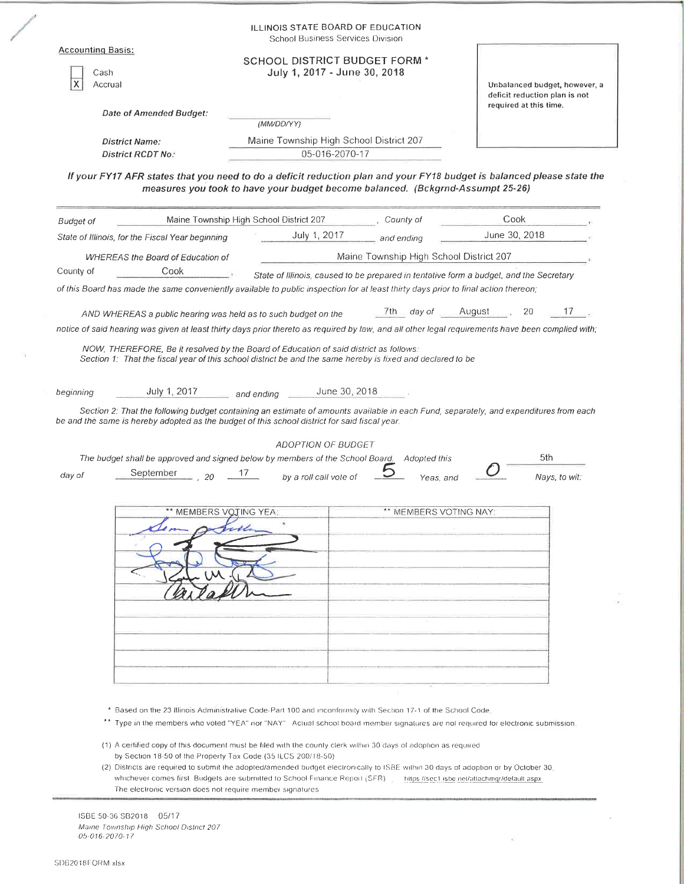| Cash<br>X<br>Accrual | Date of Amended Budget:                                                                                                                     | <b>SCHOOL DISTRICT BUDGET FORM *</b>                                           | July 1, 2017 - June 30, 2018        |                                         | Unbalanced budget, however, a<br>deficit reduction plan is not<br>required at this time.                                              |
|----------------------|---------------------------------------------------------------------------------------------------------------------------------------------|--------------------------------------------------------------------------------|-------------------------------------|-----------------------------------------|---------------------------------------------------------------------------------------------------------------------------------------|
|                      | <b>District Name:</b><br><b>District RCDT No:</b>                                                                                           | (MM/DD/YY)<br>Maine Township High School District 207                          | 05-016-2070-17                      |                                         |                                                                                                                                       |
|                      |                                                                                                                                             | measures you took to have your budget become balanced. (Bckgrnd-Assumpt 25-26) |                                     |                                         | If your FY17 AFR states that you need to do a deficit reduction plan and your FY18 budget is balanced please state the                |
| <b>Budget of</b>     |                                                                                                                                             | Maine Township High School District 207                                        |                                     | County of                               | Cook                                                                                                                                  |
|                      | State of Illinois, for the Fiscal Year beginning                                                                                            | July 1, 2017                                                                   |                                     | and ending                              | June 30, 2018                                                                                                                         |
|                      | <b>WHEREAS the Board of Education of</b>                                                                                                    |                                                                                |                                     | Maine Township High School District 207 |                                                                                                                                       |
| County of            | Cook<br>of this Board has made the same conveniently available to public inspection for at least thirty days prior to final action thereon; |                                                                                |                                     |                                         | State of Illinois, caused to be prepared in tentative form a budget, and the Secretary                                                |
|                      | AND WHEREAS a public hearing was held as to such budget on the                                                                              |                                                                                |                                     | /th day of                              | 17<br>August<br>20                                                                                                                    |
| beginning            | July 1, 2017<br>be and the same is hereby adopted as the budget of this school district for said fiscal year.                               | and ending                                                                     | June 30, 2018<br>ADOPTION OF BUDGET |                                         | Section 2: That the following budget containing an estimate of amounts available in each Fund, separately, and expenditures from each |
|                      | The budget shall be approved and signed below by members of the School Board.                                                               |                                                                                |                                     | Adopted this                            | 5th                                                                                                                                   |
| day of               | September<br>20                                                                                                                             | 1/<br>by a roll call vole of                                                   |                                     | Yeas, and                               | Nays, to wit:                                                                                                                         |
|                      | ** MEMBERS VOTING YEA:                                                                                                                      | exte                                                                           |                                     | ** MEMBERS VOTING NAY:                  |                                                                                                                                       |

(2) Districts are required to submit the adopted/amended budget electronically to ISBE within 30 days of adoption or by October 30. whichever comes first. Budgets are submitted to School Finance Report (SFR) https://sec1.jsbe.net/atlachmgr/default.aspx The electronic version does not require member signatures.

 $\tilde{\nu}$ 

 $\frac{1}{2} \sum_{i=1}^n \frac{1}{2}$ 

ISBE 50-36 SB2018 05/17 Maine Township High School District 207 05-016-2070-17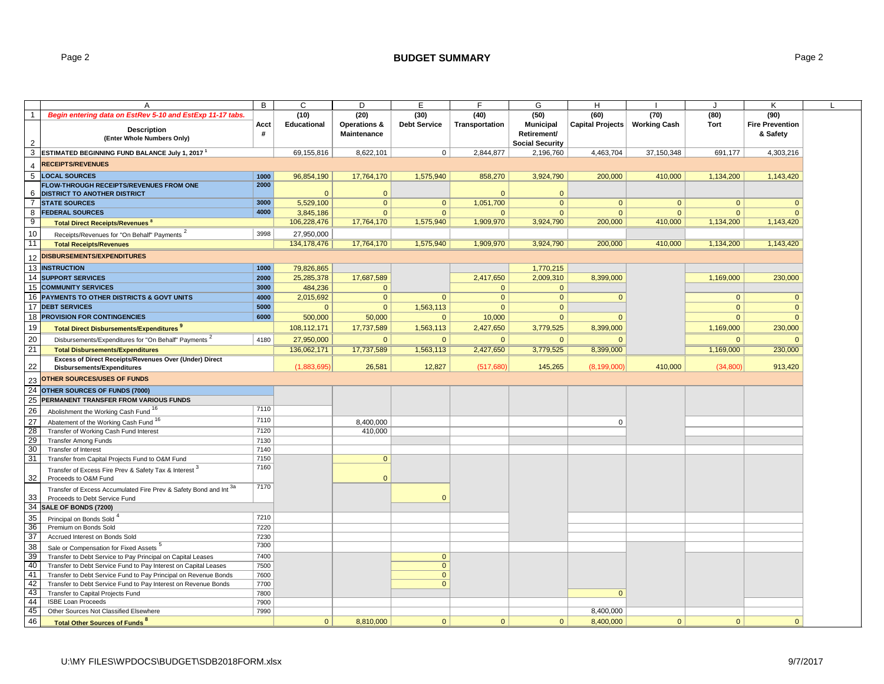### Page 2 **BUDGET SUMMARY** Page 2

| A                                                                           | B            | $\overline{c}$     | D                  | E                   | F.             | G                      | H                |                     | $\cdot$      | Κ                      |
|-----------------------------------------------------------------------------|--------------|--------------------|--------------------|---------------------|----------------|------------------------|------------------|---------------------|--------------|------------------------|
| $\overline{1}$<br>Begin entering data on EstRev 5-10 and EstExp 11-17 tabs. |              | (10)               | (20)               | (30)                | (40)           | (50)                   | (60)             | (70)                | (80)         | (90)                   |
|                                                                             | Acct         | <b>Educational</b> | Operations &       | <b>Debt Service</b> | Transportation | <b>Municipal</b>       | Capital Projects | <b>Working Cash</b> | <b>Tort</b>  | <b>Fire Prevention</b> |
| <b>Description</b>                                                          | #            |                    | <b>Maintenance</b> |                     |                | Retirement/            |                  |                     |              | & Safety               |
| (Enter Whole Numbers Only)<br>2                                             |              |                    |                    |                     |                | <b>Social Security</b> |                  |                     |              |                        |
| 3<br><b>ESTIMATED BEGINNING FUND BALANCE July 1, 2017<sup>1</sup></b>       |              | 69,155,816         | 8,622,101          | $\mathbf 0$         | 2,844,877      | 2,196,760              | 4,463,704        | 37,150,348          | 691,177      | 4,303,216              |
| <b>RECEIPTS/REVENUES</b><br>$\overline{4}$                                  |              |                    |                    |                     |                |                        |                  |                     |              |                        |
| $\overline{5}$<br><b>LOCAL SOURCES</b>                                      | 1000         | 96,854,190         | 17,764,170         | 1,575,940           | 858,270        | 3,924,790              | 200,000          | 410,000             | 1,134,200    | 1,143,420              |
| FLOW-THROUGH RECEIPTS/REVENUES FROM ONE                                     | 2000         |                    |                    |                     |                |                        |                  |                     |              |                        |
| 6<br><b>DISTRICT TO ANOTHER DISTRICT</b>                                    |              | $\Omega$           | $\mathbf{0}$       |                     | $\Omega$       | $\mathbf{0}$           |                  |                     |              |                        |
| $\overline{7}$<br><b>STATE SOURCES</b>                                      | 3000         | 5,529,100          | $\mathbf{0}$       | $\mathbf{0}$        | 1,051,700      | $\mathbf{0}$           | $\mathbf{0}$     | $\mathbf{0}$        | $\mathbf{0}$ | $\mathbf{0}$           |
| 8<br><b>FEDERAL SOURCES</b>                                                 | 4000         | 3,845,186          | $\Omega$           | $\Omega$            | $\Omega$       | $\Omega$               | $\Omega$         | $\mathbf{0}$        | $\mathbf{0}$ | $\Omega$               |
| 9<br><b>Total Direct Receipts/Revenues 8</b>                                |              | 106,228,476        | 17,764,170         | 1,575,940           | 1,909,970      | 3,924,790              | 200,000          | 410,000             | 1,134,200    | 1,143,420              |
| 10<br>Receipts/Revenues for "On Behalf" Payments <sup>2</sup>               | 3998         | 27,950,000         |                    |                     |                |                        |                  |                     |              |                        |
| 11<br><b>Total Receipts/Revenues</b>                                        |              | 134, 178, 476      | 17,764,170         | 1,575,940           | 1,909,970      | 3,924,790              | 200,000          | 410,000             | 1,134,200    | 1,143,420              |
| <b>DISBURSEMENTS/EXPENDITURES</b>                                           |              |                    |                    |                     |                |                        |                  |                     |              |                        |
| 12                                                                          |              |                    |                    |                     |                |                        |                  |                     |              |                        |
| 13<br><b>INSTRUCTION</b>                                                    | 1000         | 79,826,865         |                    |                     |                | 1,770,215              |                  |                     |              |                        |
| 14<br><b>SUPPORT SERVICES</b>                                               | 2000         | 25,285,378         | 17,687,589         |                     | 2,417,650      | 2,009,310              | 8,399,000        |                     | 1,169,000    | 230,000                |
| 15<br><b>COMMUNITY SERVICES</b>                                             | 3000         | 484,236            | $\mathbf{0}$       |                     | $\mathbf{0}$   | $\mathbf{0}$           |                  |                     |              |                        |
| 16<br>PAYMENTS TO OTHER DISTRICTS & GOVT UNITS                              | 4000         | 2,015,692          | $\Omega$           | $\Omega$            | $\mathbf{0}$   | $\overline{0}$         | $\mathbf{0}$     |                     | $\mathbf{0}$ | $\mathbf{0}$           |
| 17<br><b>DEBT SERVICES</b>                                                  | 5000         | $\Omega$           | $\Omega$           | 1,563,113           | $\mathbf{0}$   | $\overline{0}$         |                  |                     | $\mathbf{0}$ | $\mathbf{0}$           |
| 18<br>PROVISION FOR CONTINGENCIES                                           | 6000         | 500,000            | 50,000             | $\Omega$            | 10,000         | $\Omega$               | $\Omega$         |                     | $\Omega$     | $\mathbf{0}$           |
| 19<br>Total Direct Disbursements/Expenditures 9                             |              | 108,112,171        | 17,737,589         | 1,563,113           | 2,427,650      | 3,779,525              | 8,399,000        |                     | 1,169,000    | 230,000                |
| 20<br>Disbursements/Expenditures for "On Behalf" Payments '                 | 4180         | 27,950,000         | $\Omega$           | $\Omega$            | $\Omega$       | $\Omega$               | $\Omega$         |                     | $\mathbf{0}$ | $\Omega$               |
| 21<br><b>Total Disbursements/Expenditures</b>                               |              | 136,062,171        | 17,737,589         | 1,563,113           | 2,427,650      | 3,779,525              | 8,399,000        |                     | 1,169,000    | 230,000                |
| Excess of Direct Receipts/Revenues Over (Under) Direct                      |              |                    |                    |                     |                |                        |                  |                     |              |                        |
| 22<br>Disbursements/Expenditures                                            |              | (1,883,695)        | 26,581             | 12,827              | (517,680)      | 145,265                | (8, 199, 000)    | 410,000             | (34, 800)    | 913,420                |
| <b>OTHER SOURCES/USES OF FUNDS</b><br>23                                    |              |                    |                    |                     |                |                        |                  |                     |              |                        |
| 24<br>OTHER SOURCES OF FUNDS (7000)                                         |              |                    |                    |                     |                |                        |                  |                     |              |                        |
| 25<br>PERMANENT TRANSFER FROM VARIOUS FUNDS                                 |              |                    |                    |                     |                |                        |                  |                     |              |                        |
| 26<br>Abolishment the Working Cash Fund 16                                  | 7110         |                    |                    |                     |                |                        |                  |                     |              |                        |
| Abatement of the Working Cash Fund 16                                       | 7110         |                    | 8,400,000          |                     |                |                        | $\mathbf 0$      |                     |              |                        |
| $\frac{27}{28}$<br>Transfer of Working Cash Fund Interest                   | 7120         |                    | 410,000            |                     |                |                        |                  |                     |              |                        |
| 29<br><b>Transfer Among Funds</b>                                           | 7130         |                    |                    |                     |                |                        |                  |                     |              |                        |
| 30<br>Transfer of Interest                                                  | 7140         |                    |                    |                     |                |                        |                  |                     |              |                        |
| 31<br>Transfer from Capital Projects Fund to O&M Fund                       | 7150         |                    | $\mathbf{0}$       |                     |                |                        |                  |                     |              |                        |
| Transfer of Excess Fire Prev & Safety Tax & Interest 3                      | 7160         |                    |                    |                     |                |                        |                  |                     |              |                        |
| 32<br>Proceeds to O&M Fund                                                  |              |                    | $\Omega$           |                     |                |                        |                  |                     |              |                        |
| Transfer of Excess Accumulated Fire Prev & Safety Bond and Int 3a           | 7170         |                    |                    |                     |                |                        |                  |                     |              |                        |
| 33<br>Proceeds to Debt Service Fund                                         |              |                    |                    | $\Omega$            |                |                        |                  |                     |              |                        |
| 34<br>SALE OF BONDS (7200)                                                  |              |                    |                    |                     |                |                        |                  |                     |              |                        |
| 35<br>Principal on Bonds Sold <sup>4</sup>                                  | 7210         |                    |                    |                     |                |                        |                  |                     |              |                        |
| 36<br>Premium on Bonds Sold                                                 | 7220         |                    |                    |                     |                |                        |                  |                     |              |                        |
| $\frac{37}{37}$<br>Accrued Interest on Bonds Sold                           | 7230         |                    |                    |                     |                |                        |                  |                     |              |                        |
| 38<br>Sale or Compensation for Fixed Assets <sup>5</sup>                    | 7300         |                    |                    |                     |                |                        |                  |                     |              |                        |
| 39<br>Transfer to Debt Service to Pay Principal on Capital Leases           | 7400         |                    |                    | $\mathbf{0}$        |                |                        |                  |                     |              |                        |
| 40<br>Transfer to Debt Service Fund to Pay Interest on Capital Leases       | 7500         |                    |                    | $\mathbf{0}$        |                |                        |                  |                     |              |                        |
| 41<br>Transfer to Debt Service Fund to Pay Principal on Revenue Bonds       | 7600         |                    |                    | $\mathbf{0}$        |                |                        |                  |                     |              |                        |
| -42<br>Transfer to Debt Service Fund to Pay Interest on Revenue Bonds       | 7700         |                    |                    | $\mathbf{0}$        |                |                        |                  |                     |              |                        |
| 43<br>Transfer to Capital Projects Fund<br>44                               | 7800         |                    |                    |                     |                |                        | $\mathbf{0}$     |                     |              |                        |
| <b>ISBE Loan Proceeds</b><br>45<br>Other Sources Not Classified Elsewhere   | 7900<br>7990 |                    |                    |                     |                |                        | 8.400.000        |                     |              |                        |
| 46                                                                          |              | $\mathbf{0}$       |                    | $\Omega$            | $\mathbf{0}$   |                        |                  | $\mathbf{0}$        | $\mathbf{0}$ | $\Omega$               |
| <b>Total Other Sources of Funds<sup>8</sup></b>                             |              |                    | 8,810,000          |                     |                | $\mathbf{0}$           | 8,400,000        |                     |              |                        |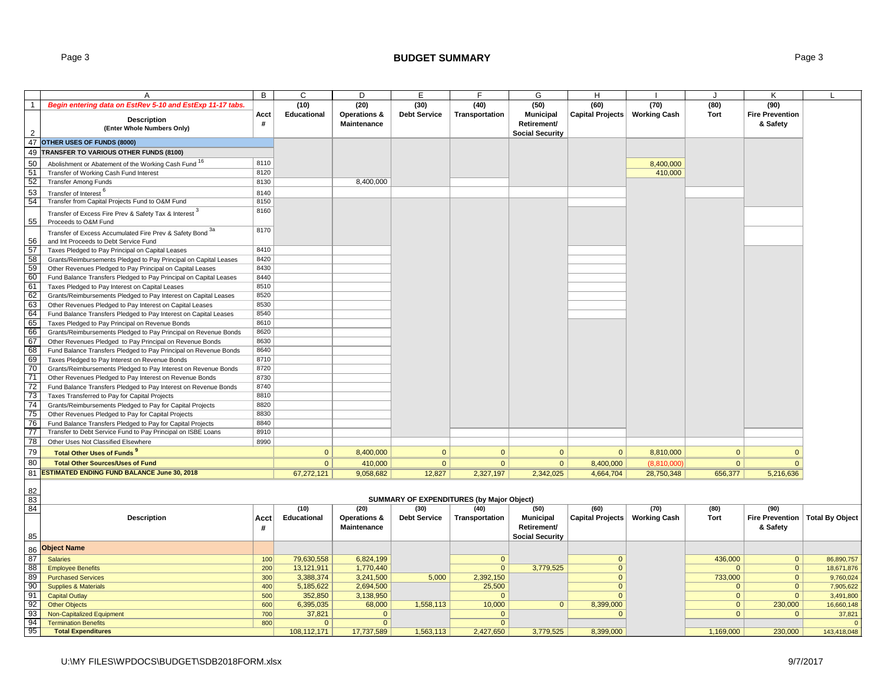## Page 3 **BUDGET SUMMARY** Page 3

|              | A                                                                                                                          | B            | C                             | D                              | Е                   | F                                                | G                      | н                       |                     | J              | κ                                 |                      |
|--------------|----------------------------------------------------------------------------------------------------------------------------|--------------|-------------------------------|--------------------------------|---------------------|--------------------------------------------------|------------------------|-------------------------|---------------------|----------------|-----------------------------------|----------------------|
| $\mathbf{1}$ | Begin entering data on EstRev 5-10 and EstExp 11-17 tabs.                                                                  |              | (10)                          | (20)                           | (30)                | (40)                                             | (50)                   | (60)                    | (70)                | (80)           | (90)                              |                      |
|              |                                                                                                                            | Acct         | Educational                   | Operations &                   | <b>Debt Service</b> | Transportation                                   | <b>Municipal</b>       | Capital Projects        | <b>Working Cash</b> | Tort           | <b>Fire Prevention</b>            |                      |
|              | <b>Description</b><br>(Enter Whole Numbers Only)                                                                           | #            |                               | Maintenance                    |                     |                                                  | Retirement/            |                         |                     |                | & Safety                          |                      |
| 2            |                                                                                                                            |              |                               |                                |                     |                                                  | <b>Social Security</b> |                         |                     |                |                                   |                      |
|              | 47 OTHER USES OF FUNDS (8000)                                                                                              |              |                               |                                |                     |                                                  |                        |                         |                     |                |                                   |                      |
| 49           | TRANSFER TO VARIOUS OTHER FUNDS (8100)                                                                                     |              |                               |                                |                     |                                                  |                        |                         |                     |                |                                   |                      |
| 50           | Abolishment or Abatement of the Working Cash Fund 16                                                                       | 8110         |                               |                                |                     |                                                  |                        |                         | 8,400,000           |                |                                   |                      |
| 51           | Transfer of Working Cash Fund Interest                                                                                     | 8120         |                               |                                |                     |                                                  |                        |                         | 410,000             |                |                                   |                      |
| 52           | <b>Transfer Among Funds</b>                                                                                                | 8130         |                               | 8,400,000                      |                     |                                                  |                        |                         |                     |                |                                   |                      |
| 53           | Transfer of Interest                                                                                                       | 8140         |                               |                                |                     |                                                  |                        |                         |                     |                |                                   |                      |
| 54           | Transfer from Capital Projects Fund to O&M Fund                                                                            | 8150         |                               |                                |                     |                                                  |                        |                         |                     |                |                                   |                      |
|              | Transfer of Excess Fire Prev & Safety Tax & Interest 3                                                                     | 8160         |                               |                                |                     |                                                  |                        |                         |                     |                |                                   |                      |
| 55           | Proceeds to O&M Fund                                                                                                       |              |                               |                                |                     |                                                  |                        |                         |                     |                |                                   |                      |
|              | Transfer of Excess Accumulated Fire Prev & Safety Bond <sup>34</sup>                                                       | 8170         |                               |                                |                     |                                                  |                        |                         |                     |                |                                   |                      |
| 56           | and Int Proceeds to Debt Service Fund                                                                                      |              |                               |                                |                     |                                                  |                        |                         |                     |                |                                   |                      |
| 57           | Taxes Pledged to Pay Principal on Capital Leases                                                                           | 8410         |                               |                                |                     |                                                  |                        |                         |                     |                |                                   |                      |
| 58           | Grants/Reimbursements Pledged to Pay Principal on Capital Leases                                                           | 8420         |                               |                                |                     |                                                  |                        |                         |                     |                |                                   |                      |
| 59<br>60     | Other Revenues Pledged to Pay Principal on Capital Leases                                                                  | 8430<br>8440 |                               |                                |                     |                                                  |                        |                         |                     |                |                                   |                      |
| 61           | Fund Balance Transfers Pledged to Pay Principal on Capital Leases<br>Taxes Pledged to Pay Interest on Capital Leases       | 8510         |                               |                                |                     |                                                  |                        |                         |                     |                |                                   |                      |
| 62           | Grants/Reimbursements Pledged to Pay Interest on Capital Leases                                                            | 8520         |                               |                                |                     |                                                  |                        |                         |                     |                |                                   |                      |
| 63           | Other Revenues Pledged to Pay Interest on Capital Leases                                                                   | 8530         |                               |                                |                     |                                                  |                        |                         |                     |                |                                   |                      |
| 64           | Fund Balance Transfers Pledged to Pay Interest on Capital Leases                                                           | 8540         |                               |                                |                     |                                                  |                        |                         |                     |                |                                   |                      |
| 65           | Taxes Pledged to Pay Principal on Revenue Bonds                                                                            | 8610         |                               |                                |                     |                                                  |                        |                         |                     |                |                                   |                      |
| 66           | Grants/Reimbursements Pledged to Pay Principal on Revenue Bonds                                                            | 8620         |                               |                                |                     |                                                  |                        |                         |                     |                |                                   |                      |
| 67           | Other Revenues Pledged to Pay Principal on Revenue Bonds                                                                   | 8630         |                               |                                |                     |                                                  |                        |                         |                     |                |                                   |                      |
| 68           | Fund Balance Transfers Pledged to Pay Principal on Revenue Bonds                                                           | 8640         |                               |                                |                     |                                                  |                        |                         |                     |                |                                   |                      |
| 69           | Taxes Pledged to Pay Interest on Revenue Bonds                                                                             | 8710         |                               |                                |                     |                                                  |                        |                         |                     |                |                                   |                      |
| 70           | Grants/Reimbursements Pledged to Pay Interest on Revenue Bonds                                                             | 8720         |                               |                                |                     |                                                  |                        |                         |                     |                |                                   |                      |
| 71           | Other Revenues Pledged to Pay Interest on Revenue Bonds                                                                    | 8730         |                               |                                |                     |                                                  |                        |                         |                     |                |                                   |                      |
| 72           | Fund Balance Transfers Pledged to Pay Interest on Revenue Bonds                                                            | 8740         |                               |                                |                     |                                                  |                        |                         |                     |                |                                   |                      |
| 73           | Taxes Transferred to Pay for Capital Projects                                                                              | 8810         |                               |                                |                     |                                                  |                        |                         |                     |                |                                   |                      |
| 74<br>75     | Grants/Reimbursements Pledged to Pay for Capital Projects                                                                  | 8820<br>8830 |                               |                                |                     |                                                  |                        |                         |                     |                |                                   |                      |
| 76           | Other Revenues Pledged to Pay for Capital Projects                                                                         | 8840         |                               |                                |                     |                                                  |                        |                         |                     |                |                                   |                      |
| 77           | Fund Balance Transfers Pledged to Pay for Capital Projects<br>Transfer to Debt Service Fund to Pay Principal on ISBE Loans | 8910         |                               |                                |                     |                                                  |                        |                         |                     |                |                                   |                      |
| 78           | Other Uses Not Classified Elsewhere                                                                                        | 8990         |                               |                                |                     |                                                  |                        |                         |                     |                |                                   |                      |
| 79           | Total Other Uses of Funds                                                                                                  |              | $\mathbf{0}$                  | 8,400,000                      | $\mathbf{0}$        | $\mathbf{0}$                                     | $\mathbf{0}$           | $\mathbf{0}$            | 8,810,000           | $\overline{0}$ | $\mathbf{0}$                      |                      |
| 80           |                                                                                                                            |              | $\mathbf{0}$                  | 410,000                        | $\mathbf{0}$        | $\mathbf{0}$                                     | $\mathbf{0}$           | 8,400,000               | (8,810,000)         | $\mathbf{0}$   | $\mathbf{0}$                      |                      |
|              | <b>Total Other Sources/Uses of Fund</b><br>81 ESTIMATED ENDING FUND BALANCE June 30, 2018                                  |              |                               |                                |                     |                                                  |                        |                         |                     |                |                                   |                      |
|              |                                                                                                                            |              | 67,272,121                    | 9,058,682                      | 12,827              | 2,327,197                                        | 2,342,025              | 4,664,704               | 28,750,348          | 656,377        | 5,216,636                         |                      |
| 82           |                                                                                                                            |              |                               |                                |                     |                                                  |                        |                         |                     |                |                                   |                      |
| 83           |                                                                                                                            |              |                               |                                |                     | <b>SUMMARY OF EXPENDITURES (by Major Object)</b> |                        |                         |                     |                |                                   |                      |
| 84           |                                                                                                                            |              | (10)                          | (20)                           | (30)                | (40)                                             | (50)                   | (60)                    | (70)                | (80)           | (90)                              |                      |
|              | <b>Description</b>                                                                                                         | Acct         | Educational                   | Operations &                   | <b>Debt Service</b> | Transportation                                   | <b>Municipal</b>       | <b>Capital Projects</b> | <b>Working Cash</b> | Tort           | Fire Prevention   Total By Object |                      |
|              |                                                                                                                            | #            |                               | Maintenance                    |                     |                                                  | Retirement/            |                         |                     |                | & Safety                          |                      |
| 85           |                                                                                                                            |              |                               |                                |                     |                                                  | <b>Social Security</b> |                         |                     |                |                                   |                      |
| 86           | <b>Object Name</b>                                                                                                         |              |                               |                                |                     |                                                  |                        |                         |                     |                |                                   |                      |
| 87           | <b>Salaries</b>                                                                                                            | 100          | 79,630,558                    | 6,824,199                      |                     | $\mathbf{0}$                                     |                        | $\mathbf{0}$            |                     | 436,000        | $\overline{0}$                    | 86,890,757           |
| 88           | <b>Employee Benefits</b>                                                                                                   | 200          | 13,121,911                    | 1,770,440                      |                     | $\mathbf{0}$                                     | 3,779,525              | $\mathbf{0}$            |                     | $\Omega$       | 0                                 | 18,671,876           |
| 89           | <b>Purchased Services</b>                                                                                                  | 300          | 3,388,374                     | 3,241,500                      | 5,000               | 2,392,150                                        |                        | $\mathbf{0}$            |                     | 733,000        | $\overline{0}$                    | 9,760,024            |
| 90           | <b>Supplies &amp; Materials</b>                                                                                            | 400          | 5,185,622                     | 2,694,500                      |                     | 25,500                                           |                        | $\mathbf{0}$            |                     | $\Omega$       | $\mathbf{0}$                      | 7,905,622            |
| 91           | <b>Capital Outlay</b>                                                                                                      | 500          | 352,850                       | 3,138,950                      |                     | $\Omega$                                         |                        | $\mathbf{0}$            |                     | $\Omega$       | $\mathbf{0}$                      | 3,491,800            |
| 92           | <b>Other Objects</b>                                                                                                       | 600          | 6,395,035                     | 68,000                         | 1,558,113           | 10,000                                           | $\mathbf{0}$           | 8,399,000               |                     | $\mathbf{0}$   | 230,000                           | 16,660,148           |
| 93<br>94     | <b>Non-Capitalized Equipment</b>                                                                                           | 700          | 37,821                        | $\overline{0}$<br>$\mathbf{0}$ |                     | $\overline{0}$                                   |                        | $\Omega$                |                     | $\Omega$       | $\overline{0}$                    | 37,821<br>$\sqrt{ }$ |
| 95           | <b>Termination Benefits</b><br><b>Total Expenditures</b>                                                                   | 800          | $\overline{0}$<br>108,112,171 | 17,737,589                     | 1,563,113           | $\mathbf{0}$<br>2,427,650                        | 3,779,525              | 8,399,000               |                     | 1,169,000      | 230,000                           | 143,418,048          |
|              |                                                                                                                            |              |                               |                                |                     |                                                  |                        |                         |                     |                |                                   |                      |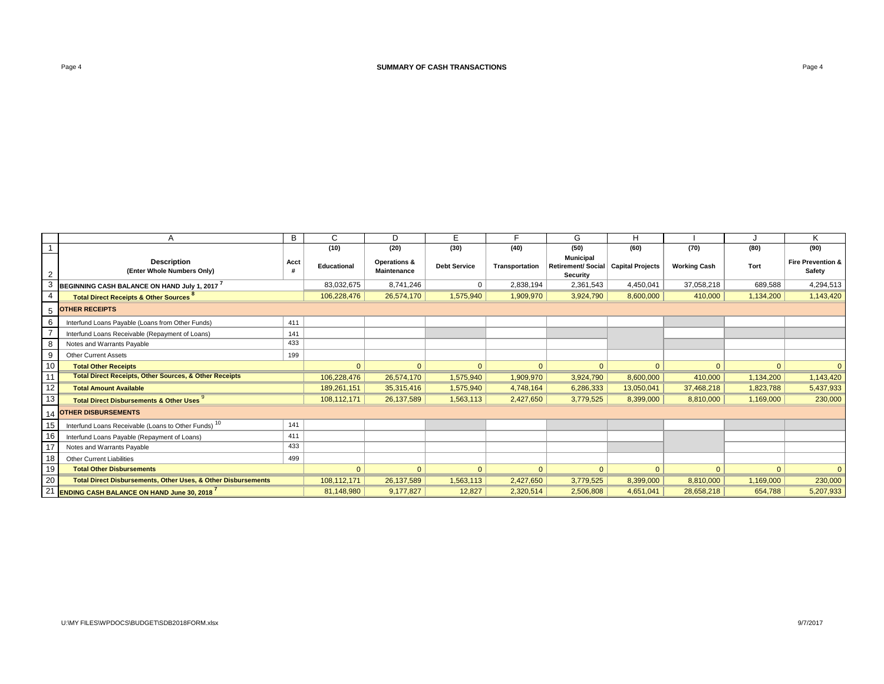|                |                                                                          | в    | C            | <sub>D</sub>                       |                     |                | G                                                                     |              |                     |           |                                        |
|----------------|--------------------------------------------------------------------------|------|--------------|------------------------------------|---------------------|----------------|-----------------------------------------------------------------------|--------------|---------------------|-----------|----------------------------------------|
|                |                                                                          |      | (10)         | (20)                               | (30)                | (40)           | (50)                                                                  | (60)         | (70)                | (80)      | (90)                                   |
| $\overline{2}$ | <b>Description</b><br>(Enter Whole Numbers Only)                         | Acct | Educational  | Operations &<br><b>Maintenance</b> | <b>Debt Service</b> | Transportation | <b>Municipal</b><br>Retirement/ Social   Capital Projects<br>Security |              | <b>Working Cash</b> | Tort      | <b>Fire Prevention &amp;</b><br>Safety |
| 3              | BEGINNING CASH BALANCE ON HAND July 1, 2017                              |      | 83,032,675   | 8,741,246                          | 0                   | 2,838,194      | 2,361,543                                                             | 4,450,041    | 37,058,218          | 689,588   | 4,294,513                              |
|                | <b>Total Direct Receipts &amp; Other Sources</b>                         |      | 106,228,476  | 26,574,170                         | 1,575,940           | 1,909,970      | 3,924,790                                                             | 8,600,000    | 410,000             | 1,134,200 | 1,143,420                              |
| 5              | <b>OTHER RECEIPTS</b>                                                    |      |              |                                    |                     |                |                                                                       |              |                     |           |                                        |
| 6              | Interfund Loans Payable (Loans from Other Funds)                         | 411  |              |                                    |                     |                |                                                                       |              |                     |           |                                        |
|                | Interfund Loans Receivable (Repayment of Loans)                          | 141  |              |                                    |                     |                |                                                                       |              |                     |           |                                        |
| 8              | Notes and Warrants Payable                                               | 433  |              |                                    |                     |                |                                                                       |              |                     |           |                                        |
| 9              | <b>Other Current Assets</b>                                              | 199  |              |                                    |                     |                |                                                                       |              |                     |           |                                        |
| 10             | <b>Total Other Receipts</b>                                              |      | $\Omega$     | $\Omega$                           | $\Omega$            | $\Omega$       | $\mathbf{0}$                                                          | $\Omega$     | $\Omega$            | $\Omega$  | $\Omega$                               |
| 11             | <b>Total Direct Receipts, Other Sources, &amp; Other Receipts</b>        |      | 106,228,476  | 26,574,170                         | 1,575,940           | 1,909,970      | 3,924,790                                                             | 8,600,000    | 410,000             | 1,134,200 | 1,143,420                              |
| 12             | <b>Total Amount Available</b>                                            |      | 189,261,151  | 35,315,416                         | 1,575,940           | 4,748,164      | 6,286,333                                                             | 13,050,041   | 37,468,218          | 1,823,788 | 5,437,933                              |
| 13             | <b>Total Direct Disbursements &amp; Other Uses</b>                       |      | 108.112.171  | 26,137,589                         | 1,563,113           | 2,427,650      | 3,779,525                                                             | 8,399,000    | 8,810,000           | 1,169,000 | 230,000                                |
|                | <b>OTHER DISBURSEMENTS</b>                                               |      |              |                                    |                     |                |                                                                       |              |                     |           |                                        |
| 15             | Interfund Loans Receivable (Loans to Other Funds) <sup>10</sup>          | 141  |              |                                    |                     |                |                                                                       |              |                     |           |                                        |
| 16             | Interfund Loans Payable (Repayment of Loans)                             | 411  |              |                                    |                     |                |                                                                       |              |                     |           |                                        |
| 17             | Notes and Warrants Payable                                               | 433  |              |                                    |                     |                |                                                                       |              |                     |           |                                        |
| 18             | <b>Other Current Liabilities</b>                                         | 499  |              |                                    |                     |                |                                                                       |              |                     |           |                                        |
| 19             | <b>Total Other Disbursements</b>                                         |      | $\mathbf{0}$ | $\Omega$                           | $\Omega$            | $\mathbf{0}$   | $\overline{0}$                                                        | $\mathbf{0}$ | $\Omega$            | $\Omega$  | $\Omega$                               |
| 20             | <b>Total Direct Disbursements, Other Uses, &amp; Other Disbursements</b> |      | 108,112,171  | 26,137,589                         | 1,563,113           | 2,427,650      | 3,779,525                                                             | 8,399,000    | 8,810,000           | 1,169,000 | 230,000                                |
| 21             | <b>ENDING CASH BALANCE ON HAND June 30, 2018</b>                         |      | 81,148,980   | 9,177,827                          | 12,827              | 2,320,514      | 2,506,808                                                             | 4,651,041    | 28,658,218          | 654.788   | 5,207,933                              |

┱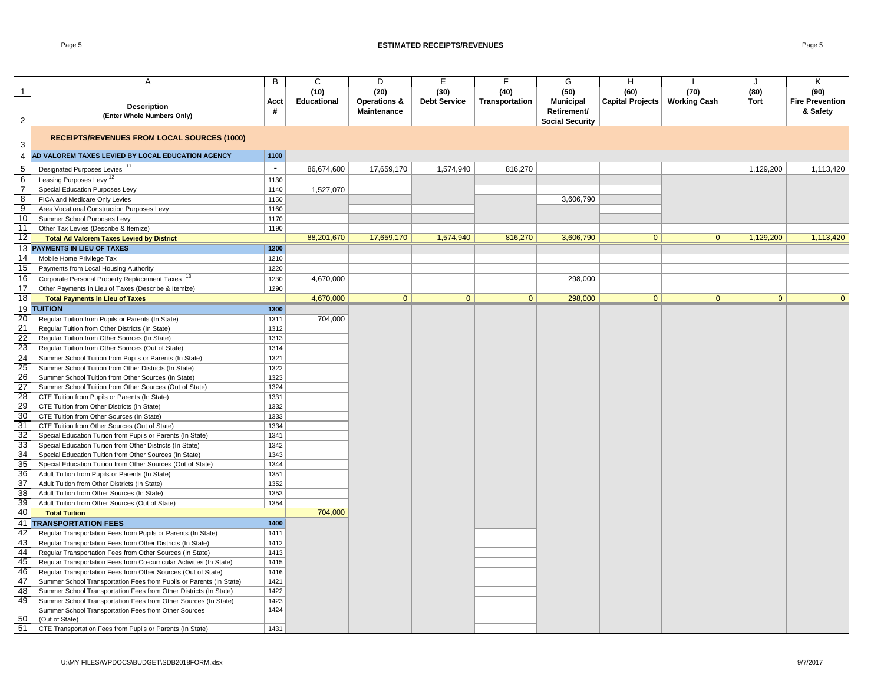#### Page 5 **ESTIMATED RECEIPTS/REVENUES** Page 5

|                         | A                                                                    | B      | C           | D            | E                   | F.             | G                      | H                |                     | $\cdot$      | K                      |
|-------------------------|----------------------------------------------------------------------|--------|-------------|--------------|---------------------|----------------|------------------------|------------------|---------------------|--------------|------------------------|
| $\overline{1}$          |                                                                      |        | (10)        | (20)         | (30)                | (40)           | (50)                   | (60)             | (70)                | (80)         | (90)                   |
|                         | <b>Description</b>                                                   | Acct   | Educational | Operations & | <b>Debt Service</b> | Transportation | <b>Municipal</b>       | Capital Projects | <b>Working Cash</b> | Tort         | <b>Fire Prevention</b> |
|                         | (Enter Whole Numbers Only)                                           | #      |             | Maintenance  |                     |                | Retirement/            |                  |                     |              | & Safety               |
| $\overline{2}$          |                                                                      |        |             |              |                     |                | <b>Social Security</b> |                  |                     |              |                        |
| $\mathbf{3}$            | <b>RECEIPTS/REVENUES FROM LOCAL SOURCES (1000)</b>                   |        |             |              |                     |                |                        |                  |                     |              |                        |
| 4                       | AD VALOREM TAXES LEVIED BY LOCAL EDUCATION AGENCY                    | 1100   |             |              |                     |                |                        |                  |                     |              |                        |
|                         |                                                                      | $\sim$ |             |              |                     |                |                        |                  |                     |              |                        |
| $\,$ 5 $\,$             | Designated Purposes Levies <sup>11</sup>                             |        | 86,674,600  | 17,659,170   | 1,574,940           | 816,270        |                        |                  |                     | 1,129,200    | 1,113,420              |
| 6                       | Leasing Purposes Levy <sup>12</sup>                                  | 1130   |             |              |                     |                |                        |                  |                     |              |                        |
| $\overline{7}$          | Special Education Purposes Levy                                      | 1140   | 1,527,070   |              |                     |                |                        |                  |                     |              |                        |
| $\overline{\mathbf{8}}$ | FICA and Medicare Only Levies                                        | 1150   |             |              |                     |                | 3,606,790              |                  |                     |              |                        |
| $\overline{9}$          | Area Vocational Construction Purposes Levy                           | 1160   |             |              |                     |                |                        |                  |                     |              |                        |
| 10                      | Summer School Purposes Levy                                          | 1170   |             |              |                     |                |                        |                  |                     |              |                        |
| 11                      | Other Tax Levies (Describe & Itemize)                                | 1190   |             |              |                     |                |                        |                  |                     |              |                        |
| 12                      | <b>Total Ad Valorem Taxes Levied by District</b>                     |        | 88,201,670  | 17,659,170   | 1.574.940           | 816,270        | 3,606,790              | $\Omega$         | $\Omega$            | 1,129,200    | 1,113,420              |
|                         | 13 PAYMENTS IN LIEU OF TAXES                                         | 1200   |             |              |                     |                |                        |                  |                     |              |                        |
| 14                      | Mobile Home Privilege Tax                                            | 1210   |             |              |                     |                |                        |                  |                     |              |                        |
| 15                      | Payments from Local Housing Authority                                | 1220   |             |              |                     |                |                        |                  |                     |              |                        |
| 16                      | Corporate Personal Property Replacement Taxes                        | 1230   | 4,670,000   |              |                     |                | 298,000                |                  |                     |              |                        |
| 17                      | Other Payments in Lieu of Taxes (Describe & Itemize)                 | 1290   |             |              |                     |                |                        |                  |                     |              |                        |
| 18                      | <b>Total Payments in Lieu of Taxes</b>                               |        | 4,670,000   | $\mathbf{0}$ | $\overline{0}$      | $\mathbf{0}$   | 298,000                | $\mathbf{0}$     | $\mathbf{0}$        | $\mathbf{0}$ | $\overline{0}$         |
|                         | 19 TUITION                                                           | 1300   |             |              |                     |                |                        |                  |                     |              |                        |
| 20                      | Regular Tuition from Pupils or Parents (In State)                    | 1311   | 704,000     |              |                     |                |                        |                  |                     |              |                        |
| 21                      | Regular Tuition from Other Districts (In State)                      | 1312   |             |              |                     |                |                        |                  |                     |              |                        |
| 22                      | Regular Tuition from Other Sources (In State)                        | 1313   |             |              |                     |                |                        |                  |                     |              |                        |
| $\overline{23}$         | Regular Tuition from Other Sources (Out of State)                    | 1314   |             |              |                     |                |                        |                  |                     |              |                        |
| 24                      | Summer School Tuition from Pupils or Parents (In State)              | 1321   |             |              |                     |                |                        |                  |                     |              |                        |
| 25                      | Summer School Tuition from Other Districts (In State)                | 1322   |             |              |                     |                |                        |                  |                     |              |                        |
| 26                      | Summer School Tuition from Other Sources (In State)                  | 1323   |             |              |                     |                |                        |                  |                     |              |                        |
| 27                      | Summer School Tuition from Other Sources (Out of State)              | 1324   |             |              |                     |                |                        |                  |                     |              |                        |
| 28                      | CTE Tuition from Pupils or Parents (In State)                        | 1331   |             |              |                     |                |                        |                  |                     |              |                        |
| 29                      | CTE Tuition from Other Districts (In State)                          | 1332   |             |              |                     |                |                        |                  |                     |              |                        |
| 30                      | CTE Tuition from Other Sources (In State)                            | 1333   |             |              |                     |                |                        |                  |                     |              |                        |
| 31                      | CTE Tuition from Other Sources (Out of State)                        | 1334   |             |              |                     |                |                        |                  |                     |              |                        |
| 32                      | Special Education Tuition from Pupils or Parents (In State)          | 1341   |             |              |                     |                |                        |                  |                     |              |                        |
| 33                      | Special Education Tuition from Other Districts (In State)            | 1342   |             |              |                     |                |                        |                  |                     |              |                        |
| 34                      | Special Education Tuition from Other Sources (In State)              | 1343   |             |              |                     |                |                        |                  |                     |              |                        |
| 35                      | Special Education Tuition from Other Sources (Out of State)          | 1344   |             |              |                     |                |                        |                  |                     |              |                        |
| 36                      | Adult Tuition from Pupils or Parents (In State)                      | 1351   |             |              |                     |                |                        |                  |                     |              |                        |
| $\overline{37}$         | Adult Tuition from Other Districts (In State)                        | 1352   |             |              |                     |                |                        |                  |                     |              |                        |
| 38                      | Adult Tuition from Other Sources (In State)                          | 1353   |             |              |                     |                |                        |                  |                     |              |                        |
| 39                      | Adult Tuition from Other Sources (Out of State)                      | 1354   |             |              |                     |                |                        |                  |                     |              |                        |
| 40                      | <b>Total Tuition</b>                                                 |        | 704,000     |              |                     |                |                        |                  |                     |              |                        |
| 41                      | <b>TRANSPORTATION FEES</b>                                           | 1400   |             |              |                     |                |                        |                  |                     |              |                        |
| 42                      | Regular Transportation Fees from Pupils or Parents (In State)        | 1411   |             |              |                     |                |                        |                  |                     |              |                        |
| 43                      | Regular Transportation Fees from Other Districts (In State)          | 1412   |             |              |                     |                |                        |                  |                     |              |                        |
| 44                      | Regular Transportation Fees from Other Sources (In State)            | 1413   |             |              |                     |                |                        |                  |                     |              |                        |
| 45                      | Regular Transportation Fees from Co-curricular Activities (In State) | 1415   |             |              |                     |                |                        |                  |                     |              |                        |
| 46                      | Regular Transportation Fees from Other Sources (Out of State)        | 1416   |             |              |                     |                |                        |                  |                     |              |                        |
| 47                      | Summer School Transportation Fees from Pupils or Parents (In State)  | 1421   |             |              |                     |                |                        |                  |                     |              |                        |
| 48                      | Summer School Transportation Fees from Other Districts (In State)    | 1422   |             |              |                     |                |                        |                  |                     |              |                        |
| 49                      | Summer School Transportation Fees from Other Sources (In State)      | 1423   |             |              |                     |                |                        |                  |                     |              |                        |
|                         | Summer School Transportation Fees from Other Sources                 | 1424   |             |              |                     |                |                        |                  |                     |              |                        |
| 50                      | (Out of State)                                                       |        |             |              |                     |                |                        |                  |                     |              |                        |
| 51                      | CTE Transportation Fees from Pupils or Parents (In State)            | 1431   |             |              |                     |                |                        |                  |                     |              |                        |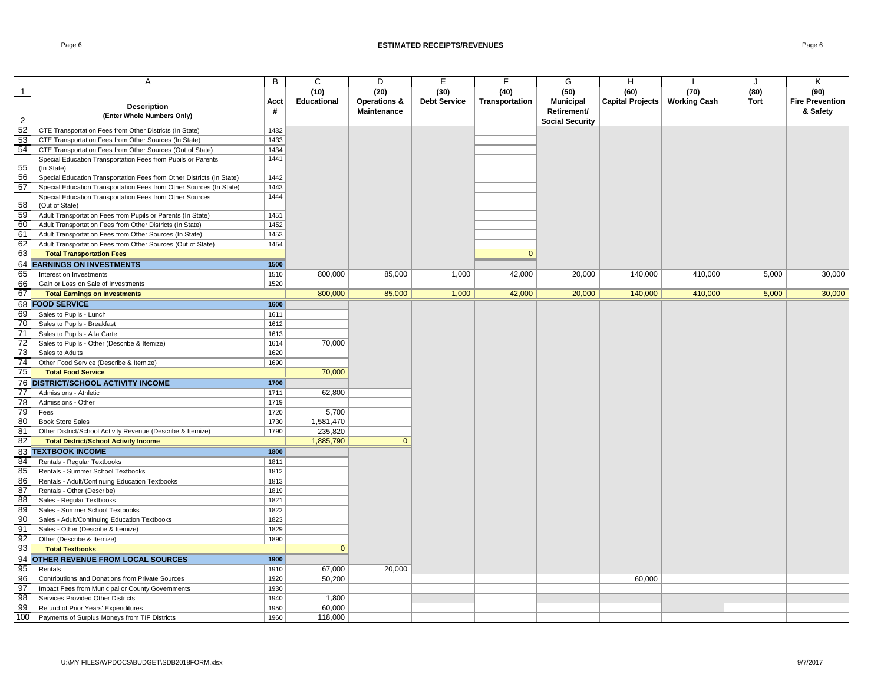#### Page 6 **ESTIMATED RECEIPTS/REVENUES** Page 6

|                       | Α                                                                                               | B            | $\mathsf C$        | D                       | E                   | F              | G                      | H                |                     | J     | Κ                      |
|-----------------------|-------------------------------------------------------------------------------------------------|--------------|--------------------|-------------------------|---------------------|----------------|------------------------|------------------|---------------------|-------|------------------------|
| $\mathbf{1}$          |                                                                                                 |              | (10)               | (20)                    | (30)                | (40)           | (50)                   | (60)             | (70)                | (80)  | (90)                   |
|                       |                                                                                                 | Acct         | <b>Educational</b> | <b>Operations &amp;</b> | <b>Debt Service</b> | Transportation | <b>Municipal</b>       | Capital Projects | <b>Working Cash</b> | Tort  | <b>Fire Prevention</b> |
|                       | <b>Description</b>                                                                              | #            |                    | Maintenance             |                     |                | Retirement/            |                  |                     |       | & Safety               |
| $\overline{2}$        | (Enter Whole Numbers Only)                                                                      |              |                    |                         |                     |                | <b>Social Security</b> |                  |                     |       |                        |
| 52                    | CTE Transportation Fees from Other Districts (In State)                                         | 1432         |                    |                         |                     |                |                        |                  |                     |       |                        |
| $\frac{53}{54}$       | CTE Transportation Fees from Other Sources (In State)                                           | 1433         |                    |                         |                     |                |                        |                  |                     |       |                        |
|                       | CTE Transportation Fees from Other Sources (Out of State)                                       | 1434         |                    |                         |                     |                |                        |                  |                     |       |                        |
|                       | Special Education Transportation Fees from Pupils or Parents                                    | 1441         |                    |                         |                     |                |                        |                  |                     |       |                        |
| 55                    | (In State)                                                                                      |              |                    |                         |                     |                |                        |                  |                     |       |                        |
| 56                    | Special Education Transportation Fees from Other Districts (In State)                           | 1442         |                    |                         |                     |                |                        |                  |                     |       |                        |
| 57                    | Special Education Transportation Fees from Other Sources (In State)                             | 1443         |                    |                         |                     |                |                        |                  |                     |       |                        |
|                       | Special Education Transportation Fees from Other Sources                                        | 1444         |                    |                         |                     |                |                        |                  |                     |       |                        |
| 58                    | (Out of State)                                                                                  |              |                    |                         |                     |                |                        |                  |                     |       |                        |
| 59<br>60              | Adult Transportation Fees from Pupils or Parents (In State)                                     | 1451         |                    |                         |                     |                |                        |                  |                     |       |                        |
| 61                    | Adult Transportation Fees from Other Districts (In State)                                       | 1452         |                    |                         |                     |                |                        |                  |                     |       |                        |
| 62                    | Adult Transportation Fees from Other Sources (In State)                                         | 1453         |                    |                         |                     |                |                        |                  |                     |       |                        |
| 63                    | Adult Transportation Fees from Other Sources (Out of State)<br><b>Total Transportation Fees</b> | 1454         |                    |                         |                     | $\mathbf{0}$   |                        |                  |                     |       |                        |
|                       |                                                                                                 | 1500         |                    |                         |                     |                |                        |                  |                     |       |                        |
| 64                    | <b>EARNINGS ON INVESTMENTS</b>                                                                  |              |                    |                         |                     |                |                        |                  |                     |       |                        |
| 65                    | Interest on Investments                                                                         | 1510         | 800.000            | 85.000                  | 1.000               | 42,000         | 20,000                 | 140.000          | 410.000             | 5.000 | 30,000                 |
| 66<br>67              | Gain or Loss on Sale of Investments                                                             | 1520         | 800,000            | 85,000                  | 1,000               | 42,000         | 20,000                 | 140,000          | 410,000             | 5,000 | 30,000                 |
|                       | <b>Total Earnings on Investments</b>                                                            |              |                    |                         |                     |                |                        |                  |                     |       |                        |
|                       | <b>68 FOOD SERVICE</b>                                                                          | 1600         |                    |                         |                     |                |                        |                  |                     |       |                        |
| 69                    | Sales to Pupils - Lunch                                                                         | 1611         |                    |                         |                     |                |                        |                  |                     |       |                        |
| 70                    | Sales to Pupils - Breakfast                                                                     | 1612         |                    |                         |                     |                |                        |                  |                     |       |                        |
| 71                    | Sales to Pupils - A la Carte                                                                    | 1613         |                    |                         |                     |                |                        |                  |                     |       |                        |
| 72                    | Sales to Pupils - Other (Describe & Itemize)                                                    | 1614         | 70,000             |                         |                     |                |                        |                  |                     |       |                        |
| 73<br>$\overline{74}$ | Sales to Adults                                                                                 | 1620         |                    |                         |                     |                |                        |                  |                     |       |                        |
| 75                    | Other Food Service (Describe & Itemize)                                                         | 1690         | 70,000             |                         |                     |                |                        |                  |                     |       |                        |
|                       | <b>Total Food Service</b>                                                                       |              |                    |                         |                     |                |                        |                  |                     |       |                        |
| $\overline{77}$       | <b>76 DISTRICT/SCHOOL ACTIVITY INCOME</b><br>Admissions - Athletic                              | 1700<br>1711 |                    |                         |                     |                |                        |                  |                     |       |                        |
| 78                    | Admissions - Other                                                                              | 1719         | 62,800             |                         |                     |                |                        |                  |                     |       |                        |
| 79                    | Fees                                                                                            | 1720         | 5,700              |                         |                     |                |                        |                  |                     |       |                        |
| 80                    | <b>Book Store Sales</b>                                                                         | 1730         | 1,581,470          |                         |                     |                |                        |                  |                     |       |                        |
| 81                    | Other District/School Activity Revenue (Describe & Itemize)                                     | 1790         | 235,820            |                         |                     |                |                        |                  |                     |       |                        |
| 82                    | <b>Total District/School Activity Income</b>                                                    |              | 1,885,790          | $\overline{0}$          |                     |                |                        |                  |                     |       |                        |
|                       | <b>83 TEXTBOOK INCOME</b>                                                                       | 1800         |                    |                         |                     |                |                        |                  |                     |       |                        |
|                       | Rentals - Regular Textbooks                                                                     | 1811         |                    |                         |                     |                |                        |                  |                     |       |                        |
| $\frac{84}{85}$       | Rentals - Summer School Textbooks                                                               | 1812         |                    |                         |                     |                |                        |                  |                     |       |                        |
| 86                    | Rentals - Adult/Continuing Education Textbooks                                                  | 1813         |                    |                         |                     |                |                        |                  |                     |       |                        |
| 87                    | Rentals - Other (Describe)                                                                      | 1819         |                    |                         |                     |                |                        |                  |                     |       |                        |
| 88                    | Sales - Regular Textbooks                                                                       | 1821         |                    |                         |                     |                |                        |                  |                     |       |                        |
| 89                    | Sales - Summer School Textbooks                                                                 | 1822         |                    |                         |                     |                |                        |                  |                     |       |                        |
| 90                    | Sales - Adult/Continuing Education Textbooks                                                    | 1823         |                    |                         |                     |                |                        |                  |                     |       |                        |
| 91                    | Sales - Other (Describe & Itemize)                                                              | 1829         |                    |                         |                     |                |                        |                  |                     |       |                        |
| 92                    | Other (Describe & Itemize)                                                                      | 1890         |                    |                         |                     |                |                        |                  |                     |       |                        |
| 93                    | <b>Total Textbooks</b>                                                                          |              | $\mathbf{0}$       |                         |                     |                |                        |                  |                     |       |                        |
| 94                    | <b>OTHER REVENUE FROM LOCAL SOURCES</b>                                                         | 1900         |                    |                         |                     |                |                        |                  |                     |       |                        |
| 95                    | Rentals                                                                                         | 1910         | 67,000             | 20,000                  |                     |                |                        |                  |                     |       |                        |
| 96                    | Contributions and Donations from Private Sources                                                | 1920         | 50,200             |                         |                     |                |                        | 60,000           |                     |       |                        |
| 97                    | Impact Fees from Municipal or County Governments                                                | 1930         |                    |                         |                     |                |                        |                  |                     |       |                        |
| 98                    | Services Provided Other Districts                                                               | 1940         | 1,800              |                         |                     |                |                        |                  |                     |       |                        |
| 99                    | Refund of Prior Years' Expenditures                                                             | 1950         | 60,000             |                         |                     |                |                        |                  |                     |       |                        |
| 100                   | Payments of Surplus Moneys from TIF Districts                                                   | 1960         | 118,000            |                         |                     |                |                        |                  |                     |       |                        |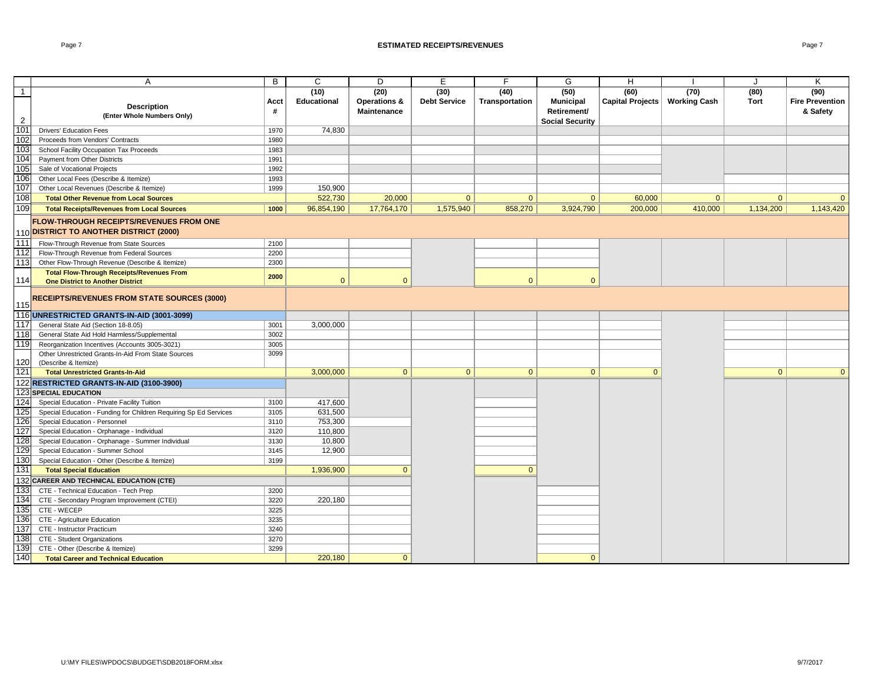#### Page 7 **ESTIMATED RECEIPTS/REVENUES** Page 7

|                | A                                                                           | B    | C            | D              | E                   | F              | G                      | H                |                     | $\cdot$      | Κ                      |
|----------------|-----------------------------------------------------------------------------|------|--------------|----------------|---------------------|----------------|------------------------|------------------|---------------------|--------------|------------------------|
| $\overline{1}$ |                                                                             |      | (10)         | (20)           | (30)                | (40)           | (50)                   | (60)             | (70)                | (80)         | (90)                   |
|                |                                                                             | Acct | Educational  | Operations &   | <b>Debt Service</b> | Transportation | <b>Municipal</b>       | Capital Projects | <b>Working Cash</b> | Tort         | <b>Fire Prevention</b> |
|                | <b>Description</b><br>(Enter Whole Numbers Only)                            | #    |              | Maintenance    |                     |                | Retirement/            |                  |                     |              | & Safety               |
| $\overline{2}$ |                                                                             |      |              |                |                     |                | <b>Social Security</b> |                  |                     |              |                        |
| 101            | <b>Drivers' Education Fees</b>                                              | 1970 | 74,830       |                |                     |                |                        |                  |                     |              |                        |
| 102            | Proceeds from Vendors' Contracts                                            | 1980 |              |                |                     |                |                        |                  |                     |              |                        |
| 103            | School Facility Occupation Tax Proceeds                                     | 1983 |              |                |                     |                |                        |                  |                     |              |                        |
| 104            | Payment from Other Districts                                                | 1991 |              |                |                     |                |                        |                  |                     |              |                        |
| 105            | Sale of Vocational Projects                                                 | 1992 |              |                |                     |                |                        |                  |                     |              |                        |
| 106            | Other Local Fees (Describe & Itemize)                                       | 1993 |              |                |                     |                |                        |                  |                     |              |                        |
| 107            | Other Local Revenues (Describe & Itemize)                                   | 1999 | 150,900      |                |                     |                |                        |                  |                     |              |                        |
| 108            | <b>Total Other Revenue from Local Sources</b>                               |      | 522,730      | 20,000         | $\mathbf{0}$        | $\mathbf{0}$   | $\mathbf{0}$           | 60,000           | $\mathbf{0}$        | $\Omega$     | $\mathbf{0}$           |
| 109            | <b>Total Receipts/Revenues from Local Sources</b>                           | 1000 | 96,854,190   | 17,764,170     | 1,575,940           | 858,270        | 3,924,790              | 200,000          | 410,000             | 1,134,200    | 1,143,420              |
|                | FLOW-THROUGH RECEIPTS/REVENUES FROM ONE                                     |      |              |                |                     |                |                        |                  |                     |              |                        |
|                | 110 DISTRICT TO ANOTHER DISTRICT (2000)                                     |      |              |                |                     |                |                        |                  |                     |              |                        |
| 111            | Flow-Through Revenue from State Sources                                     | 2100 |              |                |                     |                |                        |                  |                     |              |                        |
| 112            | Flow-Through Revenue from Federal Sources                                   | 2200 |              |                |                     |                |                        |                  |                     |              |                        |
| 113            | Other Flow-Through Revenue (Describe & Itemize)                             | 2300 |              |                |                     |                |                        |                  |                     |              |                        |
|                | <b>Total Flow-Through Receipts/Revenues From</b>                            |      |              |                |                     |                |                        |                  |                     |              |                        |
| 114            | <b>One District to Another District</b>                                     | 2000 | $\mathbf{0}$ | $\Omega$       |                     | $\Omega$       | $\Omega$               |                  |                     |              |                        |
|                |                                                                             |      |              |                |                     |                |                        |                  |                     |              |                        |
|                | <b>RECEIPTS/REVENUES FROM STATE SOURCES (3000)</b>                          |      |              |                |                     |                |                        |                  |                     |              |                        |
| 115            |                                                                             |      |              |                |                     |                |                        |                  |                     |              |                        |
|                | 116 UNRESTRICTED GRANTS-IN-AID (3001-3099)                                  |      |              |                |                     |                |                        |                  |                     |              |                        |
| 117            | General State Aid (Section 18-8.05)                                         | 3001 | 3,000,000    |                |                     |                |                        |                  |                     |              |                        |
| 118            | General State Aid Hold Harmless/Supplemental                                | 3002 |              |                |                     |                |                        |                  |                     |              |                        |
| 119            | Reorganization Incentives (Accounts 3005-3021)                              | 3005 |              |                |                     |                |                        |                  |                     |              |                        |
| 120            | Other Unrestricted Grants-In-Aid From State Sources<br>(Describe & Itemize) | 3099 |              |                |                     |                |                        |                  |                     |              |                        |
| 121            | <b>Total Unrestricted Grants-In-Aid</b>                                     |      | 3,000,000    | $\overline{0}$ | $\mathbf{0}$        | $\mathbf{0}$   | $\mathbf{0}$           | $\mathbf{0}$     |                     | $\mathbf{0}$ | $\mathbf{0}$           |
|                | 122 RESTRICTED GRANTS-IN-AID (3100-3900)                                    |      |              |                |                     |                |                        |                  |                     |              |                        |
|                | 123 SPECIAL EDUCATION                                                       |      |              |                |                     |                |                        |                  |                     |              |                        |
| 124            | Special Education - Private Facility Tuition                                | 3100 | 417,600      |                |                     |                |                        |                  |                     |              |                        |
| 125            | Special Education - Funding for Children Requiring Sp Ed Services           | 3105 | 631,500      |                |                     |                |                        |                  |                     |              |                        |
| 126            | Special Education - Personnel                                               | 3110 | 753,300      |                |                     |                |                        |                  |                     |              |                        |
| 127            | Special Education - Orphanage - Individual                                  | 3120 | 110,800      |                |                     |                |                        |                  |                     |              |                        |
| 128            | Special Education - Orphanage - Summer Individual                           | 3130 | 10,800       |                |                     |                |                        |                  |                     |              |                        |
| 129            | Special Education - Summer School                                           | 3145 | 12,900       |                |                     |                |                        |                  |                     |              |                        |
| 130            | Special Education - Other (Describe & Itemize)                              | 3199 |              |                |                     |                |                        |                  |                     |              |                        |
| 131            | <b>Total Special Education</b>                                              |      | 1,936,900    | $\Omega$       |                     | $\Omega$       |                        |                  |                     |              |                        |
|                | 132 CAREER AND TECHNICAL EDUCATION (CTE)                                    |      |              |                |                     |                |                        |                  |                     |              |                        |
| 133            | CTE - Technical Education - Tech Prep                                       | 3200 |              |                |                     |                |                        |                  |                     |              |                        |
| 134            | CTE - Secondary Program Improvement (CTEI)                                  | 3220 | 220,180      |                |                     |                |                        |                  |                     |              |                        |
| 135            | CTE - WECEP                                                                 | 3225 |              |                |                     |                |                        |                  |                     |              |                        |
| 136            | CTE - Agriculture Education                                                 | 3235 |              |                |                     |                |                        |                  |                     |              |                        |
| 137            | CTE - Instructor Practicum                                                  | 3240 |              |                |                     |                |                        |                  |                     |              |                        |
| 138            | CTE - Student Organizations                                                 | 3270 |              |                |                     |                |                        |                  |                     |              |                        |
| 139            | CTE - Other (Describe & Itemize)                                            | 3299 |              |                |                     |                |                        |                  |                     |              |                        |
| 140            | <b>Total Career and Technical Education</b>                                 |      | 220,180      | $\mathbf{0}$   |                     |                | $\mathbf{0}$           |                  |                     |              |                        |
|                |                                                                             |      |              |                |                     |                |                        |                  |                     |              |                        |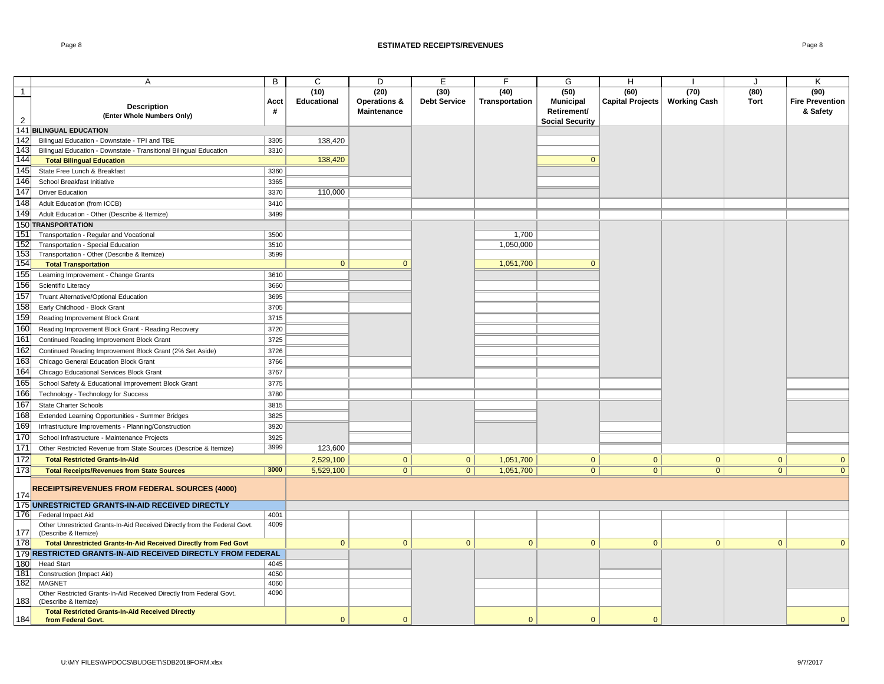#### Page 8 **ESTIMATED RECEIPTS/REVENUES** Page 8

|                                  | A                                                                                                 | B            | C                   | D                                                     | E                           | F.                     | G                                       | H                                       |                | J            | K                                          |
|----------------------------------|---------------------------------------------------------------------------------------------------|--------------|---------------------|-------------------------------------------------------|-----------------------------|------------------------|-----------------------------------------|-----------------------------------------|----------------|--------------|--------------------------------------------|
| $\overline{1}$<br>$\overline{2}$ | <b>Description</b><br>(Enter Whole Numbers Only)                                                  | Acct<br>#    | (10)<br>Educational | (20)<br><b>Operations &amp;</b><br><b>Maintenance</b> | (30)<br><b>Debt Service</b> | (40)<br>Transportation | (50)<br><b>Municipal</b><br>Retirement/ | (60)<br>Capital Projects   Working Cash | (70)           | (80)<br>Tort | (90)<br><b>Fire Prevention</b><br>& Safety |
|                                  | 141 BILINGUAL EDUCATION                                                                           |              |                     |                                                       |                             |                        | <b>Social Security</b>                  |                                         |                |              |                                            |
| 142                              | Bilingual Education - Downstate - TPI and TBE                                                     | 3305         | 138,420             |                                                       |                             |                        |                                         |                                         |                |              |                                            |
| 143                              | Bilingual Education - Downstate - Transitional Bilingual Education                                | 3310         |                     |                                                       |                             |                        |                                         |                                         |                |              |                                            |
| 144                              | <b>Total Bilingual Education</b>                                                                  |              | 138,420             |                                                       |                             |                        |                                         |                                         |                |              |                                            |
| 145                              | State Free Lunch & Breakfast                                                                      | 3360         |                     |                                                       |                             |                        |                                         |                                         |                |              |                                            |
| 146                              | School Breakfast Initiative                                                                       | 3365         |                     |                                                       |                             |                        |                                         |                                         |                |              |                                            |
| 147                              |                                                                                                   |              | 110,000             |                                                       |                             |                        |                                         |                                         |                |              |                                            |
| 148                              | <b>Driver Education</b>                                                                           | 3370         |                     |                                                       |                             |                        |                                         |                                         |                |              |                                            |
| 149                              | Adult Education (from ICCB)                                                                       | 3410         |                     |                                                       |                             |                        |                                         |                                         |                |              |                                            |
|                                  | Adult Education - Other (Describe & Itemize)                                                      | 3499         |                     |                                                       |                             |                        |                                         |                                         |                |              |                                            |
|                                  | 150 TRANSPORTATION                                                                                |              |                     |                                                       |                             |                        |                                         |                                         |                |              |                                            |
| 151<br>152                       | Transportation - Regular and Vocational                                                           | 3500         |                     |                                                       |                             | 1,700<br>1,050,000     |                                         |                                         |                |              |                                            |
| 153                              | Transportation - Special Education                                                                | 3510<br>3599 |                     |                                                       |                             |                        |                                         |                                         |                |              |                                            |
| 154                              | Transportation - Other (Describe & Itemize)<br><b>Total Transportation</b>                        |              | $\mathbf{0}$        | $\mathbf{0}$                                          |                             | 1,051,700              | $\Omega$                                |                                         |                |              |                                            |
| 155                              | Learning Improvement - Change Grants                                                              | 3610         |                     |                                                       |                             |                        |                                         |                                         |                |              |                                            |
| 156                              |                                                                                                   | 3660         |                     |                                                       |                             |                        |                                         |                                         |                |              |                                            |
| 157                              | Scientific Literacy                                                                               |              |                     |                                                       |                             |                        |                                         |                                         |                |              |                                            |
| 158                              | Truant Alternative/Optional Education                                                             | 3695         |                     |                                                       |                             |                        |                                         |                                         |                |              |                                            |
| 159                              | Early Childhood - Block Grant                                                                     | 3705         |                     |                                                       |                             |                        |                                         |                                         |                |              |                                            |
| 160                              | Reading Improvement Block Grant                                                                   | 3715         |                     |                                                       |                             |                        |                                         |                                         |                |              |                                            |
|                                  | Reading Improvement Block Grant - Reading Recovery                                                | 3720         |                     |                                                       |                             |                        |                                         |                                         |                |              |                                            |
| 161<br>162                       | Continued Reading Improvement Block Grant                                                         | 3725         |                     |                                                       |                             |                        |                                         |                                         |                |              |                                            |
|                                  | Continued Reading Improvement Block Grant (2% Set Aside)                                          | 3726         |                     |                                                       |                             |                        |                                         |                                         |                |              |                                            |
| 163                              | Chicago General Education Block Grant                                                             | 3766         |                     |                                                       |                             |                        |                                         |                                         |                |              |                                            |
| 164                              | Chicago Educational Services Block Grant                                                          | 3767         |                     |                                                       |                             |                        |                                         |                                         |                |              |                                            |
| 165                              | School Safety & Educational Improvement Block Grant                                               | 3775         |                     |                                                       |                             |                        |                                         |                                         |                |              |                                            |
| 166                              | Technology - Technology for Success                                                               | 3780         |                     |                                                       |                             |                        |                                         |                                         |                |              |                                            |
| 167                              | <b>State Charter Schools</b>                                                                      | 3815         |                     |                                                       |                             |                        |                                         |                                         |                |              |                                            |
| 168                              | Extended Learning Opportunities - Summer Bridges                                                  | 3825         |                     |                                                       |                             |                        |                                         |                                         |                |              |                                            |
| 169                              | Infrastructure Improvements - Planning/Construction                                               | 3920         |                     |                                                       |                             |                        |                                         |                                         |                |              |                                            |
| 170                              | School Infrastructure - Maintenance Projects                                                      | 3925         |                     |                                                       |                             |                        |                                         |                                         |                |              |                                            |
| 171                              | Other Restricted Revenue from State Sources (Describe & Itemize)                                  | 3999         | 123,600             |                                                       |                             |                        |                                         |                                         |                |              |                                            |
| 172                              | <b>Total Restricted Grants-In-Aid</b>                                                             |              | 2,529,100           | $\mathbf{0}$                                          | 0                           | 1,051,700              | $\mathbf{0}$                            | $\mathbf{0}$                            | $\overline{0}$ | $\mathbf{0}$ | $\mathbf{0}$                               |
| 173                              | <b>Total Receipts/Revenues from State Sources</b>                                                 | 3000         | 5,529,100           | $\overline{0}$                                        | 0 <sup>1</sup>              | 1,051,700              | $\mathbf{0}$                            | $\overline{0}$                          | $\overline{0}$ | $\mathbf{0}$ | $\overline{0}$                             |
| 174                              | <b>RECEIPTS/REVENUES FROM FEDERAL SOURCES (4000)</b>                                              |              |                     |                                                       |                             |                        |                                         |                                         |                |              |                                            |
|                                  | 175 UNRESTRICTED GRANTS-IN-AID RECEIVED DIRECTLY                                                  |              |                     |                                                       |                             |                        |                                         |                                         |                |              |                                            |
| 176                              | Federal Impact Aid                                                                                | 4001         |                     |                                                       |                             |                        |                                         |                                         |                |              |                                            |
| 177                              | Other Unrestricted Grants-In-Aid Received Directly from the Federal Govt.<br>(Describe & Itemize) | 4009         |                     |                                                       |                             |                        |                                         |                                         |                |              |                                            |
| 178                              | Total Unrestricted Grants-In-Aid Received Directly from Fed Govt                                  |              | $\mathbf{0}$        | $\mathbf{0}$                                          | 0                           | $\mathbf{0}$           | $\mathbf{0}$                            | $\mathbf{0}$                            | $\mathbf{0}$   | $\mathbf{0}$ | $\mathbf{0}$                               |
|                                  | 179 RESTRICTED GRANTS-IN-AID RECEIVED DIRECTLY FROM FEDERAL                                       |              |                     |                                                       |                             |                        |                                         |                                         |                |              |                                            |
| 180                              | <b>Head Start</b>                                                                                 | 4045         |                     |                                                       |                             |                        |                                         |                                         |                |              |                                            |
| 181                              | Construction (Impact Aid)                                                                         | 4050         |                     |                                                       |                             |                        |                                         |                                         |                |              |                                            |
| 182                              | <b>MAGNET</b>                                                                                     | 4060         |                     |                                                       |                             |                        |                                         |                                         |                |              |                                            |
| 183                              | Other Restricted Grants-In-Aid Received Directly from Federal Govt.<br>(Describe & Itemize)       | 4090         |                     |                                                       |                             |                        |                                         |                                         |                |              |                                            |
|                                  | <b>Total Restricted Grants-In-Aid Received Directly</b>                                           |              |                     |                                                       |                             |                        |                                         |                                         |                |              |                                            |
| 184                              | from Federal Govt.                                                                                |              | $\mathbf{0}$        | $\mathbf{0}$                                          |                             | $\mathbf{0}$           | $\mathbf{0}$                            | $\mathbf{0}$                            |                |              | $\mathbf{0}$                               |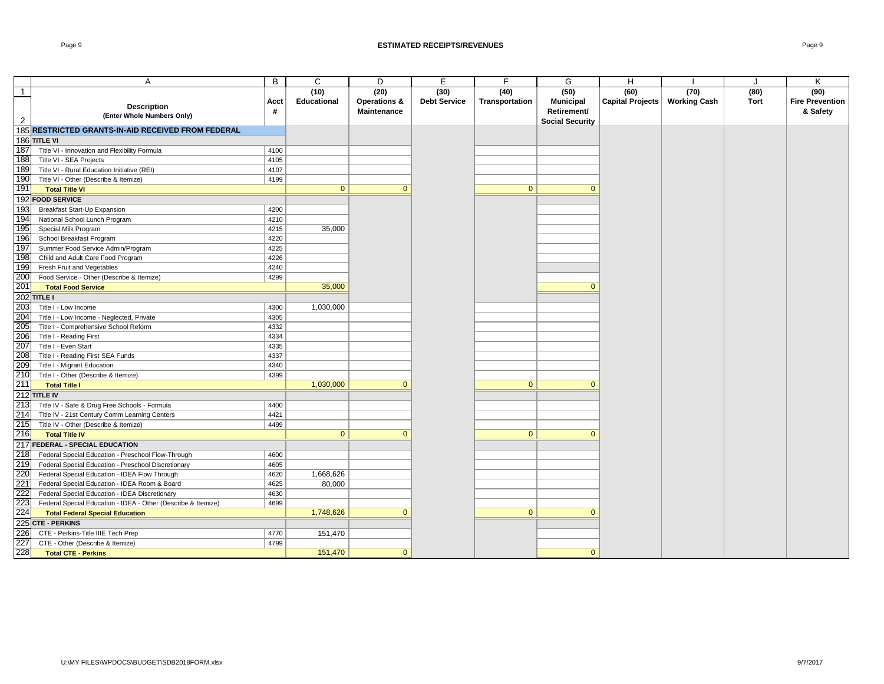#### Page 9 **ESTIMATED RECEIPTS/REVENUES** Page 9

|                | A                                                                                                    | B            | C                  | D                       | E                   | F.             | G                      | H                               |      | ۱.   | Κ                      |
|----------------|------------------------------------------------------------------------------------------------------|--------------|--------------------|-------------------------|---------------------|----------------|------------------------|---------------------------------|------|------|------------------------|
| $\overline{1}$ |                                                                                                      |              | (10)               | (20)                    | (30)                | (40)           | (50)                   | (60)                            | (70) | (80) | (90)                   |
|                |                                                                                                      | Acct         | <b>Educational</b> | <b>Operations &amp;</b> | <b>Debt Service</b> | Transportation | <b>Municipal</b>       | Capital Projects   Working Cash |      | Tort | <b>Fire Prevention</b> |
|                | <b>Description</b><br>(Enter Whole Numbers Only)                                                     | #            |                    | Maintenance             |                     |                | Retirement/            |                                 |      |      | & Safety               |
| $\overline{2}$ |                                                                                                      |              |                    |                         |                     |                | <b>Social Security</b> |                                 |      |      |                        |
|                | 185 RESTRICTED GRANTS-IN-AID RECEIVED FROM FEDERAL                                                   |              |                    |                         |                     |                |                        |                                 |      |      |                        |
|                | 186 TITLE VI                                                                                         |              |                    |                         |                     |                |                        |                                 |      |      |                        |
| 187            | Title VI - Innovation and Flexibility Formula                                                        | 4100         |                    |                         |                     |                |                        |                                 |      |      |                        |
| 188            | Title VI - SEA Projects                                                                              | 4105         |                    |                         |                     |                |                        |                                 |      |      |                        |
| 189            | Title VI - Rural Education Initiative (REI)                                                          | 4107         |                    |                         |                     |                |                        |                                 |      |      |                        |
| 190            | Title VI - Other (Describe & Itemize)                                                                | 4199         |                    |                         |                     |                |                        |                                 |      |      |                        |
| 191            | <b>Total Title VI</b>                                                                                |              | $\mathbf{0}$       | $\Omega$                |                     | $\mathbf{0}$   | $\mathbf{0}$           |                                 |      |      |                        |
|                | 192 FOOD SERVICE                                                                                     |              |                    |                         |                     |                |                        |                                 |      |      |                        |
| 193            | <b>Breakfast Start-Up Expansion</b>                                                                  | 4200         |                    |                         |                     |                |                        |                                 |      |      |                        |
| 194            | National School Lunch Program                                                                        | 4210         |                    |                         |                     |                |                        |                                 |      |      |                        |
| 195            | Special Milk Program                                                                                 | 4215         | 35,000             |                         |                     |                |                        |                                 |      |      |                        |
| 196            | School Breakfast Program                                                                             | 4220         |                    |                         |                     |                |                        |                                 |      |      |                        |
| 197            | Summer Food Service Admin/Program                                                                    | 4225         |                    |                         |                     |                |                        |                                 |      |      |                        |
| 198            | Child and Adult Care Food Program                                                                    | 4226         |                    |                         |                     |                |                        |                                 |      |      |                        |
| 199            | Fresh Fruit and Vegetables                                                                           | 4240         |                    |                         |                     |                |                        |                                 |      |      |                        |
| 200            | Food Service - Other (Describe & Itemize)                                                            | 4299         |                    |                         |                     |                |                        |                                 |      |      |                        |
| 201            | <b>Total Food Service</b>                                                                            |              | 35,000             |                         |                     |                | $\mathbf{0}$           |                                 |      |      |                        |
|                | 202 TITLE I                                                                                          |              |                    |                         |                     |                |                        |                                 |      |      |                        |
| 203            | Title I - Low Income                                                                                 | 4300         | 1,030,000          |                         |                     |                |                        |                                 |      |      |                        |
| 204            | Title I - Low Income - Neglected, Private                                                            | 4305         |                    |                         |                     |                |                        |                                 |      |      |                        |
| 205            | Title I - Comprehensive School Reform                                                                | 4332         |                    |                         |                     |                |                        |                                 |      |      |                        |
| 206            | Title I - Reading First                                                                              | 4334         |                    |                         |                     |                |                        |                                 |      |      |                        |
| 207            | Title I - Even Start                                                                                 | 4335         |                    |                         |                     |                |                        |                                 |      |      |                        |
| 208<br>209     | Title I - Reading First SEA Funds                                                                    | 4337         |                    |                         |                     |                |                        |                                 |      |      |                        |
|                | Title I - Migrant Education                                                                          | 4340         |                    |                         |                     |                |                        |                                 |      |      |                        |
| 210<br>211     | Title I - Other (Describe & Itemize)                                                                 | 4399         | 1,030,000          | $\overline{0}$          |                     | $\overline{0}$ | $\mathbf{0}$           |                                 |      |      |                        |
|                | <b>Total Title I</b>                                                                                 |              |                    |                         |                     |                |                        |                                 |      |      |                        |
|                | 212 TITLE IV                                                                                         |              |                    |                         |                     |                |                        |                                 |      |      |                        |
| 213            | Title IV - Safe & Drug Free Schools - Formula                                                        | 4400         |                    |                         |                     |                |                        |                                 |      |      |                        |
| 214<br>215     | Title IV - 21st Century Comm Learning Centers                                                        | 4421<br>4499 |                    |                         |                     |                |                        |                                 |      |      |                        |
| 216            | Title IV - Other (Describe & Itemize)<br><b>Total Title IV</b>                                       |              | $\mathbf{0}$       | $\Omega$                |                     | $\mathbf{0}$   | $\mathbf{0}$           |                                 |      |      |                        |
|                | 217 FEDERAL - SPECIAL EDUCATION                                                                      |              |                    |                         |                     |                |                        |                                 |      |      |                        |
|                |                                                                                                      |              |                    |                         |                     |                |                        |                                 |      |      |                        |
| 218            | Federal Special Education - Preschool Flow-Through                                                   | 4600<br>4605 |                    |                         |                     |                |                        |                                 |      |      |                        |
| 219<br>220     | Federal Special Education - Preschool Discretionary<br>Federal Special Education - IDEA Flow Through | 4620         | 1,668,626          |                         |                     |                |                        |                                 |      |      |                        |
| 221            | Federal Special Education - IDEA Room & Board                                                        | 4625         |                    |                         |                     |                |                        |                                 |      |      |                        |
| 222            | Federal Special Education - IDEA Discretionary                                                       | 4630         | 80,000             |                         |                     |                |                        |                                 |      |      |                        |
| 223            | Federal Special Education - IDEA - Other (Describe & Itemize)                                        | 4699         |                    |                         |                     |                |                        |                                 |      |      |                        |
| 224            | <b>Total Federal Special Education</b>                                                               |              | 1,748,626          | $\Omega$                |                     | $\mathbf{0}$   | $\mathbf{0}$           |                                 |      |      |                        |
|                | 225 CTE - PERKINS                                                                                    |              |                    |                         |                     |                |                        |                                 |      |      |                        |
| 226            | CTE - Perkins-Title IIIE Tech Prep                                                                   | 4770         | 151,470            |                         |                     |                |                        |                                 |      |      |                        |
| 227            | CTE - Other (Describe & Itemize)                                                                     | 4799         |                    |                         |                     |                |                        |                                 |      |      |                        |
| 228            | <b>Total CTE - Perkins</b>                                                                           |              | 151,470            | $\mathbf{0}$            |                     |                | $\mathbf{0}$           |                                 |      |      |                        |
|                |                                                                                                      |              |                    |                         |                     |                |                        |                                 |      |      |                        |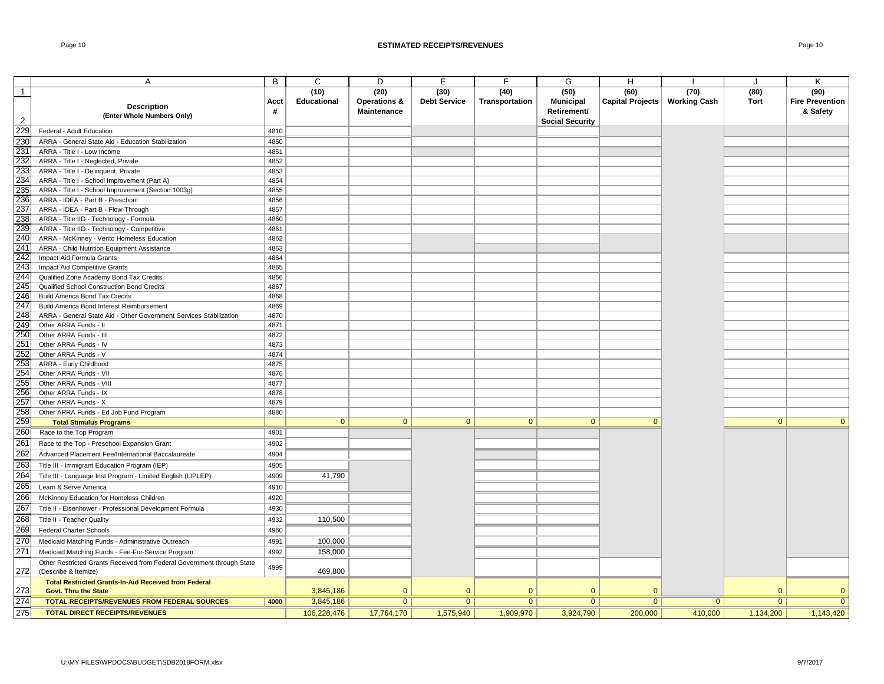|                 | A                                                                      | B    | C                  | D                       | E                   | F.             | G                      | H                       |                     | J              | K                      |
|-----------------|------------------------------------------------------------------------|------|--------------------|-------------------------|---------------------|----------------|------------------------|-------------------------|---------------------|----------------|------------------------|
| $\overline{1}$  |                                                                        |      | (10)               | (20)                    | (30)                | (40)           | (50)                   | (60)                    | (70)                | (80)           | (90)                   |
|                 |                                                                        | Acct | <b>Educational</b> | <b>Operations &amp;</b> | <b>Debt Service</b> | Transportation | <b>Municipal</b>       | <b>Capital Projects</b> | <b>Working Cash</b> | Tort           | <b>Fire Prevention</b> |
|                 | <b>Description</b>                                                     | #    |                    | Maintenance             |                     |                | Retirement/            |                         |                     |                | & Safety               |
| $\overline{2}$  | (Enter Whole Numbers Only)                                             |      |                    |                         |                     |                | <b>Social Security</b> |                         |                     |                |                        |
| 229             | Federal - Adult Education                                              | 4810 |                    |                         |                     |                |                        |                         |                     |                |                        |
| 230             | ARRA - General State Aid - Education Stabilization                     | 4850 |                    |                         |                     |                |                        |                         |                     |                |                        |
| 23'             | ARRA - Title I - Low Income                                            | 4851 |                    |                         |                     |                |                        |                         |                     |                |                        |
| 232             | ARRA - Title I - Neglected, Private                                    | 4852 |                    |                         |                     |                |                        |                         |                     |                |                        |
| 233             | ARRA - Title I - Delinquent, Private                                   | 4853 |                    |                         |                     |                |                        |                         |                     |                |                        |
| 234             | ARRA - Title I - School Improvement (Part A)                           | 4854 |                    |                         |                     |                |                        |                         |                     |                |                        |
| 235             | ARRA - Title I - School Improvement (Section 1003g)                    | 4855 |                    |                         |                     |                |                        |                         |                     |                |                        |
| 236             | ARRA - IDEA - Part B - Preschool                                       | 4856 |                    |                         |                     |                |                        |                         |                     |                |                        |
| 237             | ARRA - IDEA - Part B - Flow-Through                                    | 4857 |                    |                         |                     |                |                        |                         |                     |                |                        |
| 238             | ARRA - Title IID - Technology - Formula                                | 4860 |                    |                         |                     |                |                        |                         |                     |                |                        |
| 239             | ARRA - Title IID - Technology - Competitive                            | 4861 |                    |                         |                     |                |                        |                         |                     |                |                        |
| 240             | ARRA - McKinney - Vento Homeless Education                             | 4862 |                    |                         |                     |                |                        |                         |                     |                |                        |
| 241             | ARRA - Child Nutrition Equipment Assistance                            | 4863 |                    |                         |                     |                |                        |                         |                     |                |                        |
| 242             | Impact Aid Formula Grants                                              | 4864 |                    |                         |                     |                |                        |                         |                     |                |                        |
| 243             | Impact Aid Competitive Grants                                          | 4865 |                    |                         |                     |                |                        |                         |                     |                |                        |
| 244             | Qualified Zone Academy Bond Tax Credits                                | 4866 |                    |                         |                     |                |                        |                         |                     |                |                        |
| 245             | Qualified School Construction Bond Credits                             | 4867 |                    |                         |                     |                |                        |                         |                     |                |                        |
| 246             | <b>Build America Bond Tax Credits</b>                                  | 4868 |                    |                         |                     |                |                        |                         |                     |                |                        |
| 247             | Build America Bond Interest Reimbursement                              | 4869 |                    |                         |                     |                |                        |                         |                     |                |                        |
| 248             | ARRA - General State Aid - Other Government Services Stabilization     | 4870 |                    |                         |                     |                |                        |                         |                     |                |                        |
| 249             | Other ARRA Funds - II                                                  | 4871 |                    |                         |                     |                |                        |                         |                     |                |                        |
| 250             | Other ARRA Funds - III                                                 | 4872 |                    |                         |                     |                |                        |                         |                     |                |                        |
| 251             | Other ARRA Funds - IV                                                  | 4873 |                    |                         |                     |                |                        |                         |                     |                |                        |
| 252             | Other ARRA Funds - V                                                   | 4874 |                    |                         |                     |                |                        |                         |                     |                |                        |
| 253             | ARRA - Early Childhood                                                 | 4875 |                    |                         |                     |                |                        |                         |                     |                |                        |
| 254             | Other ARRA Funds - VII                                                 | 4876 |                    |                         |                     |                |                        |                         |                     |                |                        |
| 255             | Other ARRA Funds - VIII                                                | 4877 |                    |                         |                     |                |                        |                         |                     |                |                        |
| 256             | Other ARRA Funds - IX                                                  | 4878 |                    |                         |                     |                |                        |                         |                     |                |                        |
| 257             | Other ARRA Funds - X                                                   | 4879 |                    |                         |                     |                |                        |                         |                     |                |                        |
| 258             | Other ARRA Funds - Ed Job Fund Program                                 | 4880 |                    |                         |                     |                |                        |                         |                     |                |                        |
| 259             | <b>Total Stimulus Programs</b>                                         |      | $\mathbf{0}$       | $\mathbf{0}$            | $\overline{0}$      | $\mathbf{0}$   | $\mathbf{0}$           | $\mathbf{0}$            |                     | $\mathbf{0}$   | $\mathbf{0}$           |
| 260             | Race to the Top Program                                                | 4901 |                    |                         |                     |                |                        |                         |                     |                |                        |
| 261             | Race to the Top - Preschool Expansion Grant                            | 4902 |                    |                         |                     |                |                        |                         |                     |                |                        |
| 262             | Advanced Placement Fee/International Baccalaureate                     | 4904 |                    |                         |                     |                |                        |                         |                     |                |                        |
| 263             | Title III - Immigrant Education Program (IEP)                          | 4905 |                    |                         |                     |                |                        |                         |                     |                |                        |
| 264             | Title III - Language Inst Program - Limited English (LIPLEP)           | 4909 | 41,790             |                         |                     |                |                        |                         |                     |                |                        |
| 265             | Learn & Serve America                                                  | 4910 |                    |                         |                     |                |                        |                         |                     |                |                        |
|                 |                                                                        |      |                    |                         |                     |                |                        |                         |                     |                |                        |
| 266             | McKinney Education for Homeless Children                               | 4920 |                    |                         |                     |                |                        |                         |                     |                |                        |
| 267             | Title II - Eisenhower - Professional Development Formula               | 4930 |                    |                         |                     |                |                        |                         |                     |                |                        |
| 268             | Title II - Teacher Quality                                             | 4932 | 110,500            |                         |                     |                |                        |                         |                     |                |                        |
| 269             | <b>Federal Charter Schools</b>                                         | 4960 |                    |                         |                     |                |                        |                         |                     |                |                        |
| 270             | Medicaid Matching Funds - Administrative Outreach                      | 4991 | 100,000            |                         |                     |                |                        |                         |                     |                |                        |
| 27 <sup>′</sup> | Medicaid Matching Funds - Fee-For-Service Program                      | 4992 | 158,000            |                         |                     |                |                        |                         |                     |                |                        |
|                 | Other Restricted Grants Received from Federal Government through State |      |                    |                         |                     |                |                        |                         |                     |                |                        |
| 272             | (Describe & Itemize)                                                   | 4999 | 469,800            |                         |                     |                |                        |                         |                     |                |                        |
|                 | <b>Total Restricted Grants-In-Aid Received from Federal</b>            |      |                    |                         |                     |                |                        |                         |                     |                |                        |
| 273             | <b>Govt. Thru the State</b>                                            |      | 3,845,186          | $\mathbf{0}$            | $\Omega$            | $\mathbf{0}$   | $\mathbf{0}$           | $\Omega$                |                     | $\Omega$       | $\mathbf{0}$           |
| 274             | TOTAL RECEIPTS/REVENUES FROM FEDERAL SOURCES                           | 4000 | 3,845,186          | $\mathbf{0}$            | $\overline{0}$      | $\overline{0}$ | $\mathbf{0}$           | $\Omega$                | $\overline{0}$      | $\overline{0}$ | $\overline{0}$         |
| 275             | TOTAL DIRECT RECEIPTS/REVENUES                                         |      | 106,228,476        | 17,764,170              | 1,575,940           | 1,909,970      | 3,924,790              | 200,000                 | 410,000             | 1,134,200      | 1,143,420              |
|                 |                                                                        |      |                    |                         |                     |                |                        |                         |                     |                |                        |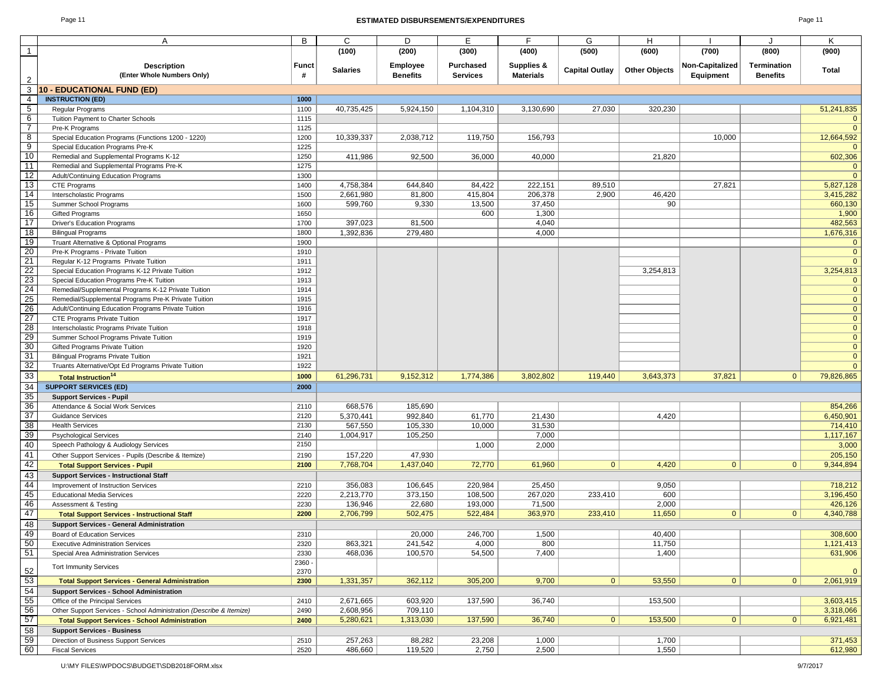#### Page 11 **ESTIMATED DISBURSEMENTS/EXPENDITURES** Page 11

| ∽aαe |  |
|------|--|
|------|--|

|                         | A                                                                   | B            | C               | D               | Е                | F                | G                     | н                    |                 |                    | Κ              |
|-------------------------|---------------------------------------------------------------------|--------------|-----------------|-----------------|------------------|------------------|-----------------------|----------------------|-----------------|--------------------|----------------|
| $\mathbf{1}$            |                                                                     |              | (100)           | (200)           | (300)            | (400)            | (500)                 | (600)                | (700)           | (800)              | (900)          |
|                         |                                                                     |              |                 |                 | Purchased        | Supplies &       |                       |                      | Non-Capitalized | <b>Termination</b> |                |
|                         | <b>Description</b><br>(Enter Whole Numbers Only)                    | <b>Funct</b> | <b>Salaries</b> | Employee        |                  | <b>Materials</b> | <b>Capital Outlay</b> | <b>Other Objects</b> |                 |                    | Total          |
| $\mathbf{2}$            |                                                                     |              |                 | <b>Benefits</b> | <b>Services</b>  |                  |                       |                      | Equipment       | <b>Benefits</b>    |                |
| 3                       | 10 - EDUCATIONAL FUND (ED)                                          |              |                 |                 |                  |                  |                       |                      |                 |                    |                |
| 4                       | <b>INSTRUCTION (ED)</b>                                             | 1000         |                 |                 |                  |                  |                       |                      |                 |                    |                |
| 5 <sup>5</sup>          | Regular Programs                                                    | 1100         | 40,735,425      | 5,924,150       | 1,104,310        | 3,130,690        | 27,030                | 320,230              |                 |                    | 51,241,835     |
| 6                       | Tuition Payment to Charter Schools                                  | 1115         |                 |                 |                  |                  |                       |                      |                 |                    | $\mathbf{0}$   |
| $\overline{7}$          | Pre-K Programs                                                      | 1125         |                 |                 |                  |                  |                       |                      |                 |                    | $\mathbf{0}$   |
| $\overline{\mathbf{8}}$ | Special Education Programs (Functions 1200 - 1220)                  | 1200         | 10,339,337      | 2,038,712       | 119,750          | 156,793          |                       |                      | 10,000          |                    | 12,664,592     |
| $\overline{9}$          | Special Education Programs Pre-K                                    | 1225         |                 |                 |                  |                  |                       |                      |                 |                    | $\mathbf{0}$   |
| 10                      | Remedial and Supplemental Programs K-12                             | 1250         | 411,986         | 92,500          | 36,000           | 40,000           |                       | 21,820               |                 |                    | 602,306        |
| 11                      | Remedial and Supplemental Programs Pre-K                            | 1275         |                 |                 |                  |                  |                       |                      |                 |                    | $\mathbf{0}$   |
| 12                      | Adult/Continuing Education Programs                                 | 1300         |                 |                 |                  |                  |                       |                      |                 |                    | $\Omega$       |
| 13                      | CTE Programs                                                        | 1400         | 4,758,384       | 644,840         | 84,422           | 222,151          | 89,510                |                      | 27,821          |                    | 5,827,128      |
| 14                      | Interscholastic Programs                                            | 1500         | 2,661,980       | 81,800          | 415,804          | 206,378          | 2,900                 | 46,420               |                 |                    | 3,415,282      |
| 15                      | Summer School Programs                                              | 1600         | 599,760         | 9,330           | 13,500           | 37,450           |                       | 90                   |                 |                    | 660,130        |
| 16                      | <b>Gifted Programs</b>                                              | 1650         |                 |                 | 600              | 1,300            |                       |                      |                 |                    | 1,900          |
| 17                      | <b>Driver's Education Programs</b>                                  | 1700         | 397,023         | 81,500          |                  | 4,040            |                       |                      |                 |                    | 482,563        |
| 18                      | <b>Bilingual Programs</b>                                           | 1800         | 1,392,836       | 279,480         |                  | 4,000            |                       |                      |                 |                    | 1,676,316      |
| 19                      | Truant Alternative & Optional Programs                              | 1900         |                 |                 |                  |                  |                       |                      |                 |                    | $\mathbf{0}$   |
| 20                      | Pre-K Programs - Private Tuition                                    | 1910         |                 |                 |                  |                  |                       |                      |                 |                    | $\mathbf{0}$   |
| 21                      | Regular K-12 Programs Private Tuition                               | 1911         |                 |                 |                  |                  |                       |                      |                 |                    | $\mathbf{0}$   |
| 22                      | Special Education Programs K-12 Private Tuition                     | 1912         |                 |                 |                  |                  |                       | 3,254,813            |                 |                    | 3,254,813      |
| 23                      | Special Education Programs Pre-K Tuition                            | 1913         |                 |                 |                  |                  |                       |                      |                 |                    | $\mathbf{0}$   |
| 24                      | Remedial/Supplemental Programs K-12 Private Tuition                 | 1914         |                 |                 |                  |                  |                       |                      |                 |                    | $\mathbf{0}$   |
| 25                      | Remedial/Supplemental Programs Pre-K Private Tuition                | 1915         |                 |                 |                  |                  |                       |                      |                 |                    | $\mathbf{0}$   |
| $\overline{26}$         | Adult/Continuing Education Programs Private Tuition                 | 1916         |                 |                 |                  |                  |                       |                      |                 |                    | $\mathbf{0}$   |
| 27                      | CTE Programs Private Tuition                                        | 1917         |                 |                 |                  |                  |                       |                      |                 |                    | $\mathbf{0}$   |
| 28                      | Interscholastic Programs Private Tuition                            | 1918         |                 |                 |                  |                  |                       |                      |                 |                    | $\mathbf{0}$   |
| 29                      | Summer School Programs Private Tuition                              | 1919         |                 |                 |                  |                  |                       |                      |                 |                    | $\mathbf{0}$   |
| 30                      | Gifted Programs Private Tuition                                     | 1920         |                 |                 |                  |                  |                       |                      |                 |                    | $\mathbf{0}$   |
| 31                      | <b>Bilingual Programs Private Tuition</b>                           | 1921         |                 |                 |                  |                  |                       |                      |                 |                    | $\mathbf{0}$   |
| 32                      | Truants Alternative/Opt Ed Programs Private Tuition                 | 1922         |                 |                 |                  |                  |                       |                      |                 |                    | $\overline{0}$ |
| 33                      | <b>Total Instruction<sup>14</sup></b>                               | 1000         | 61,296,731      | 9,152,312       | 1,774,386        | 3,802,802        | 119,440               | 3,643,373            | 37,821          | $\mathbf{0}$       | 79,826,865     |
| 34                      |                                                                     |              |                 |                 |                  |                  |                       |                      |                 |                    |                |
| 35                      | <b>SUPPORT SERVICES (ED)</b>                                        | 2000         |                 |                 |                  |                  |                       |                      |                 |                    |                |
|                         | <b>Support Services - Pupil</b>                                     |              |                 |                 |                  |                  |                       |                      |                 |                    |                |
| 36<br>$\overline{37}$   | Attendance & Social Work Services                                   | 2110         | 668,576         | 185,690         |                  |                  |                       |                      |                 |                    | 854,266        |
| 38                      | <b>Guidance Services</b>                                            | 2120         | 5,370,441       | 992,840         | 61,770<br>10,000 | 21,430           |                       | 4,420                |                 |                    | 6,450,901      |
|                         | <b>Health Services</b>                                              | 2130         | 567,550         | 105,330         |                  | 31,530           |                       |                      |                 |                    | 714,410        |
| 39                      | <b>Psychological Services</b>                                       | 2140         | 1,004,917       | 105,250         |                  | 7,000            |                       |                      |                 |                    | 1,117,167      |
| 40                      | Speech Pathology & Audiology Services                               | 2150         |                 |                 | 1,000            | 2,000            |                       |                      |                 |                    | 3,000          |
| 41                      | Other Support Services - Pupils (Describe & Itemize)                | 2190         | 157,220         | 47,930          |                  |                  |                       |                      |                 |                    | 205,150        |
| 42                      | <b>Total Support Services - Pupil</b>                               | 2100         | 7,768,704       | 1,437,040       | 72,770           | 61,960           | $\overline{0}$        | 4,420                | $\mathbf{0}$    | $\mathbf{0}$       | 9,344,894      |
| 43                      | <b>Support Services - Instructional Staff</b>                       |              |                 |                 |                  |                  |                       |                      |                 |                    |                |
| 44                      | Improvement of Instruction Services                                 | 2210         | 356,083         | 106,645         | 220,984          | 25,450           |                       | 9,050                |                 |                    | 718,212        |
| 45                      | <b>Educational Media Services</b>                                   | 2220         | 2,213,770       | 373,150         | 108,500          | 267,020          | 233,410               | 600                  |                 |                    | 3,196,450      |
| 46                      | <b>Assessment &amp; Testing</b>                                     | 2230         | 136,946         | 22,680          | 193,000          | 71,500           |                       | 2,000                |                 |                    | 426,126        |
| 47                      | <b>Total Support Services - Instructional Staff</b>                 | 2200         | 2,706,799       | 502,475         | 522,484          | 363,970          | 233,410               | 11,650               | $\mathbf{0}$    | $\mathbf{0}$       | 4,340,788      |
| 48                      | <b>Support Services - General Administration</b>                    |              |                 |                 |                  |                  |                       |                      |                 |                    |                |
| 49                      | Board of Education Services                                         | 2310         |                 | 20,000          | 246,700          | 1,500            |                       | 40,400               |                 |                    | 308,600        |
| 50                      | <b>Executive Administration Services</b>                            | 2320         | 863,321         | 241,542         | 4,000            | 800              |                       | 11,750               |                 |                    | 1,121,413      |
| 51                      | Special Area Administration Services                                | 2330         | 468,036         | 100,570         | 54,500           | 7,400            |                       | 1,400                |                 |                    | 631,906        |
|                         | <b>Tort Immunity Services</b>                                       | 2360 -       |                 |                 |                  |                  |                       |                      |                 |                    |                |
| 52                      |                                                                     | 2370         |                 |                 |                  |                  |                       |                      |                 |                    | $\mathbf{0}$   |
| 53                      | <b>Total Support Services - General Administration</b>              | 2300         | 1,331,357       | 362,112         | 305,200          | 9,700            | 0 <sup>1</sup>        | 53,550               | $\mathbf{0}$    | 0                  | 2,061,919      |
| 54                      | <b>Support Services - School Administration</b>                     |              |                 |                 |                  |                  |                       |                      |                 |                    |                |
| 55                      | Office of the Principal Services                                    | 2410         | 2,671,665       | 603,920         | 137,590          | 36,740           |                       | 153,500              |                 |                    | 3,603,415      |
| 56                      | Other Support Services - School Administration (Describe & Itemize) | 2490         | 2,608,956       | 709,110         |                  |                  |                       |                      |                 |                    | 3,318,066      |
| 57                      | <b>Total Support Services - School Administration</b>               | 2400         | 5,280,621       | 1,313,030       | 137,590          | 36,740           | 0 <sup>1</sup>        | 153,500              | $\mathbf{0}$    | 0                  | 6,921,481      |
| 58                      | <b>Support Services - Business</b>                                  |              |                 |                 |                  |                  |                       |                      |                 |                    |                |
| 59                      | Direction of Business Support Services                              | 2510         | 257,263         | 88,282          | 23,208           | 1,000            |                       | 1,700                |                 |                    | 371,453        |
| 60                      | <b>Fiscal Services</b>                                              | 2520         | 486,660         | 119,520         | 2,750            | 2,500            |                       | 1,550                |                 |                    | 612,980        |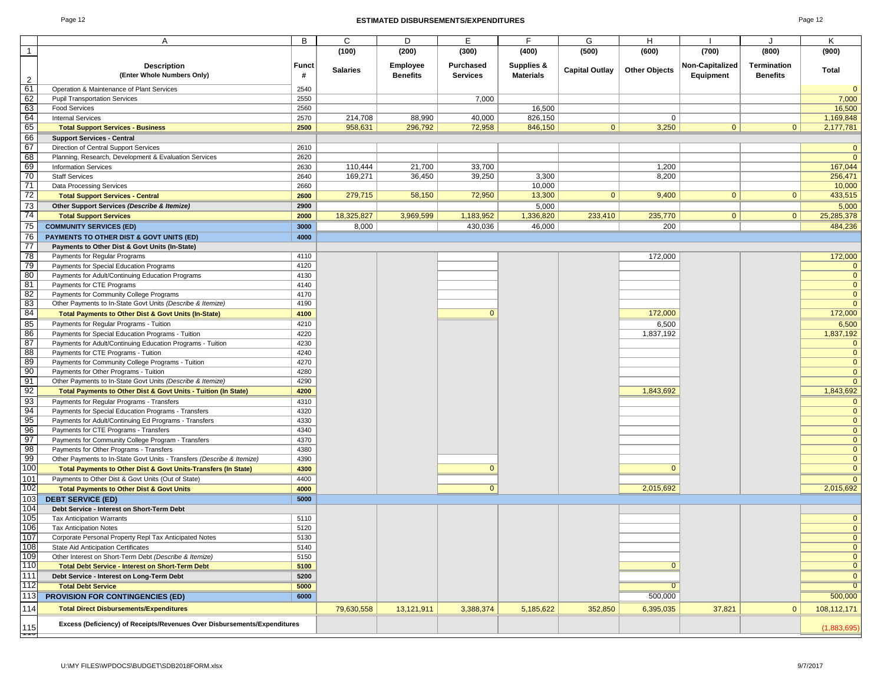#### Page 12 **ESTIMATED DISBURSEMENTS/EXPENDITURES** Page 12

| ane. |  |  |
|------|--|--|
|------|--|--|

|                 | A                                                                                             | B            | C               | D               | Ē                |                  | G                     | н                    |                        |                    | Κ                              |
|-----------------|-----------------------------------------------------------------------------------------------|--------------|-----------------|-----------------|------------------|------------------|-----------------------|----------------------|------------------------|--------------------|--------------------------------|
| $\mathbf{1}$    |                                                                                               |              | (100)           | (200)           | (300)            | (400)            | (500)                 | (600)                | (700)                  | (800)              | (900)                          |
|                 |                                                                                               |              |                 |                 |                  |                  |                       |                      |                        |                    |                                |
|                 | <b>Description</b>                                                                            | Funct        | <b>Salaries</b> | <b>Employee</b> | <b>Purchased</b> | Supplies &       | <b>Capital Outlay</b> | <b>Other Objects</b> | <b>Non-Capitalized</b> | <b>Termination</b> | <b>Total</b>                   |
| 2               | (Enter Whole Numbers Only)                                                                    | #            |                 | <b>Benefits</b> | <b>Services</b>  | <b>Materials</b> |                       |                      | Equipment              | <b>Benefits</b>    |                                |
| 61              | Operation & Maintenance of Plant Services                                                     | 2540         |                 |                 |                  |                  |                       |                      |                        |                    | $\mathbf{0}$                   |
| 62              | <b>Pupil Transportation Services</b>                                                          | 2550         |                 |                 | 7,000            |                  |                       |                      |                        |                    | 7,000                          |
| 63              | <b>Food Services</b>                                                                          | 2560         |                 |                 |                  | 16,500           |                       |                      |                        |                    | 16,500                         |
| 64              | <b>Internal Services</b>                                                                      | 2570         | 214,708         | 88,990          | 40,000           | 826,150          |                       | $\mathbf 0$          |                        |                    | 1,169,848                      |
| 65              | <b>Total Support Services - Business</b>                                                      | 2500         | 958,631         | 296,792         | 72,958           | 846,150          | $\mathbf{0}$          | 3,250                | $\mathbf{0}$           | $\mathbf{0}$       | 2,177,781                      |
| 66              | <b>Support Services - Central</b>                                                             |              |                 |                 |                  |                  |                       |                      |                        |                    |                                |
| 67              | Direction of Central Support Services                                                         | 2610         |                 |                 |                  |                  |                       |                      |                        |                    | $\mathbf{0}$                   |
| 68              | Planning, Research, Development & Evaluation Services                                         | 2620         |                 |                 |                  |                  |                       |                      |                        |                    | $\mathbf 0$                    |
| 69              | <b>Information Services</b>                                                                   | 2630         | 110,444         | 21,700          | 33,700           |                  |                       | 1,200                |                        |                    | 167,044                        |
| 70              | <b>Staff Services</b>                                                                         | 2640         | 169,271         | 36,450          | 39,250           | 3,300            |                       | 8,200                |                        |                    | 256,471                        |
| 71              | <b>Data Processing Services</b>                                                               | 2660         |                 |                 |                  | 10,000           |                       |                      |                        |                    | 10,000                         |
| 72              | <b>Total Support Services - Central</b>                                                       | 2600         | 279,715         | 58,150          | 72,950           | 13,300           | $\mathbf{0}$          | 9,400                | $\mathbf{0}$           | $\mathbf{0}$       | 433,515                        |
| 73              | Other Support Services (Describe & Itemize)                                                   | 2900         |                 |                 |                  | 5,000            |                       |                      |                        |                    | 5,000                          |
| 74              | <b>Total Support Services</b>                                                                 | 2000         | 18,325,827      | 3,969,599       | 1,183,952        | 1,336,820        | 233,410               | 235,770              | $\mathbf{0}$           | $\overline{0}$     | 25,285,378                     |
| 75              | <b>COMMUNITY SERVICES (ED)</b>                                                                | 3000         | 8,000           |                 | 430,036          | 46,000           |                       | 200                  |                        |                    | 484,236                        |
| 76              | PAYMENTS TO OTHER DIST & GOVT UNITS (ED)                                                      | 4000         |                 |                 |                  |                  |                       |                      |                        |                    |                                |
| 77              | Payments to Other Dist & Govt Units (In-State)                                                |              |                 |                 |                  |                  |                       |                      |                        |                    |                                |
| $\overline{78}$ | Payments for Regular Programs                                                                 | 4110         |                 |                 |                  |                  |                       | 172,000              |                        |                    | 172,000                        |
| 79              | Payments for Special Education Programs                                                       | 4120         |                 |                 |                  |                  |                       |                      |                        |                    | $\mathbf{0}$                   |
| 80              | Payments for Adult/Continuing Education Programs                                              | 4130         |                 |                 |                  |                  |                       |                      |                        |                    | $\mathbf{0}$                   |
| 81              | Payments for CTE Programs                                                                     | 4140         |                 |                 |                  |                  |                       |                      |                        |                    | $\mathbf{0}$                   |
| 82              | Payments for Community College Programs                                                       | 4170         |                 |                 |                  |                  |                       |                      |                        |                    | $\mathbf{0}$                   |
| 83              | Other Payments to In-State Govt Units (Describe & Itemize)                                    | 4190         |                 |                 |                  |                  |                       |                      |                        |                    | $\mathbf{0}$                   |
| 84              | Total Payments to Other Dist & Govt Units (In-State)                                          | 4100         |                 |                 | $\mathbf{0}$     |                  |                       | 172,000              |                        |                    | 172,000                        |
| 85              | Payments for Regular Programs - Tuition                                                       | 4210         |                 |                 |                  |                  |                       | 6,500                |                        |                    | 6,500                          |
| 86              | Payments for Special Education Programs - Tuition                                             | 4220         |                 |                 |                  |                  |                       | 1,837,192            |                        |                    | 1,837,192                      |
| 87              | Payments for Adult/Continuing Education Programs - Tuition                                    | 4230         |                 |                 |                  |                  |                       |                      |                        |                    | $\mathbf{0}$                   |
| 88              | Payments for CTE Programs - Tuition                                                           | 4240         |                 |                 |                  |                  |                       |                      |                        |                    | $\mathbf{0}$                   |
| 89              | Payments for Community College Programs - Tuition                                             | 4270         |                 |                 |                  |                  |                       |                      |                        |                    | $\mathbf{0}$                   |
| 90              | Payments for Other Programs - Tuition                                                         | 4280         |                 |                 |                  |                  |                       |                      |                        |                    | $\mathbf{0}$                   |
| 91              | Other Payments to In-State Govt Units (Describe & Itemize)                                    | 4290         |                 |                 |                  |                  |                       |                      |                        |                    | $\overline{0}$                 |
| 92              | Total Payments to Other Dist & Govt Units - Tuition (In State)                                | 4200         |                 |                 |                  |                  |                       | 1,843,692            |                        |                    | 1,843,692                      |
| 93              | Payments for Regular Programs - Transfers                                                     | 4310         |                 |                 |                  |                  |                       |                      |                        |                    | $\mathbf{0}$                   |
| 94              | Payments for Special Education Programs - Transfers                                           | 4320         |                 |                 |                  |                  |                       |                      |                        |                    | $\overline{0}$                 |
| 95              | Payments for Adult/Continuing Ed Programs - Transfers                                         | 4330         |                 |                 |                  |                  |                       |                      |                        |                    | $\mathbf{0}$                   |
| 96              | Payments for CTE Programs - Transfers                                                         | 4340         |                 |                 |                  |                  |                       |                      |                        |                    | $\mathbf{0}$                   |
| 97              | Payments for Community College Program - Transfers                                            | 4370         |                 |                 |                  |                  |                       |                      |                        |                    | $\overline{0}$                 |
| 98              | Payments for Other Programs - Transfers                                                       | 4380         |                 |                 |                  |                  |                       |                      |                        |                    | $\mathbf{0}$                   |
| 99<br>100       | Other Payments to In-State Govt Units - Transfers (Describe & Itemize)                        | 4390         |                 |                 | $\mathbf{0}$     |                  |                       | $\mathbf{0}$         |                        |                    | $\mathbf{0}$<br>$\mathbf{0}$   |
|                 | Total Payments to Other Dist & Govt Units-Transfers (In State)                                | 4300         |                 |                 |                  |                  |                       |                      |                        |                    |                                |
| 101             | Payments to Other Dist & Govt Units (Out of State)                                            | 4400         |                 |                 |                  |                  |                       |                      |                        |                    | $\mathbf{0}$                   |
| 102             | <b>Total Payments to Other Dist &amp; Govt Units</b>                                          | 4000         |                 |                 | $\mathbf{0}$     |                  |                       | 2,015,692            |                        |                    | 2,015,692                      |
| 103             | <b>DEBT SERVICE (ED)</b>                                                                      | 5000         |                 |                 |                  |                  |                       |                      |                        |                    |                                |
| 104             | Debt Service - Interest on Short-Term Debt                                                    |              |                 |                 |                  |                  |                       |                      |                        |                    |                                |
| 105<br>106      | <b>Tax Anticipation Warrants</b>                                                              | 5110<br>5120 |                 |                 |                  |                  |                       |                      |                        |                    | $\mathbf{0}$<br>$\mathbf{0}$   |
|                 | <b>Tax Anticipation Notes</b>                                                                 |              |                 |                 |                  |                  |                       |                      |                        |                    |                                |
| 107<br>108      | Corporate Personal Property Repl Tax Anticipated Notes<br>State Aid Anticipation Certificates | 5130<br>5140 |                 |                 |                  |                  |                       |                      |                        |                    | $\overline{0}$<br>$\mathbf{0}$ |
| 109             | Other Interest on Short-Term Debt (Describe & Itemize)                                        | 5150         |                 |                 |                  |                  |                       |                      |                        |                    | $\mathbf{0}$                   |
| 110             | <b>Total Debt Service - Interest on Short-Term Debt</b>                                       | 5100         |                 |                 |                  |                  |                       | $\mathbf{0}$         |                        |                    | $\overline{0}$                 |
| 111             | Debt Service - Interest on Long-Term Debt                                                     | 5200         |                 |                 |                  |                  |                       |                      |                        |                    | $\overline{0}$                 |
| 112             | <b>Total Debt Service</b>                                                                     | 5000         |                 |                 |                  |                  |                       | $\overline{0}$       |                        |                    | $\overline{0}$                 |
| 113             | <b>PROVISION FOR CONTINGENCIES (ED)</b>                                                       | 6000         |                 |                 |                  |                  |                       | 500,000              |                        |                    | 500,000                        |
|                 |                                                                                               |              |                 |                 |                  |                  |                       |                      |                        |                    |                                |
| 114             | <b>Total Direct Disbursements/Expenditures</b>                                                |              | 79,630,558      | 13,121,911      | 3,388,374        | 5,185,622        | 352,850               | 6,395,035            | 37,821                 | $\mathbf{0}$       | 108,112,171                    |
| 115             | Excess (Deficiency) of Receipts/Revenues Over Disbursements/Expenditures                      |              |                 |                 |                  |                  |                       |                      |                        |                    | (1,883,695)                    |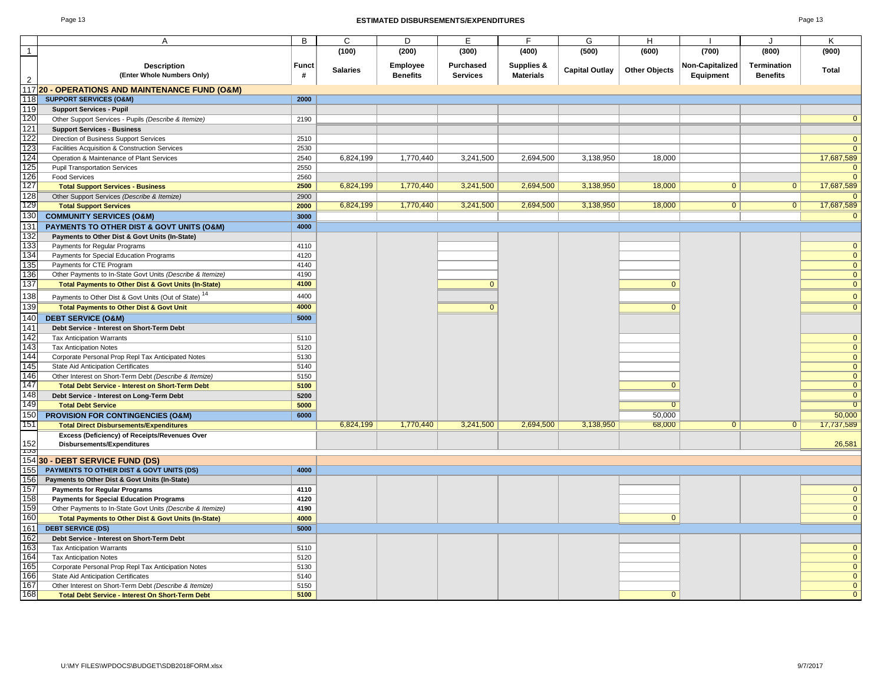#### Page 13 **ESTIMATED DISBURSEMENTS/EXPENDITURES** Page 13

|                | A                                                                                    | В            | C               | D                                  | Е                            | F                              | G                     | H                    |                              |                                       | K            |
|----------------|--------------------------------------------------------------------------------------|--------------|-----------------|------------------------------------|------------------------------|--------------------------------|-----------------------|----------------------|------------------------------|---------------------------------------|--------------|
| $\overline{1}$ |                                                                                      |              | (100)           | (200)                              | (300)                        | (400)                          | (500)                 | (600)                | (700)                        | (800)                                 | (900)        |
| $\overline{2}$ | <b>Description</b><br>(Enter Whole Numbers Only)                                     | Funct<br>#   | <b>Salaries</b> | <b>Employee</b><br><b>Benefits</b> | Purchased<br><b>Services</b> | Supplies &<br><b>Materials</b> | <b>Capital Outlay</b> | <b>Other Objects</b> | Non-Capitalized<br>Equipment | <b>Termination</b><br><b>Benefits</b> | Total        |
|                | 11720 - OPERATIONS AND MAINTENANCE FUND (O&M)                                        |              |                 |                                    |                              |                                |                       |                      |                              |                                       |              |
| 118            | <b>SUPPORT SERVICES (O&amp;M)</b>                                                    | 2000         |                 |                                    |                              |                                |                       |                      |                              |                                       |              |
| 119            | <b>Support Services - Pupil</b>                                                      |              |                 |                                    |                              |                                |                       |                      |                              |                                       |              |
| 120            | Other Support Services - Pupils (Describe & Itemize)                                 | 2190         |                 |                                    |                              |                                |                       |                      |                              |                                       |              |
| 121            | <b>Support Services - Business</b>                                                   |              |                 |                                    |                              |                                |                       |                      |                              |                                       |              |
| 122            | Direction of Business Support Services                                               | 2510         |                 |                                    |                              |                                |                       |                      |                              |                                       |              |
| 123            | Facilities Acquisition & Construction Services                                       | 2530         |                 |                                    |                              |                                |                       |                      |                              |                                       |              |
| 124            | Operation & Maintenance of Plant Services                                            | 2540         | 6.824.199       | 1.770.440                          | 3,241,500                    | 2,694,500                      | 3.138.950             | 18.000               |                              |                                       | 17,687,589   |
| 125            | <b>Pupil Transportation Services</b>                                                 | 2550         |                 |                                    |                              |                                |                       |                      |                              |                                       | $\Omega$     |
| 126            | Food Services                                                                        | 2560         |                 |                                    |                              |                                |                       |                      |                              |                                       | $\mathbf{0}$ |
| 127            | <b>Total Support Services - Business</b>                                             | 2500         | 6,824,199       | 1,770,440                          | 3,241,500                    | 2,694,500                      | 3,138,950             | 18,000               | $\overline{0}$               | 0 <sup>1</sup>                        | 17,687,589   |
| 128            | Other Support Services (Describe & Itemize)                                          | 2900         |                 |                                    |                              |                                |                       |                      |                              |                                       |              |
| 129            | <b>Total Support Services</b>                                                        | 2000         | 6,824,199       | 1,770,440                          | 3,241,500                    | 2,694,500                      | 3,138,950             | 18,000               | $\mathbf{0}$                 | $\mathbf{0}$                          | 17,687,589   |
| 130            | <b>COMMUNITY SERVICES (O&amp;M)</b>                                                  | 3000         |                 |                                    |                              |                                |                       |                      |                              |                                       |              |
| 131            | PAYMENTS TO OTHER DIST & GOVT UNITS (O&M)                                            | 4000         |                 |                                    |                              |                                |                       |                      |                              |                                       |              |
| 132            | Payments to Other Dist & Govt Units (In-State)                                       |              |                 |                                    |                              |                                |                       |                      |                              |                                       |              |
| 133            | Payments for Regular Programs                                                        | 4110         |                 |                                    |                              |                                |                       |                      |                              |                                       |              |
| 134            | Payments for Special Education Programs                                              | 4120         |                 |                                    |                              |                                |                       |                      |                              |                                       |              |
| 135            | Payments for CTE Program                                                             | 4140         |                 |                                    |                              |                                |                       |                      |                              |                                       |              |
| 136            | Other Payments to In-State Govt Units (Describe & Itemize)                           | 4190         |                 |                                    |                              |                                |                       |                      |                              |                                       |              |
| 137            | Total Payments to Other Dist & Govt Units (In-State)                                 | 4100         |                 |                                    | $\mathbf{0}$                 |                                |                       | $\mathbf{0}$         |                              |                                       | $\Omega$     |
| 138            | Payments to Other Dist & Govt Units (Out of State) <sup>14</sup>                     | 4400         |                 |                                    |                              |                                |                       |                      |                              |                                       | $\Omega$     |
| 139            | <b>Total Payments to Other Dist &amp; Govt Unit</b>                                  | 4000         |                 |                                    | $\overline{0}$               |                                |                       | $\overline{0}$       |                              |                                       |              |
| 140            | <b>DEBT SERVICE (O&amp;M)</b>                                                        | 5000         |                 |                                    |                              |                                |                       |                      |                              |                                       |              |
| 141            | Debt Service - Interest on Short-Term Debt                                           |              |                 |                                    |                              |                                |                       |                      |                              |                                       |              |
| 142            | <b>Tax Anticipation Warrants</b>                                                     | 5110         |                 |                                    |                              |                                |                       |                      |                              |                                       |              |
| 143            | <b>Tax Anticipation Notes</b>                                                        | 5120         |                 |                                    |                              |                                |                       |                      |                              |                                       | $\mathbf{0}$ |
| 144            | Corporate Personal Prop Repl Tax Anticipated Notes                                   | 5130         |                 |                                    |                              |                                |                       |                      |                              |                                       | $\Omega$     |
| 145            | <b>State Aid Anticipation Certificates</b>                                           | 5140         |                 |                                    |                              |                                |                       |                      |                              |                                       |              |
| 146            | Other Interest on Short-Term Debt (Describe & Itemize)                               | 5150         |                 |                                    |                              |                                |                       |                      |                              |                                       |              |
| 147            | <b>Total Debt Service - Interest on Short-Term Debt</b>                              | 5100         |                 |                                    |                              |                                |                       | $\overline{0}$       |                              |                                       |              |
| 148            | Debt Service - Interest on Long-Term Debt                                            | 5200         |                 |                                    |                              |                                |                       |                      |                              |                                       | -0           |
| 149            | <b>Total Debt Service</b>                                                            | 5000         |                 |                                    |                              |                                |                       | $\overline{0}$       |                              |                                       |              |
| 150            | <b>PROVISION FOR CONTINGENCIES (O&amp;M)</b>                                         | 6000         |                 |                                    |                              |                                |                       | 50,000               |                              |                                       | 50,000       |
| 151            | <b>Total Direct Disbursements/Expenditures</b>                                       |              | 6,824,199       | 1,770,440                          | 3,241,500                    | 2,694,500                      | 3,138,950             | 68,000               | $\overline{0}$               | $\mathbf{0}$                          | 17,737,589   |
|                | Excess (Deficiency) of Receipts/Revenues Over                                        |              |                 |                                    |                              |                                |                       |                      |                              |                                       |              |
| 152            | Disbursements/Expenditures                                                           |              |                 |                                    |                              |                                |                       |                      |                              |                                       | 26,581       |
| ၢဘ             |                                                                                      |              |                 |                                    |                              |                                |                       |                      |                              |                                       |              |
|                | 154 30 - DEBT SERVICE FUND (DS)                                                      |              |                 |                                    |                              |                                |                       |                      |                              |                                       |              |
| 155            | PAYMENTS TO OTHER DIST & GOVT UNITS (DS)                                             | 4000         |                 |                                    |                              |                                |                       |                      |                              |                                       |              |
| 156            | Payments to Other Dist & Govt Units (In-State)                                       |              |                 |                                    |                              |                                |                       |                      |                              |                                       |              |
| 157            | <b>Payments for Regular Programs</b>                                                 | 4110         |                 |                                    |                              |                                |                       |                      |                              |                                       |              |
| 158            | <b>Payments for Special Education Programs</b>                                       | 4120         |                 |                                    |                              |                                |                       |                      |                              |                                       |              |
| 159<br>160     | Other Payments to In-State Govt Units (Describe & Itemize)                           | 4190         |                 |                                    |                              |                                |                       | $\mathbf{0}$         |                              |                                       | $\Omega$     |
|                | <b>Total Payments to Other Dist &amp; Govt Units (In-State)</b>                      | 4000         |                 |                                    |                              |                                |                       |                      |                              |                                       |              |
| 161            | <b>DEBT SERVICE (DS)</b>                                                             | 5000         |                 |                                    |                              |                                |                       |                      |                              |                                       |              |
| 162<br>163     | Debt Service - Interest on Short-Term Debt                                           |              |                 |                                    |                              |                                |                       |                      |                              |                                       |              |
| 164            | <b>Tax Anticipation Warrants</b>                                                     | 5110         |                 |                                    |                              |                                |                       |                      |                              |                                       |              |
| 165            | <b>Tax Anticipation Notes</b><br>Corporate Personal Prop Repl Tax Anticipation Notes | 5120<br>5130 |                 |                                    |                              |                                |                       |                      |                              |                                       |              |
| 166            | <b>State Aid Anticipation Certificates</b>                                           | 5140         |                 |                                    |                              |                                |                       |                      |                              |                                       |              |
| 167            | Other Interest on Short-Term Debt (Describe & Itemize)                               | 5150         |                 |                                    |                              |                                |                       |                      |                              |                                       |              |
| 168            | <b>Total Debt Service - Interest On Short-Term Debt</b>                              | 5100         |                 |                                    |                              |                                |                       | $\overline{0}$       |                              |                                       |              |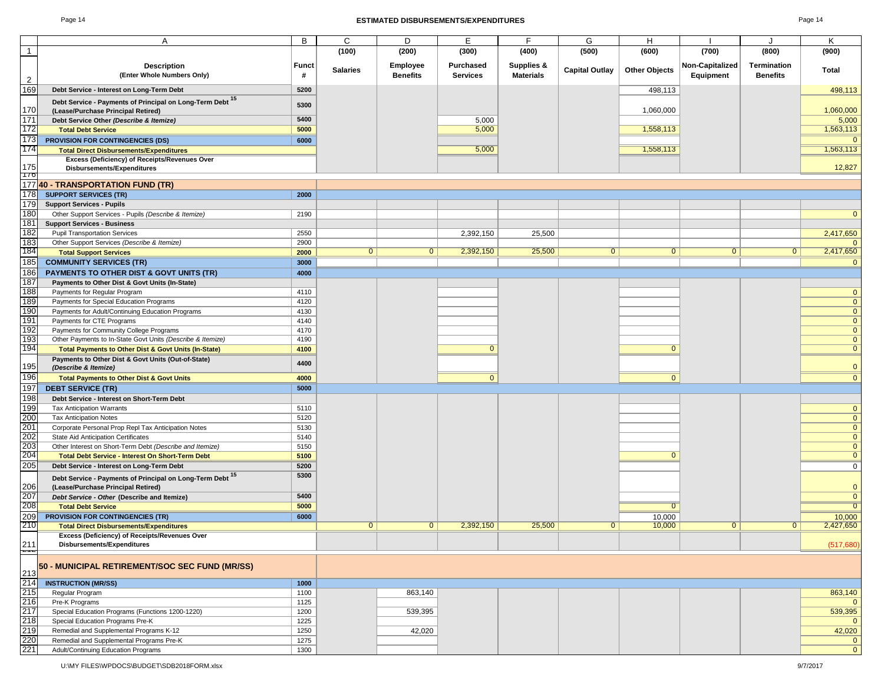#### Page 14 **ESTIMATED DISBURSEMENTS/EXPENDITURES** Page 14

|                                                                    | A                                                          | В          | C               | D               | Е                | F                                         | G                     | н                    |                 |                 | Κ              |
|--------------------------------------------------------------------|------------------------------------------------------------|------------|-----------------|-----------------|------------------|-------------------------------------------|-----------------------|----------------------|-----------------|-----------------|----------------|
| $\mathbf{1}$                                                       |                                                            |            | (100)           | (200)           | (300)            | (400)                                     | (500)                 | (600)                | (700)           | (800)           | (900)          |
|                                                                    |                                                            |            |                 | <b>Employee</b> | <b>Purchased</b> |                                           |                       |                      | Non-Capitalized | Termination     |                |
|                                                                    | <b>Description</b><br>(Enter Whole Numbers Only)           | Funct<br># | <b>Salaries</b> | <b>Benefits</b> |                  | <b>Supplies &amp;</b><br><b>Materials</b> | <b>Capital Outlay</b> | <b>Other Objects</b> |                 |                 | Total          |
| $\overline{2}$                                                     |                                                            |            |                 |                 | <b>Services</b>  |                                           |                       |                      | Equipment       | <b>Benefits</b> |                |
| 169                                                                | Debt Service - Interest on Long-Term Debt                  | 5200       |                 |                 |                  |                                           |                       | 498,113              |                 |                 | 498,113        |
|                                                                    | Debt Service - Payments of Principal on Long-Term Debt 15  |            |                 |                 |                  |                                           |                       |                      |                 |                 |                |
| 170                                                                | (Lease/Purchase Principal Retired)                         | 5300       |                 |                 |                  |                                           |                       | 1,060,000            |                 |                 | 1,060,000      |
| 171                                                                | Debt Service Other (Describe & Itemize)                    | 5400       |                 |                 | 5,000            |                                           |                       |                      |                 |                 | 5,000          |
| 172                                                                | <b>Total Debt Service</b>                                  | 5000       |                 |                 | 5,000            |                                           |                       | 1,558,113            |                 |                 | 1,563,113      |
| 173                                                                |                                                            |            |                 |                 |                  |                                           |                       |                      |                 |                 | $\Omega$       |
| 174                                                                | <b>PROVISION FOR CONTINGENCIES (DS)</b>                    | 6000       |                 |                 |                  |                                           |                       |                      |                 |                 |                |
|                                                                    | <b>Total Direct Disbursements/Expenditures</b>             |            |                 |                 | 5,000            |                                           |                       | 1,558,113            |                 |                 | 1,563,113      |
| 175                                                                | Excess (Deficiency) of Receipts/Revenues Over              |            |                 |                 |                  |                                           |                       |                      |                 |                 | 12,827         |
|                                                                    | Disbursements/Expenditures                                 |            |                 |                 |                  |                                           |                       |                      |                 |                 |                |
|                                                                    | 176<br>177 40 - TRANSPORTATION FUND (TR)                   |            |                 |                 |                  |                                           |                       |                      |                 |                 |                |
| 178                                                                | <b>SUPPORT SERVICES (TR)</b>                               | 2000       |                 |                 |                  |                                           |                       |                      |                 |                 |                |
| 179                                                                |                                                            |            |                 |                 |                  |                                           |                       |                      |                 |                 |                |
|                                                                    | <b>Support Services - Pupils</b>                           |            |                 |                 |                  |                                           |                       |                      |                 |                 |                |
| 180                                                                | Other Support Services - Pupils (Describe & Itemize)       | 2190       |                 |                 |                  |                                           |                       |                      |                 |                 | $\mathbf 0$    |
| 181                                                                | <b>Support Services - Business</b>                         |            |                 |                 |                  |                                           |                       |                      |                 |                 |                |
| 182                                                                | <b>Pupil Transportation Services</b>                       | 2550       |                 |                 | 2,392,150        | 25,500                                    |                       |                      |                 |                 | 2,417,650      |
| 183                                                                | Other Support Services (Describe & Itemize)                | 2900       |                 |                 |                  |                                           |                       |                      |                 |                 | $\Omega$       |
| 184                                                                | <b>Total Support Services</b>                              | 2000       | $\mathbf{0}$    | $\mathbf{0}$    | 2,392,150        | 25,500                                    | $\mathbf 0$           | $\mathbf{0}$         | $\mathbf{0}$    | $\mathbf{0}$    | 2,417,650      |
| 185                                                                | <b>COMMUNITY SERVICES (TR)</b>                             | 3000       |                 |                 |                  |                                           |                       |                      |                 |                 | $\mathbf{0}$   |
| 186                                                                | <b>PAYMENTS TO OTHER DIST &amp; GOVT UNITS (TR)</b>        | 4000       |                 |                 |                  |                                           |                       |                      |                 |                 |                |
| 187                                                                | Payments to Other Dist & Govt Units (In-State)             |            |                 |                 |                  |                                           |                       |                      |                 |                 |                |
| 188                                                                | Payments for Regular Program                               | 4110       |                 |                 |                  |                                           |                       |                      |                 |                 | $\mathbf 0$    |
| 189                                                                | Payments for Special Education Programs                    | 4120       |                 |                 |                  |                                           |                       |                      |                 |                 | $\bf{0}$       |
| 190                                                                | Payments for Adult/Continuing Education Programs           | 4130       |                 |                 |                  |                                           |                       |                      |                 |                 | $\bf{0}$       |
| 191                                                                | Payments for CTE Programs                                  | 4140       |                 |                 |                  |                                           |                       |                      |                 |                 | $\bf{0}$       |
| 192                                                                | Payments for Community College Programs                    | 4170       |                 |                 |                  |                                           |                       |                      |                 |                 | $\bf{0}$       |
| 193                                                                | Other Payments to In-State Govt Units (Describe & Itemize) | 4190       |                 |                 |                  |                                           |                       |                      |                 |                 | $\mathbf 0$    |
| 194                                                                | Total Payments to Other Dist & Govt Units (In-State)       | 4100       |                 |                 | $\Omega$         |                                           |                       | $\Omega$             |                 |                 | $\overline{0}$ |
|                                                                    | Payments to Other Dist & Govt Units (Out-of-State)         |            |                 |                 |                  |                                           |                       |                      |                 |                 |                |
| 195                                                                | (Describe & Itemize)                                       | 4400       |                 |                 |                  |                                           |                       |                      |                 |                 | $\mathbf 0$    |
| 196                                                                | <b>Total Payments to Other Dist &amp; Govt Units</b>       | 4000       |                 |                 | $\mathbf{0}$     |                                           |                       | $\mathbf{0}$         |                 |                 | $\overline{0}$ |
| 197                                                                | <b>DEBT SERVICE (TR)</b>                                   | 5000       |                 |                 |                  |                                           |                       |                      |                 |                 |                |
| 198                                                                | Debt Service - Interest on Short-Term Debt                 |            |                 |                 |                  |                                           |                       |                      |                 |                 |                |
| 199                                                                | <b>Tax Anticipation Warrants</b>                           | 5110       |                 |                 |                  |                                           |                       |                      |                 |                 | $\mathbf 0$    |
|                                                                    |                                                            |            |                 |                 |                  |                                           |                       |                      |                 |                 | $\bf{0}$       |
| 200<br>201                                                         | <b>Tax Anticipation Notes</b>                              | 5120       |                 |                 |                  |                                           |                       |                      |                 |                 |                |
|                                                                    | Corporate Personal Prop Repl Tax Anticipation Notes        | 5130       |                 |                 |                  |                                           |                       |                      |                 |                 | $\overline{0}$ |
|                                                                    | State Aid Anticipation Certificates                        | 5140       |                 |                 |                  |                                           |                       |                      |                 |                 | $\mathbf 0$    |
| 202<br>203<br>204                                                  | Other Interest on Short-Term Debt (Describe and Itemize)   | 5150       |                 |                 |                  |                                           |                       |                      |                 |                 | $\bf{0}$       |
|                                                                    | <b>Total Debt Service - Interest On Short-Term Debt</b>    | 5100       |                 |                 |                  |                                           |                       | $\Omega$             |                 |                 | $\overline{0}$ |
| 205                                                                | Debt Service - Interest on Long-Term Debt                  | 5200       |                 |                 |                  |                                           |                       |                      |                 |                 | $\mathbf 0$    |
|                                                                    | Debt Service - Payments of Principal on Long-Term Debt 15  | 5300       |                 |                 |                  |                                           |                       |                      |                 |                 |                |
| 206                                                                | (Lease/Purchase Principal Retired)                         |            |                 |                 |                  |                                           |                       |                      |                 |                 | $\mathbf 0$    |
| 207                                                                | Debt Service - Other (Describe and Itemize)                | 5400       |                 |                 |                  |                                           |                       |                      |                 |                 | $\mathbf 0$    |
| 208                                                                | <b>Total Debt Service</b>                                  | 5000       |                 |                 |                  |                                           |                       | $\overline{0}$       |                 |                 | $\overline{0}$ |
| 209                                                                | <b>PROVISION FOR CONTINGENCIES (TR)</b>                    | 6000       |                 |                 |                  |                                           |                       | 10,000               |                 |                 | 10,000         |
| 210                                                                | <b>Total Direct Disbursements/Expenditures</b>             |            | $\mathbf{0}$    | $\overline{0}$  | 2,392,150        | 25,500                                    | $\mathbf 0$           | 10,000               | $\overline{0}$  | $\mathbf{0}$    | 2,427,650      |
|                                                                    | Excess (Deficiency) of Receipts/Revenues Over              |            |                 |                 |                  |                                           |                       |                      |                 |                 |                |
| 211                                                                | Disbursements/Expenditures                                 |            |                 |                 |                  |                                           |                       |                      |                 |                 | (517, 680)     |
|                                                                    |                                                            |            |                 |                 |                  |                                           |                       |                      |                 |                 |                |
|                                                                    | 50 - MUNICIPAL RETIREMENT/SOC SEC FUND (MR/SS)             |            |                 |                 |                  |                                           |                       |                      |                 |                 |                |
| 213<br>214<br>215<br>216<br>217<br>218<br>219<br>220<br>220<br>221 | <b>INSTRUCTION (MR/SS)</b>                                 | 1000       |                 |                 |                  |                                           |                       |                      |                 |                 |                |
|                                                                    | Regular Program                                            | 1100       |                 | 863,140         |                  |                                           |                       |                      |                 |                 | 863,140        |
|                                                                    | Pre-K Programs                                             | 1125       |                 |                 |                  |                                           |                       |                      |                 |                 | $\Omega$       |
|                                                                    | Special Education Programs (Functions 1200-1220)           | 1200       |                 | 539,395         |                  |                                           |                       |                      |                 |                 | 539,395        |
|                                                                    | Special Education Programs Pre-K                           | 1225       |                 |                 |                  |                                           |                       |                      |                 |                 | $\mathbf{0}$   |
|                                                                    | Remedial and Supplemental Programs K-12                    | 1250       |                 | 42,020          |                  |                                           |                       |                      |                 |                 | 42,020         |
|                                                                    | Remedial and Supplemental Programs Pre-K                   | 1275       |                 |                 |                  |                                           |                       |                      |                 |                 | $\mathbf 0$    |
|                                                                    | Adult/Continuing Education Programs                        | 1300       |                 |                 |                  |                                           |                       |                      |                 |                 | $\mathbf{0}$   |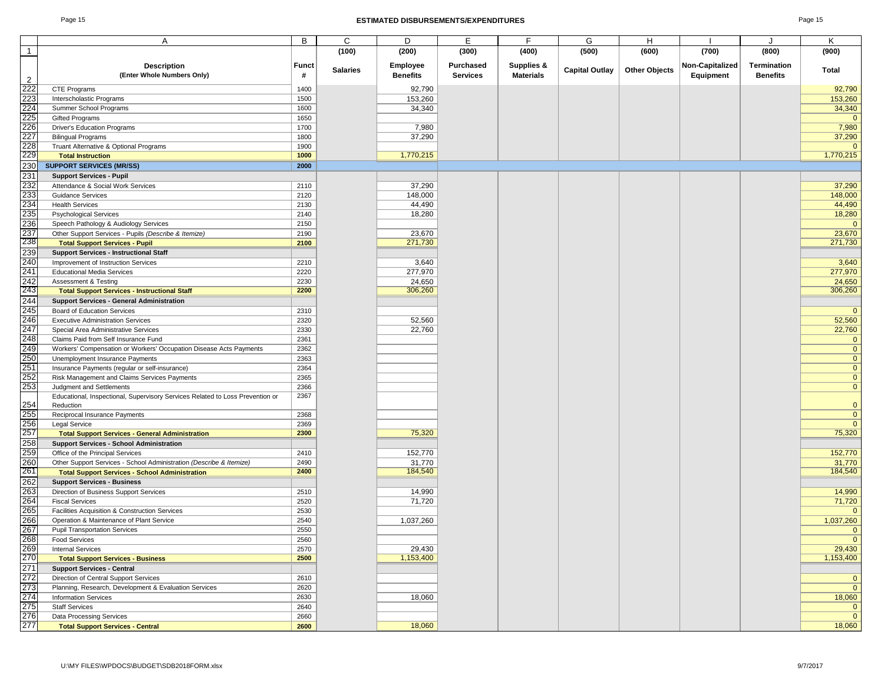#### Page 15 **ESTIMATED DISBURSEMENTS/EXPENDITURES** Page 15

|                | Α                                                                             | В     | C               | D               | Е               | F.               | G                     | Н                    |                 |                 | Κ              |
|----------------|-------------------------------------------------------------------------------|-------|-----------------|-----------------|-----------------|------------------|-----------------------|----------------------|-----------------|-----------------|----------------|
| $\overline{1}$ |                                                                               |       | (100)           | (200)           | (300)           | (400)            | (500)                 | (600)                | (700)           | (800)           | (900)          |
|                |                                                                               |       |                 |                 |                 |                  |                       |                      |                 |                 |                |
|                | <b>Description</b>                                                            | Funct | <b>Salaries</b> | <b>Employee</b> | Purchased       | Supplies &       | <b>Capital Outlay</b> | <b>Other Objects</b> | Non-Capitalized | Termination     | Total          |
|                | (Enter Whole Numbers Only)                                                    | #     |                 | <b>Benefits</b> | <b>Services</b> | <b>Materials</b> |                       |                      | Equipment       | <b>Benefits</b> |                |
| $\overline{2}$ |                                                                               |       |                 |                 |                 |                  |                       |                      |                 |                 |                |
| 222            | CTE Programs                                                                  | 1400  |                 | 92,790          |                 |                  |                       |                      |                 |                 | 92,790         |
| 223            | Interscholastic Programs                                                      | 1500  |                 | 153,260         |                 |                  |                       |                      |                 |                 | 153,260        |
| 224            | Summer School Programs                                                        | 1600  |                 | 34,340          |                 |                  |                       |                      |                 |                 | 34,340         |
| 225            | <b>Gifted Programs</b>                                                        | 1650  |                 |                 |                 |                  |                       |                      |                 |                 | $\mathbf{0}$   |
| 226            | Driver's Education Programs                                                   | 1700  |                 | 7,980           |                 |                  |                       |                      |                 |                 | 7,980          |
| 227            | <b>Bilingual Programs</b>                                                     | 1800  |                 | 37,290          |                 |                  |                       |                      |                 |                 | 37,290         |
| 228            | Truant Alternative & Optional Programs                                        | 1900  |                 |                 |                 |                  |                       |                      |                 |                 | $\mathbf{0}$   |
| 229            |                                                                               |       |                 |                 |                 |                  |                       |                      |                 |                 |                |
|                | <b>Total Instruction</b>                                                      | 1000  |                 | 1,770,215       |                 |                  |                       |                      |                 |                 | 1,770,215      |
| 230            | <b>SUPPORT SERVICES (MR/SS)</b>                                               | 2000  |                 |                 |                 |                  |                       |                      |                 |                 |                |
| 231            | <b>Support Services - Pupil</b>                                               |       |                 |                 |                 |                  |                       |                      |                 |                 |                |
| 232            | Attendance & Social Work Services                                             | 2110  |                 | 37,290          |                 |                  |                       |                      |                 |                 | 37,290         |
| 233            | <b>Guidance Services</b>                                                      | 2120  |                 | 148,000         |                 |                  |                       |                      |                 |                 | 148,000        |
| 234            | <b>Health Services</b>                                                        | 2130  |                 | 44,490          |                 |                  |                       |                      |                 |                 | 44,490         |
|                |                                                                               |       |                 |                 |                 |                  |                       |                      |                 |                 |                |
| 235            | <b>Psychological Services</b>                                                 | 2140  |                 | 18,280          |                 |                  |                       |                      |                 |                 | 18,280         |
| 236            | Speech Pathology & Audiology Services                                         | 2150  |                 |                 |                 |                  |                       |                      |                 |                 | $\mathbf{0}$   |
| 237            | Other Support Services - Pupils (Describe & Itemize)                          | 2190  |                 | 23,670          |                 |                  |                       |                      |                 |                 | 23,670         |
| 238            | <b>Total Support Services - Pupil</b>                                         | 2100  |                 | 271,730         |                 |                  |                       |                      |                 |                 | 271,730        |
| 239            | <b>Support Services - Instructional Staff</b>                                 |       |                 |                 |                 |                  |                       |                      |                 |                 |                |
| 240            | Improvement of Instruction Services                                           | 2210  |                 | 3,640           |                 |                  |                       |                      |                 |                 | 3,640          |
| 241            |                                                                               |       |                 |                 |                 |                  |                       |                      |                 |                 |                |
|                | <b>Educational Media Services</b>                                             | 2220  |                 | 277,970         |                 |                  |                       |                      |                 |                 | 277,970        |
| 242            | <b>Assessment &amp; Testing</b>                                               | 2230  |                 | 24,650          |                 |                  |                       |                      |                 |                 | 24,650         |
| 243            | <b>Total Support Services - Instructional Staff</b>                           | 2200  |                 | 306,260         |                 |                  |                       |                      |                 |                 | 306,260        |
| 244            | <b>Support Services - General Administration</b>                              |       |                 |                 |                 |                  |                       |                      |                 |                 |                |
| 245            | Board of Education Services                                                   | 2310  |                 |                 |                 |                  |                       |                      |                 |                 | $\mathbf{0}$   |
| 246            | <b>Executive Administration Services</b>                                      | 2320  |                 | 52,560          |                 |                  |                       |                      |                 |                 | 52,560         |
| 247            | Special Area Administrative Services                                          | 2330  |                 | 22,760          |                 |                  |                       |                      |                 |                 | 22,760         |
|                |                                                                               |       |                 |                 |                 |                  |                       |                      |                 |                 |                |
| 248            | Claims Paid from Self Insurance Fund                                          | 2361  |                 |                 |                 |                  |                       |                      |                 |                 | $\mathbf{0}$   |
| 249            | Workers' Compensation or Workers' Occupation Disease Acts Payments            | 2362  |                 |                 |                 |                  |                       |                      |                 |                 | $\mathbf 0$    |
| 250            | Unemployment Insurance Payments                                               | 2363  |                 |                 |                 |                  |                       |                      |                 |                 | $\mathbf{0}$   |
| 251            | Insurance Payments (regular or self-insurance)                                | 2364  |                 |                 |                 |                  |                       |                      |                 |                 | $\mathbf{0}$   |
| 252            | Risk Management and Claims Services Payments                                  | 2365  |                 |                 |                 |                  |                       |                      |                 |                 | $\mathbf{0}$   |
| 253            | Judgment and Settlements                                                      | 2366  |                 |                 |                 |                  |                       |                      |                 |                 | $\mathbf{0}$   |
|                |                                                                               | 2367  |                 |                 |                 |                  |                       |                      |                 |                 |                |
| 254            | Educational, Inspectional, Supervisory Services Related to Loss Prevention or |       |                 |                 |                 |                  |                       |                      |                 |                 | $\mathbf{0}$   |
|                | Reduction                                                                     |       |                 |                 |                 |                  |                       |                      |                 |                 |                |
| 255            | Reciprocal Insurance Payments                                                 | 2368  |                 |                 |                 |                  |                       |                      |                 |                 | $\mathbf{0}$   |
| 256<br>257     | <b>Legal Service</b>                                                          | 2369  |                 |                 |                 |                  |                       |                      |                 |                 | $\Omega$       |
|                | <b>Total Support Services - General Administration</b>                        | 2300  |                 | 75,320          |                 |                  |                       |                      |                 |                 | 75,320         |
| 258            | <b>Support Services - School Administration</b>                               |       |                 |                 |                 |                  |                       |                      |                 |                 |                |
| 259            | Office of the Principal Services                                              | 2410  |                 | 152,770         |                 |                  |                       |                      |                 |                 | 152,770        |
| 260            | Other Support Services - School Administration (Describe & Itemize)           | 2490  |                 | 31,770          |                 |                  |                       |                      |                 |                 | 31,770         |
| 261            | <b>Total Support Services - School Administration</b>                         | 2400  |                 | 184,540         |                 |                  |                       |                      |                 |                 | 184,540        |
|                |                                                                               |       |                 |                 |                 |                  |                       |                      |                 |                 |                |
| 262            | <b>Support Services - Business</b>                                            |       |                 |                 |                 |                  |                       |                      |                 |                 |                |
| 263            | Direction of Business Support Services                                        | 2510  |                 | 14,990          |                 |                  |                       |                      |                 |                 | 14,990         |
| 264            | <b>Fiscal Services</b>                                                        | 2520  |                 | 71,720          |                 |                  |                       |                      |                 |                 | 71,720         |
| 265            | Facilities Acquisition & Construction Services                                | 2530  |                 |                 |                 |                  |                       |                      |                 |                 | $\Omega$       |
| 266            | Operation & Maintenance of Plant Service                                      | 2540  |                 | 1,037,260       |                 |                  |                       |                      |                 |                 | 1,037,260      |
| 267            | <b>Pupil Transportation Services</b>                                          | 2550  |                 |                 |                 |                  |                       |                      |                 |                 | $\mathbf{0}$   |
|                |                                                                               |       |                 |                 |                 |                  |                       |                      |                 |                 | $\overline{0}$ |
| 268            | <b>Food Services</b>                                                          | 2560  |                 |                 |                 |                  |                       |                      |                 |                 |                |
| 269            | <b>Internal Services</b>                                                      | 2570  |                 | 29,430          |                 |                  |                       |                      |                 |                 | 29,430         |
| 270            | <b>Total Support Services - Business</b>                                      | 2500  |                 | 1,153,400       |                 |                  |                       |                      |                 |                 | 1,153,400      |
| 271            | <b>Support Services - Central</b>                                             |       |                 |                 |                 |                  |                       |                      |                 |                 |                |
| 272            | Direction of Central Support Services                                         | 2610  |                 |                 |                 |                  |                       |                      |                 |                 | $\mathbf 0$    |
| 273            | Planning, Research, Development & Evaluation Services                         | 2620  |                 |                 |                 |                  |                       |                      |                 |                 | $\mathbf 0$    |
| 274            | <b>Information Services</b>                                                   | 2630  |                 | 18,060          |                 |                  |                       |                      |                 |                 | 18,060         |
|                |                                                                               |       |                 |                 |                 |                  |                       |                      |                 |                 |                |
| 275            | <b>Staff Services</b>                                                         | 2640  |                 |                 |                 |                  |                       |                      |                 |                 | $\mathbf 0$    |
| 276            | Data Processing Services                                                      | 2660  |                 |                 |                 |                  |                       |                      |                 |                 | $\mathbf{0}$   |
| 277            | <b>Total Support Services - Central</b>                                       | 2600  |                 | 18,060          |                 |                  |                       |                      |                 |                 | 18,060         |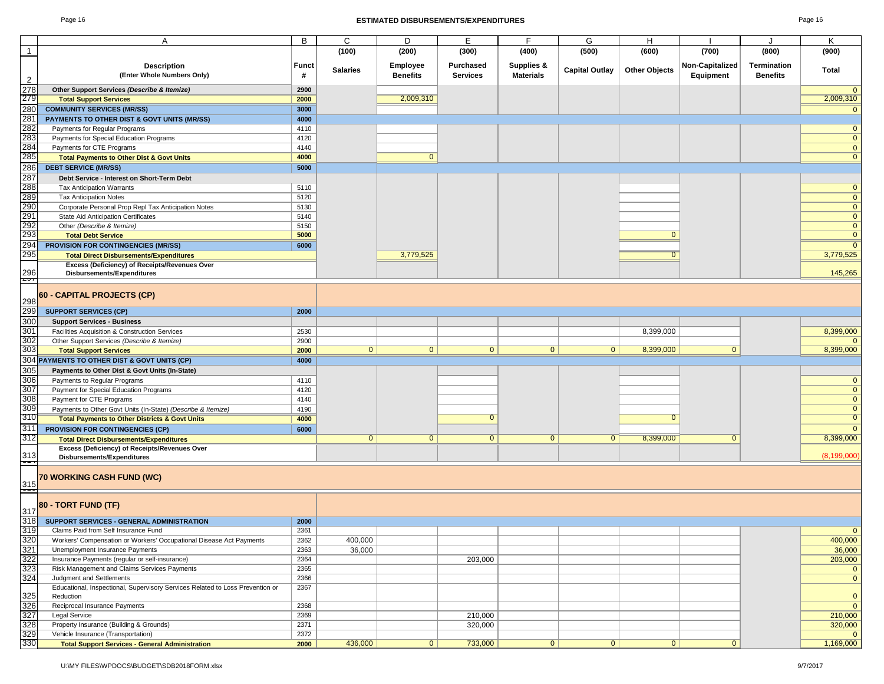#### Page 16 **ESTIMATED DISBURSEMENTS/EXPENDITURES** Page 16

| Page 1 | 16 |  |
|--------|----|--|
|--------|----|--|

|                                                      | A                                                                                                                                                                                                                                                         | В            | C               | D               | Е                | F                     | G                     | H                    |                 | $\cdot$         | Κ                       |
|------------------------------------------------------|-----------------------------------------------------------------------------------------------------------------------------------------------------------------------------------------------------------------------------------------------------------|--------------|-----------------|-----------------|------------------|-----------------------|-----------------------|----------------------|-----------------|-----------------|-------------------------|
| $\overline{1}$                                       |                                                                                                                                                                                                                                                           |              | (100)           | (200)           | (300)            | (400)                 | (500)                 | (600)                | (700)           | (800)           | (900)                   |
|                                                      | <b>Description</b>                                                                                                                                                                                                                                        | <b>Funct</b> |                 | Employee        | <b>Purchased</b> | <b>Supplies &amp;</b> |                       |                      | Non-Capitalized | Termination     |                         |
|                                                      | (Enter Whole Numbers Only)                                                                                                                                                                                                                                | #            | <b>Salaries</b> | <b>Benefits</b> | <b>Services</b>  | <b>Materials</b>      | <b>Capital Outlay</b> | <b>Other Objects</b> | Equipment       | <b>Benefits</b> | <b>Total</b>            |
|                                                      |                                                                                                                                                                                                                                                           |              |                 |                 |                  |                       |                       |                      |                 |                 |                         |
|                                                      | Other Support Services (Describe & Itemize)                                                                                                                                                                                                               | 2900         |                 |                 |                  |                       |                       |                      |                 |                 | $\mathbf{0}$            |
|                                                      | <b>Total Support Services</b>                                                                                                                                                                                                                             | 2000         |                 | 2,009,310       |                  |                       |                       |                      |                 |                 | 2,009,310               |
|                                                      | <b>COMMUNITY SERVICES (MR/SS)</b>                                                                                                                                                                                                                         | 3000         |                 |                 |                  |                       |                       |                      |                 |                 | $\mathbf 0$             |
|                                                      | PAYMENTS TO OTHER DIST & GOVT UNITS (MR/SS)                                                                                                                                                                                                               | 4000         |                 |                 |                  |                       |                       |                      |                 |                 |                         |
|                                                      | Payments for Regular Programs                                                                                                                                                                                                                             | 4110         |                 |                 |                  |                       |                       |                      |                 |                 | $\mathbf{0}$            |
|                                                      | Payments for Special Education Programs                                                                                                                                                                                                                   | 4120         |                 |                 |                  |                       |                       |                      |                 |                 | $\mathbf{0}$            |
|                                                      | Payments for CTE Programs                                                                                                                                                                                                                                 | 4140         |                 |                 |                  |                       |                       |                      |                 |                 | $\overline{0}$          |
|                                                      | <b>Total Payments to Other Dist &amp; Govt Units</b>                                                                                                                                                                                                      | 4000         |                 | $\mathbf{0}$    |                  |                       |                       |                      |                 |                 | $\mathbf{0}$            |
|                                                      | <b>DEBT SERVICE (MR/SS)</b>                                                                                                                                                                                                                               | 5000         |                 |                 |                  |                       |                       |                      |                 |                 |                         |
|                                                      | Debt Service - Interest on Short-Term Debt                                                                                                                                                                                                                |              |                 |                 |                  |                       |                       |                      |                 |                 |                         |
|                                                      | <b>Tax Anticipation Warrants</b>                                                                                                                                                                                                                          | 5110         |                 |                 |                  |                       |                       |                      |                 |                 | $\mathbf{0}$            |
|                                                      | <b>Tax Anticipation Notes</b>                                                                                                                                                                                                                             | 5120         |                 |                 |                  |                       |                       |                      |                 |                 | $\overline{\mathbf{0}}$ |
|                                                      | Corporate Personal Prop Repl Tax Anticipation Notes                                                                                                                                                                                                       | 5130         |                 |                 |                  |                       |                       |                      |                 |                 | $\overline{0}$          |
|                                                      | State Aid Anticipation Certificates                                                                                                                                                                                                                       | 5140         |                 |                 |                  |                       |                       |                      |                 |                 | $\overline{\mathbf{0}}$ |
|                                                      | Other (Describe & Itemize)                                                                                                                                                                                                                                | 5150         |                 |                 |                  |                       |                       |                      |                 |                 | $\mathbf{0}$            |
|                                                      | <b>Total Debt Service</b>                                                                                                                                                                                                                                 | 5000         |                 |                 |                  |                       |                       | $\mathbf{0}$         |                 |                 | $\overline{0}$          |
|                                                      | <b>PROVISION FOR CONTINGENCIES (MR/SS)</b>                                                                                                                                                                                                                | 6000         |                 |                 |                  |                       |                       |                      |                 |                 | $\overline{0}$          |
|                                                      | <b>Total Direct Disbursements/Expenditures</b>                                                                                                                                                                                                            |              |                 | 3,779,525       |                  |                       |                       | $\overline{0}$       |                 |                 | 3,779,525               |
|                                                      | Excess (Deficiency) of Receipts/Revenues Over                                                                                                                                                                                                             |              |                 |                 |                  |                       |                       |                      |                 |                 |                         |
| $\frac{296}{257}$                                    | Disbursements/Expenditures                                                                                                                                                                                                                                |              |                 |                 |                  |                       |                       |                      |                 |                 | 145,265                 |
|                                                      |                                                                                                                                                                                                                                                           |              |                 |                 |                  |                       |                       |                      |                 |                 |                         |
|                                                      | 60 - CAPITAL PROJECTS (CP)                                                                                                                                                                                                                                |              |                 |                 |                  |                       |                       |                      |                 |                 |                         |
|                                                      |                                                                                                                                                                                                                                                           |              |                 |                 |                  |                       |                       |                      |                 |                 |                         |
|                                                      |                                                                                                                                                                                                                                                           | 2000         |                 |                 |                  |                       |                       |                      |                 |                 |                         |
|                                                      |                                                                                                                                                                                                                                                           |              |                 |                 |                  |                       |                       |                      |                 |                 |                         |
|                                                      |                                                                                                                                                                                                                                                           | 2530         |                 |                 |                  |                       |                       | 8,399,000            |                 |                 | 8,399,000               |
|                                                      |                                                                                                                                                                                                                                                           | 2900         |                 |                 |                  |                       |                       |                      |                 |                 | $\mathbf{0}$            |
|                                                      |                                                                                                                                                                                                                                                           | 2000         | $\overline{0}$  | 0               | 0                | 0                     | 0                     | 8,399,000            | $\overline{0}$  |                 | 8,399,000               |
|                                                      |                                                                                                                                                                                                                                                           | 4000         |                 |                 |                  |                       |                       |                      |                 |                 |                         |
|                                                      | <b>60 - CAPITAL PROJECTS (CP)</b><br>298 <b>SUPPORT SERVICES (CP)</b><br>300 <b>Support Services - Business</b><br>301 Fadillies Acquisition & Construction Services<br>302 other Support Services (Describe & Hemize)<br>303 Total Support Services<br>3 |              |                 |                 |                  |                       |                       |                      |                 |                 |                         |
|                                                      |                                                                                                                                                                                                                                                           | 4110         |                 |                 |                  |                       |                       |                      |                 |                 | $\mathbf{0}$            |
|                                                      |                                                                                                                                                                                                                                                           | 4120         |                 |                 |                  |                       |                       |                      |                 |                 | $\overline{0}$          |
|                                                      |                                                                                                                                                                                                                                                           | 4140         |                 |                 |                  |                       |                       |                      |                 |                 | $\mathbf{0}$            |
|                                                      | Payments to Other Govt Units (In-State) (Describe & Itemize)                                                                                                                                                                                              | 4190         |                 |                 |                  |                       |                       |                      |                 |                 | $\mathbf{0}$            |
|                                                      | <b>Total Payments to Other Districts &amp; Govt Units</b>                                                                                                                                                                                                 | 4000         |                 |                 | $\overline{0}$   |                       |                       | $\Omega$             |                 |                 | $\overline{0}$          |
| 311<br>312                                           | <b>PROVISION FOR CONTINGENCIES (CP)</b>                                                                                                                                                                                                                   | 6000         |                 |                 |                  |                       |                       |                      |                 |                 | $\overline{0}$          |
|                                                      | <b>Total Direct Disbursements/Expenditures</b>                                                                                                                                                                                                            |              | $\mathbf{0}$    | $\mathbf{0}$    | $\mathbf{0}$     | $\overline{0}$        | $\mathbf{0}$          | 8,399,000            | $\mathbf{0}$    |                 | 8,399,000               |
|                                                      | Excess (Deficiency) of Receipts/Revenues Over                                                                                                                                                                                                             |              |                 |                 |                  |                       |                       |                      |                 |                 | (8, 199, 000)           |
| $\frac{313}{1}$                                      | Disbursements/Expenditures                                                                                                                                                                                                                                |              |                 |                 |                  |                       |                       |                      |                 |                 |                         |
|                                                      |                                                                                                                                                                                                                                                           |              |                 |                 |                  |                       |                       |                      |                 |                 |                         |
|                                                      | 70 WORKING CASH FUND (WC)                                                                                                                                                                                                                                 |              |                 |                 |                  |                       |                       |                      |                 |                 |                         |
| $\frac{315}{2}$                                      |                                                                                                                                                                                                                                                           |              |                 |                 |                  |                       |                       |                      |                 |                 |                         |
|                                                      | 80 - TORT FUND (TF)                                                                                                                                                                                                                                       |              |                 |                 |                  |                       |                       |                      |                 |                 |                         |
|                                                      |                                                                                                                                                                                                                                                           |              |                 |                 |                  |                       |                       |                      |                 |                 |                         |
|                                                      | SUPPORT SERVICES - GENERAL ADMINISTRATION                                                                                                                                                                                                                 | 2000         |                 |                 |                  |                       |                       |                      |                 |                 |                         |
|                                                      | Claims Paid from Self Insurance Fund                                                                                                                                                                                                                      | 2361         |                 |                 |                  |                       |                       |                      |                 |                 |                         |
|                                                      | Workers' Compensation or Workers' Occupational Disease Act Payments                                                                                                                                                                                       | 2362         | 400,000         |                 |                  |                       |                       |                      |                 |                 | 400,000                 |
|                                                      | Unemployment Insurance Payments                                                                                                                                                                                                                           | 2363         | 36,000          |                 |                  |                       |                       |                      |                 |                 | 36,000                  |
| 317<br>318<br>319<br>320<br>322<br>322<br>323<br>324 | Insurance Payments (regular or self-insurance)                                                                                                                                                                                                            | 2364         |                 |                 | 203,000          |                       |                       |                      |                 |                 | 203,000                 |
|                                                      | Risk Management and Claims Services Payments                                                                                                                                                                                                              | 2365         |                 |                 |                  |                       |                       |                      |                 |                 | $\overline{0}$          |
|                                                      | Judgment and Settlements                                                                                                                                                                                                                                  | 2366         |                 |                 |                  |                       |                       |                      |                 |                 | $\overline{0}$          |
|                                                      | Educational, Inspectional, Supervisory Services Related to Loss Prevention or                                                                                                                                                                             | 2367         |                 |                 |                  |                       |                       |                      |                 |                 |                         |
|                                                      | Reduction                                                                                                                                                                                                                                                 |              |                 |                 |                  |                       |                       |                      |                 |                 | $\mathbf{0}$            |
|                                                      | Reciprocal Insurance Payments                                                                                                                                                                                                                             | 2368         |                 |                 |                  |                       |                       |                      |                 |                 | $\overline{0}$          |
|                                                      | Legal Service                                                                                                                                                                                                                                             | 2369         |                 |                 | 210,000          |                       |                       |                      |                 |                 | 210,000                 |
| 325<br>326<br>327<br>328<br>329<br>330               | Property Insurance (Building & Grounds)                                                                                                                                                                                                                   | 2371         |                 |                 | 320,000          |                       |                       |                      |                 |                 | 320,000                 |
|                                                      | Vehicle Insurance (Transportation)                                                                                                                                                                                                                        | 2372         |                 |                 |                  |                       |                       |                      |                 |                 | $\overline{0}$          |
|                                                      | <b>Total Support Services - General Administration</b>                                                                                                                                                                                                    | 2000         | 436,000         | 0               | 733,000          | 0                     | 0                     | 0                    | $\overline{0}$  |                 | 1,169,000               |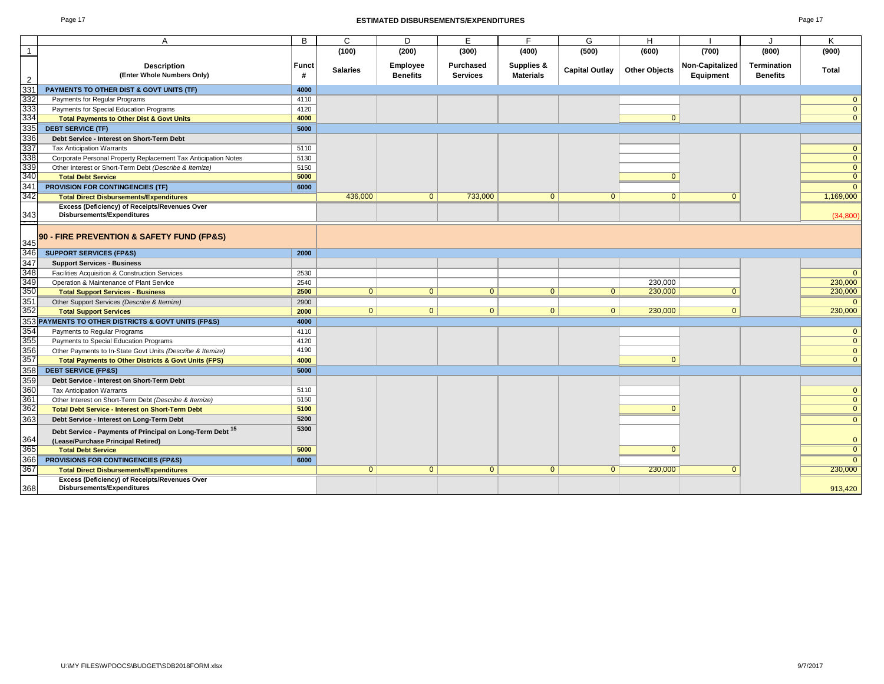#### Page 17 **ESTIMATED DISBURSEMENTS/EXPENDITURES** Page 17

| ь<br>zк |  |
|---------|--|
|---------|--|

|                         | A                                                               | B     | $\mathsf{C}$    | D               | Е                | E                | G                     | H                    |                 |                    | K            |
|-------------------------|-----------------------------------------------------------------|-------|-----------------|-----------------|------------------|------------------|-----------------------|----------------------|-----------------|--------------------|--------------|
| $\overline{\mathbf{1}}$ |                                                                 |       | (100)           | (200)           | (300)            | (400)            | (500)                 | (600)                | (700)           | (800)              | (900)        |
|                         |                                                                 |       |                 |                 |                  |                  |                       |                      |                 |                    |              |
|                         | <b>Description</b>                                              | Funct | <b>Salaries</b> | Employee        | <b>Purchased</b> | Supplies &       | <b>Capital Outlay</b> | <b>Other Objects</b> | Non-Capitalized | <b>Termination</b> | <b>Total</b> |
| $\overline{2}$          | (Enter Whole Numbers Only)                                      | #     |                 | <b>Benefits</b> | <b>Services</b>  | <b>Materials</b> |                       |                      | Equipment       | <b>Benefits</b>    |              |
| 33 <sup>2</sup>         | PAYMENTS TO OTHER DIST & GOVT UNITS (TF)                        | 4000  |                 |                 |                  |                  |                       |                      |                 |                    |              |
| 332                     | Payments for Regular Programs                                   | 4110  |                 |                 |                  |                  |                       |                      |                 |                    |              |
| 333<br>334              | Payments for Special Education Programs                         | 4120  |                 |                 |                  |                  |                       |                      |                 |                    |              |
|                         | <b>Total Payments to Other Dist &amp; Govt Units</b>            | 4000  |                 |                 |                  |                  |                       | $\Omega$             |                 |                    |              |
| 335                     | <b>DEBT SERVICE (TF)</b>                                        | 5000  |                 |                 |                  |                  |                       |                      |                 |                    |              |
| 336                     | Debt Service - Interest on Short-Term Debt                      |       |                 |                 |                  |                  |                       |                      |                 |                    |              |
| 337                     | <b>Tax Anticipation Warrants</b>                                | 5110  |                 |                 |                  |                  |                       |                      |                 |                    |              |
| 338                     | Corporate Personal Property Replacement Tax Anticipation Notes  | 5130  |                 |                 |                  |                  |                       |                      |                 |                    |              |
| 339                     | Other Interest or Short-Term Debt (Describe & Itemize)          | 5150  |                 |                 |                  |                  |                       |                      |                 |                    | $\Omega$     |
| 340                     | <b>Total Debt Service</b>                                       | 5000  |                 |                 |                  |                  |                       | $\Omega$             |                 |                    |              |
| 341                     | <b>PROVISION FOR CONTINGENCIES (TF)</b>                         | 6000  |                 |                 |                  |                  |                       |                      |                 |                    |              |
| 342                     | <b>Total Direct Disbursements/Expenditures</b>                  |       | 436,000         | $\overline{0}$  | 733,000          | $\overline{0}$   | $\mathbf{0}$          | $\mathbf{0}$         |                 |                    | 1,169,000    |
|                         | Excess (Deficiency) of Receipts/Revenues Over                   |       |                 |                 |                  |                  |                       |                      |                 |                    |              |
| 343                     | <b>Disbursements/Expenditures</b>                               |       |                 |                 |                  |                  |                       |                      |                 |                    | (34, 800)    |
|                         |                                                                 |       |                 |                 |                  |                  |                       |                      |                 |                    |              |
| 345                     | 90 - FIRE PREVENTION & SAFETY FUND (FP&S)                       |       |                 |                 |                  |                  |                       |                      |                 |                    |              |
| 346                     | <b>SUPPORT SERVICES (FP&amp;S)</b>                              | 2000  |                 |                 |                  |                  |                       |                      |                 |                    |              |
| 347                     | <b>Support Services - Business</b>                              |       |                 |                 |                  |                  |                       |                      |                 |                    |              |
| 348                     | Facilities Acquisition & Construction Services                  | 2530  |                 |                 |                  |                  |                       |                      |                 |                    |              |
|                         | Operation & Maintenance of Plant Service                        | 2540  |                 |                 |                  |                  |                       | 230,000              |                 |                    | 230,000      |
| 349<br>350              | <b>Total Support Services - Business</b>                        | 2500  | $\overline{0}$  | 0               | $\mathbf{0}$     | 0                | 0 <sup>1</sup>        | 230,000              | $\Omega$        |                    | 230,000      |
| $\frac{351}{352}$       | Other Support Services (Describe & Itemize)                     | 2900  |                 |                 |                  |                  |                       |                      |                 |                    |              |
|                         | <b>Total Support Services</b>                                   | 2000  | $\overline{0}$  | $\overline{0}$  | $\overline{0}$   | $\overline{0}$   | $\overline{0}$        | 230,000              | $\Omega$        |                    | 230,000      |
| 35 <sup>3</sup>         | PAYMENTS TO OTHER DISTRICTS & GOVT UNITS (FP&S)                 | 4000  |                 |                 |                  |                  |                       |                      |                 |                    |              |
| 354                     | Payments to Regular Programs                                    | 4110  |                 |                 |                  |                  |                       |                      |                 |                    |              |
| 355                     | Payments to Special Education Programs                          | 4120  |                 |                 |                  |                  |                       |                      |                 |                    | $\Omega$     |
| 356                     | Other Payments to In-State Govt Units (Describe & Itemize)      | 4190  |                 |                 |                  |                  |                       |                      |                 |                    | $\Omega$     |
| 357                     | <b>Total Payments to Other Districts &amp; Govt Units (FPS)</b> | 4000  |                 |                 |                  |                  |                       | $\overline{0}$       |                 |                    |              |
| 358                     | <b>DEBT SERVICE (FP&amp;S)</b>                                  | 5000  |                 |                 |                  |                  |                       |                      |                 |                    |              |
| 359                     | Debt Service - Interest on Short-Term Debt                      |       |                 |                 |                  |                  |                       |                      |                 |                    |              |
| 360                     | <b>Tax Anticipation Warrants</b>                                | 5110  |                 |                 |                  |                  |                       |                      |                 |                    | $\Omega$     |
| 361                     | Other Interest on Short-Term Debt (Describe & Itemize)          | 5150  |                 |                 |                  |                  |                       |                      |                 |                    | $\Omega$     |
| 362                     | <b>Total Debt Service - Interest on Short-Term Debt</b>         | 5100  |                 |                 |                  |                  |                       | $\Omega$             |                 |                    |              |
| 363                     | Debt Service - Interest on Long-Term Debt                       | 5200  |                 |                 |                  |                  |                       |                      |                 |                    | $\Omega$     |
|                         | Debt Service - Payments of Principal on Long-Term Debt 15       | 5300  |                 |                 |                  |                  |                       |                      |                 |                    |              |
| 364                     | (Lease/Purchase Principal Retired)                              |       |                 |                 |                  |                  |                       |                      |                 |                    | O            |
| 365                     | <b>Total Debt Service</b>                                       | 5000  |                 |                 |                  |                  |                       | $\Omega$             |                 |                    |              |
| 366                     | PROVISIONS FOR CONTINGENCIES (FP&S)                             | 6000  |                 |                 |                  |                  |                       |                      |                 |                    |              |
| 367                     | <b>Total Direct Disbursements/Expenditures</b>                  |       | $\overline{0}$  | $\overline{0}$  | $\Omega$         | $\overline{0}$   | $\mathbf{0}$          | 230,000              |                 |                    | 230,000      |
|                         | Excess (Deficiency) of Receipts/Revenues Over                   |       |                 |                 |                  |                  |                       |                      |                 |                    |              |
| 368                     | <b>Disbursements/Expenditures</b>                               |       |                 |                 |                  |                  |                       |                      |                 |                    | 913,420      |
|                         |                                                                 |       |                 |                 |                  |                  |                       |                      |                 |                    |              |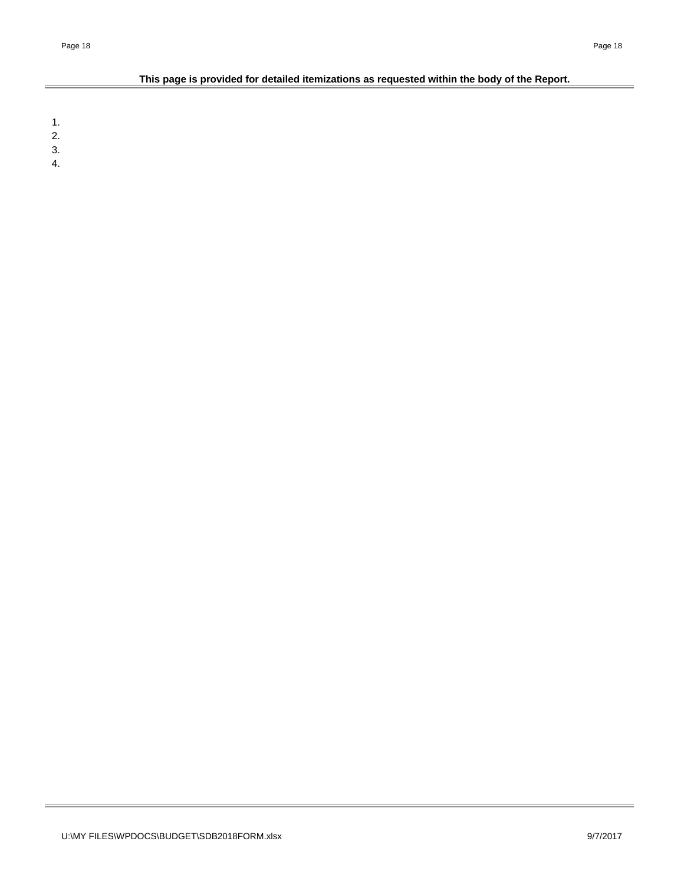## **This page is provided for detailed itemizations as requested within the body of the Report.**

1.

2.

3. 4.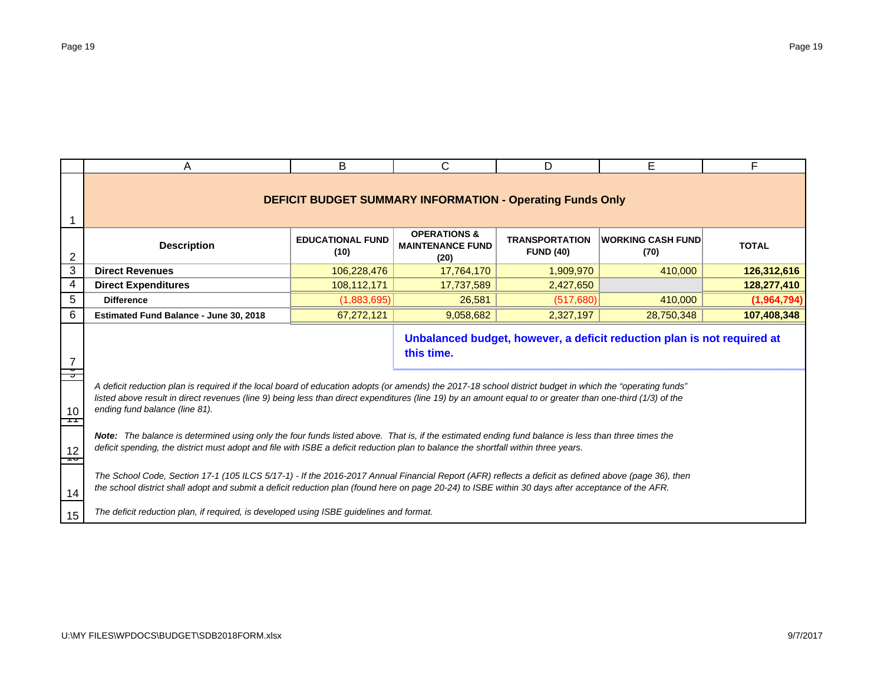|                | A                                                                                                                                                                                                                                                                                                                                                         | B                               | C                                                                | D                                         | E                                                                       | F            |  |  |  |  |  |
|----------------|-----------------------------------------------------------------------------------------------------------------------------------------------------------------------------------------------------------------------------------------------------------------------------------------------------------------------------------------------------------|---------------------------------|------------------------------------------------------------------|-------------------------------------------|-------------------------------------------------------------------------|--------------|--|--|--|--|--|
|                |                                                                                                                                                                                                                                                                                                                                                           |                                 | <b>DEFICIT BUDGET SUMMARY INFORMATION - Operating Funds Only</b> |                                           |                                                                         |              |  |  |  |  |  |
| $\overline{c}$ | <b>Description</b>                                                                                                                                                                                                                                                                                                                                        | <b>EDUCATIONAL FUND</b><br>(10) | <b>OPERATIONS &amp;</b><br><b>MAINTENANCE FUND</b><br>(20)       | <b>TRANSPORTATION</b><br><b>FUND (40)</b> | <b>WORKING CASH FUND</b><br>(70)                                        | <b>TOTAL</b> |  |  |  |  |  |
| 3              | <b>Direct Revenues</b>                                                                                                                                                                                                                                                                                                                                    | 106,228,476                     | 17,764,170                                                       | 1,909,970                                 | 410,000                                                                 | 126,312,616  |  |  |  |  |  |
| 4              | <b>Direct Expenditures</b>                                                                                                                                                                                                                                                                                                                                | 108,112,171                     | 17,737,589                                                       | 2,427,650                                 |                                                                         | 128,277,410  |  |  |  |  |  |
| 5              | <b>Difference</b>                                                                                                                                                                                                                                                                                                                                         | (1,883,695)                     | 26,581                                                           | (517,680)                                 | 410,000                                                                 | (1,964,794)  |  |  |  |  |  |
| 6              | Estimated Fund Balance - June 30, 2018                                                                                                                                                                                                                                                                                                                    | 67,272,121                      | 9,058,682                                                        | 2,327,197                                 | 28,750,348                                                              | 107,408,348  |  |  |  |  |  |
|                |                                                                                                                                                                                                                                                                                                                                                           |                                 | this time.                                                       |                                           | Unbalanced budget, however, a deficit reduction plan is not required at |              |  |  |  |  |  |
| 10<br>┯        | A deficit reduction plan is required if the local board of education adopts (or amends) the 2017-18 school district budget in which the "operating funds"<br>listed above result in direct revenues (line 9) being less than direct expenditures (line 19) by an amount equal to or greater than one-third (1/3) of the<br>ending fund balance (line 81). |                                 |                                                                  |                                           |                                                                         |              |  |  |  |  |  |
| 12<br>⊸        | Note: The balance is determined using only the four funds listed above. That is, if the estimated ending fund balance is less than three times the<br>deficit spending, the district must adopt and file with ISBE a deficit reduction plan to balance the shortfall within three years.                                                                  |                                 |                                                                  |                                           |                                                                         |              |  |  |  |  |  |
| 14             | The School Code, Section 17-1 (105 ILCS 5/17-1) - If the 2016-2017 Annual Financial Report (AFR) reflects a deficit as defined above (page 36), then<br>the school district shall adopt and submit a deficit reduction plan (found here on page 20-24) to ISBE within 30 days after acceptance of the AFR.                                                |                                 |                                                                  |                                           |                                                                         |              |  |  |  |  |  |
| 15             | The deficit reduction plan, if required, is developed using ISBE guidelines and format.                                                                                                                                                                                                                                                                   |                                 |                                                                  |                                           |                                                                         |              |  |  |  |  |  |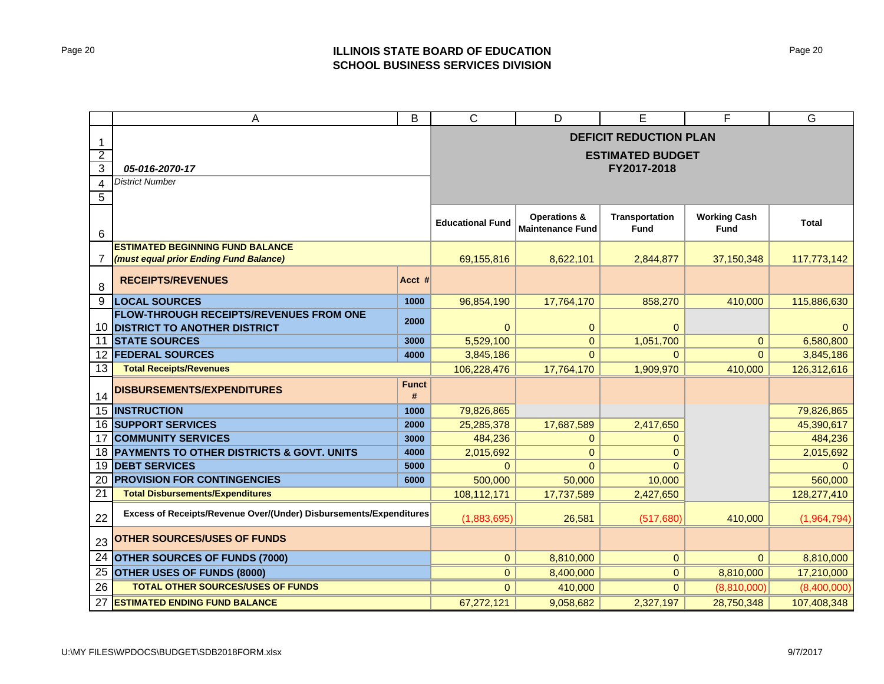## Page 20 **ILLINOIS STATE BOARD OF EDUCATION SCHOOL BUSINESS SERVICES DIVISION**

|                     | A                                                                  | B                       | $\mathsf{C}$                                       | D                                    | E                                  | F            | G           |  |
|---------------------|--------------------------------------------------------------------|-------------------------|----------------------------------------------------|--------------------------------------|------------------------------------|--------------|-------------|--|
|                     |                                                                    |                         | <b>DEFICIT REDUCTION PLAN</b>                      |                                      |                                    |              |             |  |
| 1<br>$\overline{2}$ |                                                                    | <b>ESTIMATED BUDGET</b> |                                                    |                                      |                                    |              |             |  |
| $\mathbf{3}$        | 05-016-2070-17                                                     | FY2017-2018             |                                                    |                                      |                                    |              |             |  |
| 4                   | <b>District Number</b>                                             |                         |                                                    |                                      |                                    |              |             |  |
| 5                   |                                                                    |                         |                                                    |                                      |                                    |              |             |  |
|                     |                                                                    |                         |                                                    |                                      |                                    |              |             |  |
| 6                   |                                                                    | <b>Educational Fund</b> | <b>Operations &amp;</b><br><b>Maintenance Fund</b> | <b>Transportation</b><br><b>Fund</b> | <b>Working Cash</b><br><b>Fund</b> | <b>Total</b> |             |  |
|                     | <b>ESTIMATED BEGINNING FUND BALANCE</b>                            |                         |                                                    |                                      |                                    |              |             |  |
| 7                   | (must equal prior Ending Fund Balance)                             |                         | 69,155,816                                         | 8,622,101                            | 2.844.877                          | 37,150,348   | 117,773,142 |  |
| 8                   | <b>RECEIPTS/REVENUES</b>                                           | Acct #                  |                                                    |                                      |                                    |              |             |  |
| 9                   | <b>LOCAL SOURCES</b>                                               | 1000                    | 96,854,190                                         | 17,764,170                           | 858,270                            | 410,000      | 115,886,630 |  |
|                     | <b>FLOW-THROUGH RECEIPTS/REVENUES FROM ONE</b>                     | 2000                    |                                                    |                                      |                                    |              |             |  |
| 10                  | <b>DISTRICT TO ANOTHER DISTRICT</b>                                |                         | $\Omega$                                           | 0                                    | 0                                  |              |             |  |
| 11                  | <b>STATE SOURCES</b>                                               | 3000                    | 5,529,100                                          | $\overline{0}$                       | 1,051,700                          | $\mathbf{0}$ | 6,580,800   |  |
| $12 \overline{ }$   | <b>FEDERAL SOURCES</b>                                             | 4000                    | 3,845,186                                          | $\Omega$                             | $\Omega$                           | $\Omega$     | 3,845,186   |  |
| 13                  | <b>Total Receipts/Revenues</b>                                     |                         | 106,228,476                                        | 17,764,170                           | 1,909,970                          | 410,000      | 126,312,616 |  |
| 14                  | DISBURSEMENTS/EXPENDITURES                                         | <b>Funct</b><br>#       |                                                    |                                      |                                    |              |             |  |
| 15 <sup>1</sup>     | <b>INSTRUCTION</b>                                                 | 1000                    | 79,826,865                                         |                                      |                                    |              | 79,826,865  |  |
|                     | <b>16 SUPPORT SERVICES</b>                                         | 2000                    | 25,285,378                                         | 17,687,589                           | 2,417,650                          |              | 45,390,617  |  |
| 17                  | <b>COMMUNITY SERVICES</b>                                          | 3000                    | 484,236                                            | $\mathbf{0}$                         | $\mathbf{0}$                       |              | 484,236     |  |
| 18                  | PAYMENTS TO OTHER DISTRICTS & GOVT. UNITS                          | 4000                    | 2,015,692                                          | 0                                    | 0                                  |              | 2,015,692   |  |
| 19                  | <b>DEBT SERVICES</b>                                               | 5000                    | $\Omega$                                           | $\Omega$                             | $\Omega$                           |              |             |  |
| 20                  | <b>PROVISION FOR CONTINGENCIES</b>                                 | 6000                    | 500,000                                            | 50,000                               | 10,000                             |              | 560,000     |  |
| $\overline{21}$     | <b>Total Disbursements/Expenditures</b>                            |                         | 108,112,171                                        | 17,737,589                           | 2,427,650                          |              | 128,277,410 |  |
| 22                  | Excess of Receipts/Revenue Over/(Under) Disbursements/Expenditures |                         | (1,883,695)                                        | 26,581                               | (517,680)                          | 410,000      | (1,964,794) |  |
| 23                  | <b>OTHER SOURCES/USES OF FUNDS</b>                                 |                         |                                                    |                                      |                                    |              |             |  |
| 24                  | <b>OTHER SOURCES OF FUNDS (7000)</b>                               | $\overline{0}$          | 8,810,000                                          | $\overline{0}$                       | $\Omega$                           | 8,810,000    |             |  |
| 25                  | OTHER USES OF FUNDS (8000)                                         |                         | $\overline{0}$                                     | 8,400,000                            | $\overline{0}$                     | 8,810,000    | 17,210,000  |  |
| 26                  | <b>TOTAL OTHER SOURCES/USES OF FUNDS</b>                           |                         | $\overline{0}$                                     | 410,000                              | $\overline{0}$                     | (8,810,000)  | (8,400,000) |  |
| 27                  | <b>ESTIMATED ENDING FUND BALANCE</b>                               | 67,272,121              | 9,058,682                                          | 2,327,197                            | 28,750,348                         | 107,408,348  |             |  |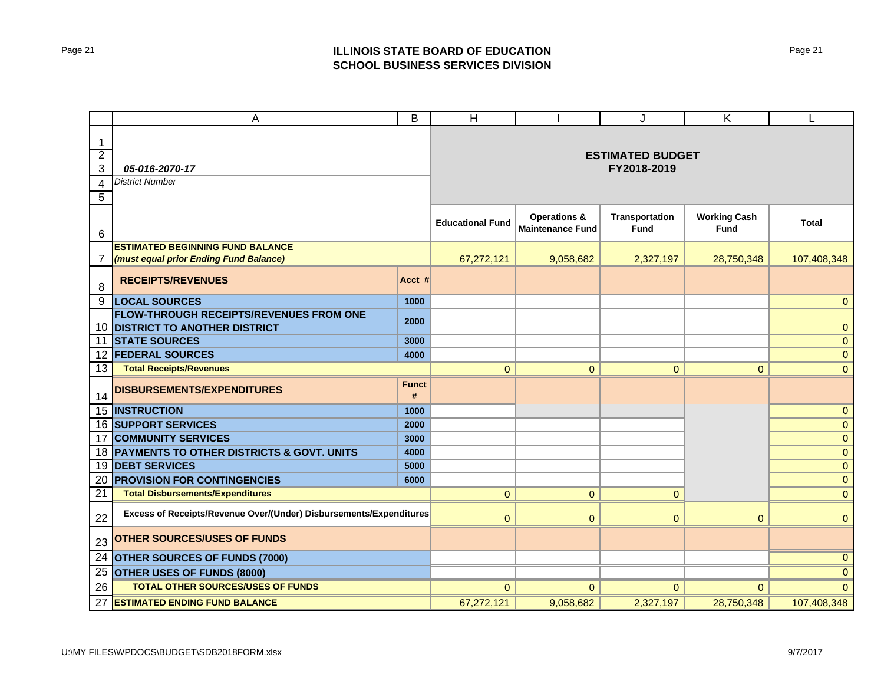## Page 21 **ILLINOIS STATE BOARD OF EDUCATION SCHOOL BUSINESS SERVICES DIVISION**

|                 | A                                                                  | B                       | H                       |                         | J                     | K                   | L                   |
|-----------------|--------------------------------------------------------------------|-------------------------|-------------------------|-------------------------|-----------------------|---------------------|---------------------|
| 1               |                                                                    |                         |                         |                         |                       |                     |                     |
| $\overline{2}$  |                                                                    | <b>ESTIMATED BUDGET</b> |                         |                         |                       |                     |                     |
| 3               | 05-016-2070-17                                                     |                         |                         | FY2018-2019             |                       |                     |                     |
| 4               | <b>District Number</b>                                             |                         |                         |                         |                       |                     |                     |
| 5               |                                                                    |                         |                         |                         |                       |                     |                     |
|                 |                                                                    |                         |                         | <b>Operations &amp;</b> | <b>Transportation</b> | <b>Working Cash</b> |                     |
| 6               |                                                                    | <b>Educational Fund</b> | <b>Maintenance Fund</b> | Fund                    | <b>Fund</b>           | <b>Total</b>        |                     |
|                 | <b>ESTIMATED BEGINNING FUND BALANCE</b>                            |                         |                         |                         |                       |                     |                     |
| $\overline{7}$  | (must equal prior Ending Fund Balance)                             |                         | 67,272,121              | 9,058,682               | 2,327,197             | 28,750,348          | 107,408,348         |
| 8               | <b>RECEIPTS/REVENUES</b>                                           | Acct #                  |                         |                         |                       |                     |                     |
| 9               | <b>LOCAL SOURCES</b>                                               | 1000                    |                         |                         |                       |                     | $\Omega$            |
|                 | FLOW-THROUGH RECEIPTS/REVENUES FROM ONE                            | 2000                    |                         |                         |                       |                     |                     |
|                 | 10 DISTRICT TO ANOTHER DISTRICT                                    |                         |                         |                         |                       |                     | $\mathbf{0}$        |
| 11              | <b>STATE SOURCES</b>                                               | 3000                    |                         |                         |                       |                     | $\mathsf{O}\xspace$ |
|                 | <b>12 FEDERAL SOURCES</b>                                          | 4000                    |                         |                         |                       |                     | $\mathbf{0}$        |
| 13              | <b>Total Receipts/Revenues</b>                                     |                         | $\mathbf{0}$            | $\overline{0}$          | $\mathbf{O}$          | $\mathbf 0$         | $\mathbf{0}$        |
| 14              | DISBURSEMENTS/EXPENDITURES                                         | <b>Funct</b><br>$\#$    |                         |                         |                       |                     |                     |
|                 | <b>15 INSTRUCTION</b>                                              | 1000                    |                         |                         |                       |                     | $\pmb{0}$           |
|                 | <b>16 SUPPORT SERVICES</b>                                         | 2000                    |                         |                         |                       |                     | $\mathbf{0}$        |
| 17              | <b>COMMUNITY SERVICES</b>                                          | 3000                    |                         |                         |                       |                     | $\pmb{0}$           |
| 18 I            | PAYMENTS TO OTHER DISTRICTS & GOVT. UNITS                          | 4000                    |                         |                         |                       |                     | $\pmb{0}$           |
| 19              | <b>DEBT SERVICES</b>                                               | 5000                    |                         |                         |                       |                     | $\mathbf{0}$        |
| 20              | <b>PROVISION FOR CONTINGENCIES</b>                                 | 6000                    |                         |                         |                       |                     | $\mathbf{0}$        |
| $\overline{21}$ | <b>Total Disbursements/Expenditures</b>                            |                         | $\overline{0}$          | $\overline{0}$          | $\mathbf{O}$          |                     | $\mathbf 0$         |
| 22              | Excess of Receipts/Revenue Over/(Under) Disbursements/Expenditures |                         | $\mathbf{0}$            | $\mathbf 0$             | $\mathbf{0}$          | $\overline{0}$      | $\mathbf{0}$        |
| 23              | <b>OTHER SOURCES/USES OF FUNDS</b>                                 |                         |                         |                         |                       |                     |                     |
| 24              | OTHER SOURCES OF FUNDS (7000)                                      |                         |                         |                         |                       | $\mathbf{0}$        |                     |
| 25              | OTHER USES OF FUNDS (8000)                                         |                         |                         |                         |                       |                     | $\mathbf{0}$        |
| 26              | TOTAL OTHER SOURCES/USES OF FUNDS                                  |                         | $\Omega$                | $\overline{0}$          | $\Omega$              | $\Omega$            | $\Omega$            |
| 27              | <b>ESTIMATED ENDING FUND BALANCE</b>                               |                         | 67,272,121              | 9,058,682               | 2,327,197             | 28,750,348          | 107,408,348         |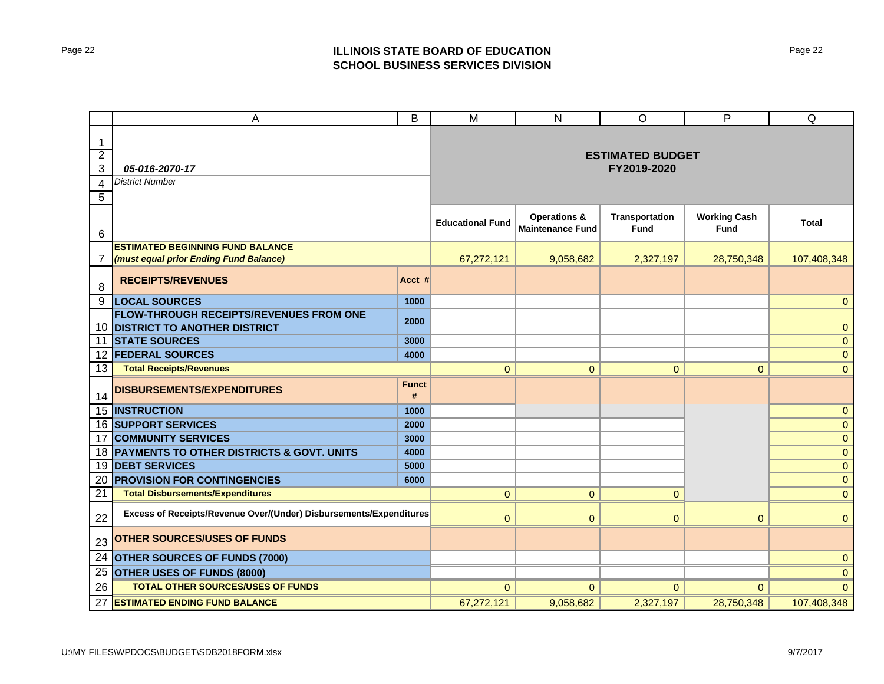## Page 22 **ILLINOIS STATE BOARD OF EDUCATION SCHOOL BUSINESS SERVICES DIVISION**

|                | A                                                                  | B                       | $\overline{M}$                                     | N                                    | $\circ$                     | P              | Q            |
|----------------|--------------------------------------------------------------------|-------------------------|----------------------------------------------------|--------------------------------------|-----------------------------|----------------|--------------|
| 1              |                                                                    |                         |                                                    |                                      |                             |                |              |
| $\overline{2}$ |                                                                    |                         |                                                    |                                      | <b>ESTIMATED BUDGET</b>     |                |              |
| 3              | 05-016-2070-17                                                     |                         |                                                    | FY2019-2020                          |                             |                |              |
| 4              | <b>District Number</b>                                             |                         |                                                    |                                      |                             |                |              |
| 5              |                                                                    |                         |                                                    |                                      |                             |                |              |
| 6              |                                                                    | <b>Educational Fund</b> | <b>Operations &amp;</b><br><b>Maintenance Fund</b> | <b>Transportation</b><br><b>Fund</b> | <b>Working Cash</b><br>Fund | <b>Total</b>   |              |
|                | <b>ESTIMATED BEGINNING FUND BALANCE</b>                            |                         |                                                    |                                      |                             |                |              |
| 7              | (must equal prior Ending Fund Balance)                             |                         | 67,272,121                                         | 9,058,682                            | 2,327,197                   | 28,750,348     | 107,408,348  |
| 8              | <b>RECEIPTS/REVENUES</b>                                           | Acct #                  |                                                    |                                      |                             |                |              |
| 9              | <b>LOCAL SOURCES</b>                                               | 1000                    |                                                    |                                      |                             |                | $\Omega$     |
|                | <b>FLOW-THROUGH RECEIPTS/REVENUES FROM ONE</b>                     | 2000                    |                                                    |                                      |                             |                |              |
|                | 10 DISTRICT TO ANOTHER DISTRICT                                    |                         |                                                    |                                      |                             |                | 0            |
| 11             | <b>STATE SOURCES</b>                                               | 3000                    |                                                    |                                      |                             |                | $\mathbf{O}$ |
|                | <b>12 FEDERAL SOURCES</b>                                          | 4000                    |                                                    |                                      |                             |                | $\mathbf{O}$ |
| 13             | <b>Total Receipts/Revenues</b>                                     |                         | $\overline{0}$                                     | $\overline{0}$                       | $\mathbf 0$                 | $\overline{0}$ | $\mathbf{0}$ |
| 14             | DISBURSEMENTS/EXPENDITURES                                         | <b>Funct</b><br>#       |                                                    |                                      |                             |                |              |
|                | 15 INSTRUCTION                                                     | 1000                    |                                                    |                                      |                             |                | $\mathbf{O}$ |
|                | 16 SUPPORT SERVICES                                                | 2000                    |                                                    |                                      |                             |                | $\mathbf{0}$ |
| 17             | <b>COMMUNITY SERVICES</b>                                          | 3000                    |                                                    |                                      |                             |                | $\mathbf{0}$ |
| 18 I           | PAYMENTS TO OTHER DISTRICTS & GOVT. UNITS                          | 4000                    |                                                    |                                      |                             |                | $\mathbf{0}$ |
| 19             | <b>DEBT SERVICES</b>                                               | 5000                    |                                                    |                                      |                             |                | $\mathbf{0}$ |
| 20             | <b>PROVISION FOR CONTINGENCIES</b>                                 | 6000                    |                                                    |                                      |                             |                | $\mathbf{0}$ |
| 21             | <b>Total Disbursements/Expenditures</b>                            |                         | $\overline{0}$                                     | 0                                    | $\mathbf{0}$                |                | $\mathbf{0}$ |
| 22             | Excess of Receipts/Revenue Over/(Under) Disbursements/Expenditures |                         | $\overline{0}$                                     | $\overline{0}$                       | $\overline{0}$              | $\overline{0}$ | $\mathbf{0}$ |
| 23             | <b>OTHER SOURCES/USES OF FUNDS</b>                                 |                         |                                                    |                                      |                             |                |              |
| 24             | <b>OTHER SOURCES OF FUNDS (7000)</b>                               |                         |                                                    |                                      |                             |                | $\mathbf{0}$ |
| 25             | OTHER USES OF FUNDS (8000)                                         |                         |                                                    |                                      |                             |                | $\mathbf{0}$ |
| 26             | TOTAL OTHER SOURCES/USES OF FUNDS                                  |                         | $\Omega$                                           | $\Omega$                             | $\Omega$                    | $\Omega$       | $\Omega$     |
| 27             | <b>ESTIMATED ENDING FUND BALANCE</b>                               |                         | 67,272,121                                         | 9,058,682                            | 2,327,197                   | 28,750,348     | 107,408,348  |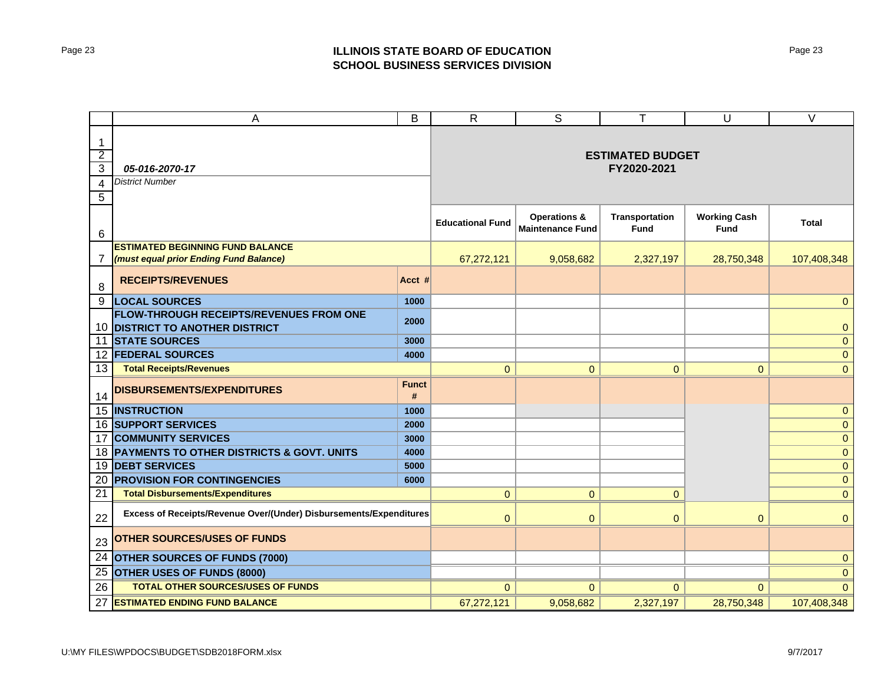## Page 23 **ILLINOIS STATE BOARD OF EDUCATION SCHOOL BUSINESS SERVICES DIVISION**

|                | Α                                                                          | B                                 | $\mathsf{R}$                                       | $\overline{s}$                       | T                           | U              | $\overline{\vee}$ |
|----------------|----------------------------------------------------------------------------|-----------------------------------|----------------------------------------------------|--------------------------------------|-----------------------------|----------------|-------------------|
| 1              |                                                                            |                                   |                                                    |                                      |                             |                |                   |
| $\overline{2}$ |                                                                            | <b>ESTIMATED BUDGET</b>           |                                                    |                                      |                             |                |                   |
| $\overline{3}$ | 05-016-2070-17                                                             |                                   |                                                    | FY2020-2021                          |                             |                |                   |
| 4              | <b>District Number</b>                                                     |                                   |                                                    |                                      |                             |                |                   |
| 5              |                                                                            |                                   |                                                    |                                      |                             |                |                   |
| $\,6$          |                                                                            | <b>Educational Fund</b>           | <b>Operations &amp;</b><br><b>Maintenance Fund</b> | <b>Transportation</b><br><b>Fund</b> | <b>Working Cash</b><br>Fund | <b>Total</b>   |                   |
|                | <b>ESTIMATED BEGINNING FUND BALANCE</b>                                    |                                   |                                                    |                                      |                             |                |                   |
| 7              | (must equal prior Ending Fund Balance)                                     |                                   | 67,272,121                                         | 9,058,682                            | 2,327,197                   | 28,750,348     | 107,408,348       |
| 8              | <b>RECEIPTS/REVENUES</b>                                                   | Acct #                            |                                                    |                                      |                             |                |                   |
| 9              | <b>LOCAL SOURCES</b>                                                       | 1000                              |                                                    |                                      |                             |                | $\Omega$          |
|                | FLOW-THROUGH RECEIPTS/REVENUES FROM ONE<br>10 DISTRICT TO ANOTHER DISTRICT | 2000                              |                                                    |                                      |                             |                | $\mathbf{0}$      |
| 11             | <b>STATE SOURCES</b>                                                       | 3000                              |                                                    |                                      |                             |                | $\mathbf{O}$      |
|                | <b>12 FEDERAL SOURCES</b>                                                  | 4000                              |                                                    |                                      |                             |                | $\mathbf{0}$      |
| 13             | <b>Total Receipts/Revenues</b>                                             |                                   | $\Omega$                                           | $\overline{0}$                       | $\mathbf{O}$                | $\mathbf 0$    | $\mathbf{0}$      |
| 14             | DISBURSEMENTS/EXPENDITURES                                                 | <b>Funct</b><br>$\boldsymbol{\#}$ |                                                    |                                      |                             |                |                   |
|                | 15 INSTRUCTION                                                             | 1000                              |                                                    |                                      |                             |                | $\pmb{0}$         |
|                | <b>16 SUPPORT SERVICES</b>                                                 | 2000                              |                                                    |                                      |                             |                | $\mathbf{0}$      |
| 17             | <b>COMMUNITY SERVICES</b>                                                  | 3000                              |                                                    |                                      |                             |                | $\mathbf{0}$      |
| 18 I           | PAYMENTS TO OTHER DISTRICTS & GOVT. UNITS                                  | 4000                              |                                                    |                                      |                             |                | $\pmb{0}$         |
| 19             | <b>DEBT SERVICES</b>                                                       | 5000                              |                                                    |                                      |                             |                | $\pmb{0}$         |
| 20             | <b>PROVISION FOR CONTINGENCIES</b>                                         | 6000                              |                                                    |                                      |                             |                | $\mathbf{0}$      |
| 21             | <b>Total Disbursements/Expenditures</b>                                    |                                   | $\overline{0}$                                     | 0                                    | $\overline{0}$              |                | $\overline{0}$    |
| 22             | Excess of Receipts/Revenue Over/(Under) Disbursements/Expenditures         |                                   | $\mathbf{0}$                                       | 0                                    | $\overline{0}$              | $\overline{0}$ | $\mathbf{0}$      |
| 23             | <b>OTHER SOURCES/USES OF FUNDS</b>                                         |                                   |                                                    |                                      |                             |                |                   |
| 24             | <b>OTHER SOURCES OF FUNDS (7000)</b>                                       |                                   |                                                    |                                      |                             |                | $\mathbf{0}$      |
| 25             | OTHER USES OF FUNDS (8000)                                                 |                                   |                                                    |                                      |                             |                | $\mathbf{0}$      |
| 26             | TOTAL OTHER SOURCES/USES OF FUNDS                                          |                                   | $\mathbf{0}$                                       | $\overline{0}$                       | $\overline{0}$              | $\overline{0}$ | $\Omega$          |
| 27             | <b>ESTIMATED ENDING FUND BALANCE</b>                                       |                                   | 67,272,121                                         | 9,058,682                            | 2,327,197                   | 28,750,348     | 107,408,348       |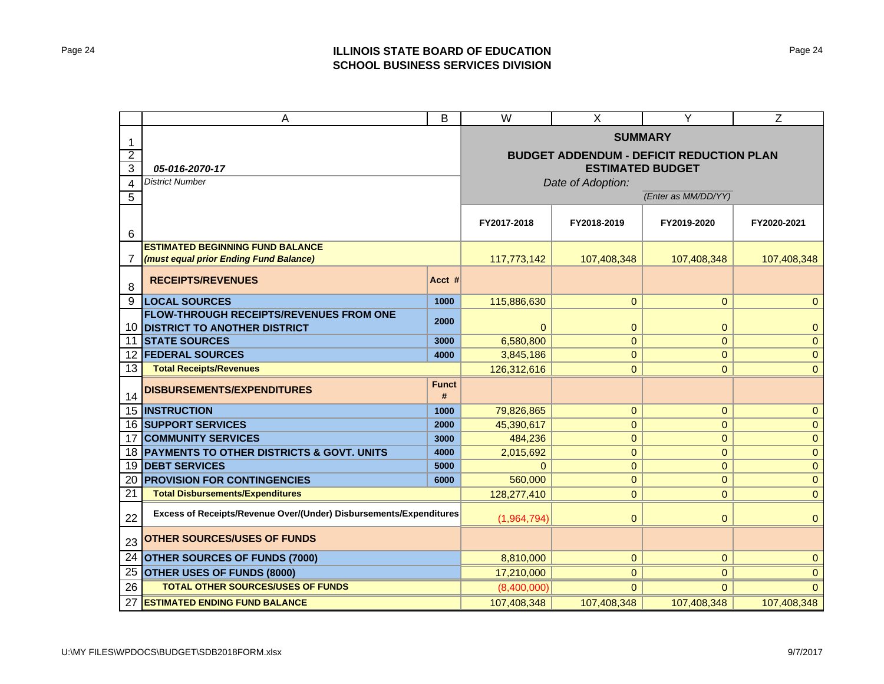## Page 24 **ILLINOIS STATE BOARD OF EDUCATION SCHOOL BUSINESS SERVICES DIVISION**

|                     | A<br>B                                                             |                                                 | W                       | X                   | Υ              | Z              |  |  |
|---------------------|--------------------------------------------------------------------|-------------------------------------------------|-------------------------|---------------------|----------------|----------------|--|--|
|                     |                                                                    | <b>SUMMARY</b>                                  |                         |                     |                |                |  |  |
| 1<br>$\overline{2}$ |                                                                    | <b>BUDGET ADDENDUM - DEFICIT REDUCTION PLAN</b> |                         |                     |                |                |  |  |
| 3                   | 05-016-2070-17                                                     |                                                 | <b>ESTIMATED BUDGET</b> |                     |                |                |  |  |
| 4                   | <b>District Number</b>                                             |                                                 | Date of Adoption:       |                     |                |                |  |  |
| 5                   |                                                                    |                                                 |                         | (Enter as MM/DD/YY) |                |                |  |  |
|                     |                                                                    |                                                 |                         |                     |                |                |  |  |
|                     |                                                                    | FY2017-2018                                     | FY2018-2019             | FY2019-2020         | FY2020-2021    |                |  |  |
| 6                   | <b>ESTIMATED BEGINNING FUND BALANCE</b>                            |                                                 |                         |                     |                |                |  |  |
| $\overline{7}$      | (must equal prior Ending Fund Balance)                             |                                                 | 117,773,142             | 107,408,348         | 107,408,348    | 107,408,348    |  |  |
|                     |                                                                    |                                                 |                         |                     |                |                |  |  |
| 8                   | <b>RECEIPTS/REVENUES</b>                                           | Acct #                                          |                         |                     |                |                |  |  |
| 9                   | <b>LOCAL SOURCES</b>                                               | 1000                                            | 115,886,630             | $\mathbf{0}$        | $\overline{0}$ | $\overline{0}$ |  |  |
|                     | <b>FLOW-THROUGH RECEIPTS/REVENUES FROM ONE</b>                     | 2000                                            |                         |                     |                |                |  |  |
| 10                  | <b>DISTRICT TO ANOTHER DISTRICT</b>                                |                                                 | $\Omega$                | $\mathbf 0$         | $\mathbf{0}$   | $\mathbf{0}$   |  |  |
| 11                  | <b>STATE SOURCES</b>                                               | 3000<br>4000                                    | 6,580,800               | $\mathbf 0$         | $\mathbf{0}$   | $\pmb{0}$      |  |  |
| 12                  | <b>FEDERAL SOURCES</b>                                             | 3,845,186                                       | $\mathbf{O}$            | $\mathbf{0}$        | $\pmb{0}$      |                |  |  |
| 13                  | <b>Total Receipts/Revenues</b>                                     |                                                 | 126,312,616             | $\overline{0}$      | $\mathbf{0}$   | $\mathbf{0}$   |  |  |
| 14                  | DISBURSEMENTS/EXPENDITURES                                         | <b>Funct</b><br>#                               |                         |                     |                |                |  |  |
| 15                  | <b>INSTRUCTION</b>                                                 | 1000                                            | 79,826,865              | $\pmb{0}$           | $\mathbf{0}$   | $\mathbf{0}$   |  |  |
| 16                  | <b>SUPPORT SERVICES</b>                                            | 2000                                            | 45,390,617              | $\mathbf{O}$        | $\mathbf{0}$   | $\mathbf{0}$   |  |  |
| 17                  | <b>COMMUNITY SERVICES</b>                                          | 3000                                            | 484,236                 | $\pmb{0}$           | $\mathbf{0}$   | $\mathbf{0}$   |  |  |
| 18                  | <b>PAYMENTS TO OTHER DISTRICTS &amp; GOVT. UNITS</b>               | 4000                                            | 2,015,692               | $\pmb{0}$           | $\mathbf{0}$   | $\mathbf{0}$   |  |  |
| 19                  | <b>DEBT SERVICES</b>                                               | 5000                                            | $\Omega$                | $\mathbf{0}$        | $\mathbf{0}$   | $\mathbf{0}$   |  |  |
| 20                  | <b>PROVISION FOR CONTINGENCIES</b>                                 | 6000                                            | 560,000                 | $\mathbf{0}$        | $\mathbf{0}$   | $\mathbf{0}$   |  |  |
| 21                  | <b>Total Disbursements/Expenditures</b>                            |                                                 | 128,277,410             | $\overline{0}$      | $\mathbf{0}$   | $\mathbf{0}$   |  |  |
| 22                  | Excess of Receipts/Revenue Over/(Under) Disbursements/Expenditures |                                                 | (1,964,794)             | $\overline{0}$      | $\bf 0$        | $\mathbf{0}$   |  |  |
| 23                  | <b>OTHER SOURCES/USES OF FUNDS</b>                                 |                                                 |                         |                     |                |                |  |  |
| 24                  | <b>OTHER SOURCES OF FUNDS (7000)</b>                               | 8,810,000                                       | $\overline{0}$          | $\mathbf{0}$        | $\mathbf{0}$   |                |  |  |
| 25                  | OTHER USES OF FUNDS (8000)                                         |                                                 | 17,210,000              | $\overline{0}$      | $\mathbf{0}$   | $\mathbf{0}$   |  |  |
| 26                  | <b>TOTAL OTHER SOURCES/USES OF FUNDS</b>                           |                                                 | (8,400,000)             | $\Omega$            | $\Omega$       | $\Omega$       |  |  |
| 27                  | <b>ESTIMATED ENDING FUND BALANCE</b>                               |                                                 | 107,408,348             | 107,408,348         | 107,408,348    | 107,408,348    |  |  |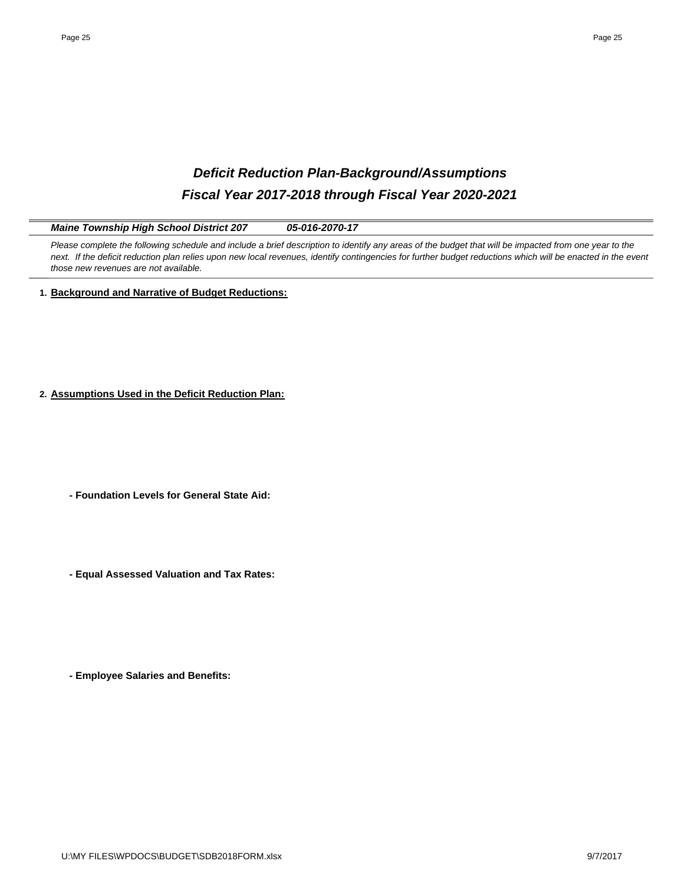# *Deficit Reduction Plan-Background/Assumptions Fiscal Year 2017-2018 through Fiscal Year 2020-2021*

*Maine Township High School District 207 05-016-2070-17*

Please complete the following schedule and include a brief description to identify any areas of the budget that will be impacted from one year to the *next. If the deficit reduction plan relies upon new local revenues, identify contingencies for further budget reductions which will be enacted in the event those new revenues are not available.* 

**1. Background and Narrative of Budget Reductions:**

**2. Assumptions Used in the Deficit Reduction Plan:**

**- Foundation Levels for General State Aid:**

**- Equal Assessed Valuation and Tax Rates:**

**- Employee Salaries and Benefits:**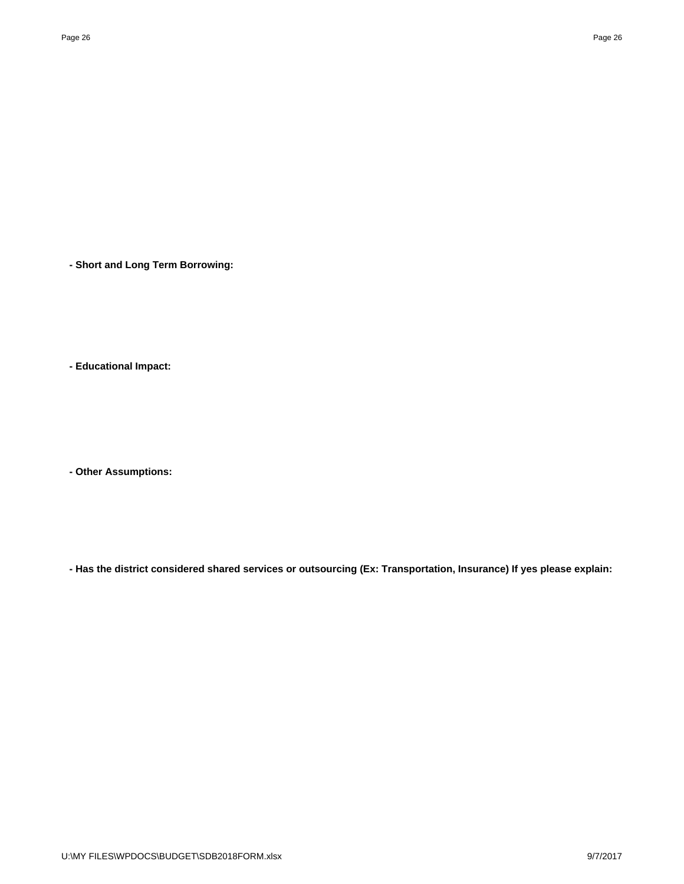**- Short and Long Term Borrowing:**

**- Educational Impact:**

**- Other Assumptions:**

**- Has the district considered shared services or outsourcing (Ex: Transportation, Insurance) If yes please explain:**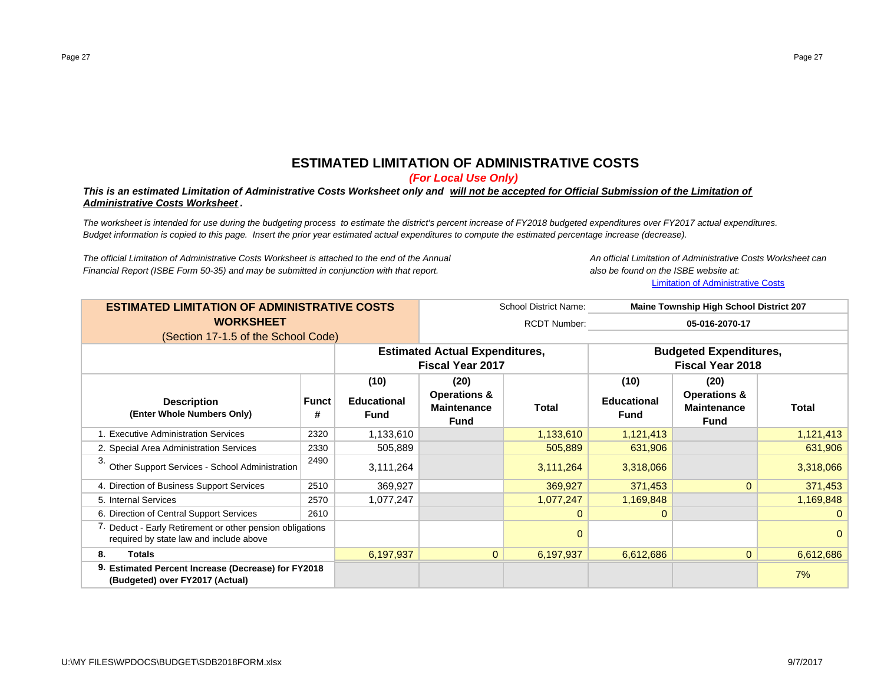# **ESTIMATED LIMITATION OF ADMINISTRATIVE COSTS**

*(For Local Use Only)*

#### *This is an estimated Limitation of Administrative Costs Worksheet only and will not be accepted for Official Submission of the Limitation of Administrative Costs Worksheet .*

*The worksheet is intended for use during the budgeting process to estimate the district's percent increase of FY2018 budgeted expenditures over FY2017 actual expenditures. Budget information is copied to this page. Insert the prior year estimated actual expenditures to compute the estimated percentage increase (decrease).*

*The official Limitation of Administrative Costs Worksheet is attached to the end of the Annual An official Limitation of Administrative Costs Worksheet canFinancial Report (ISBE Form 50-35) and may be submitted in conjunction with that report. also be found on the ISBE website at:*

Limitation of Administrative Costs

| <b>ESTIMATED LIMITATION OF ADMINISTRATIVE COSTS</b>                                                  |                   |                                   | School District Name:<br><b>Maine Township High School District 207</b> |           |                                   |                                                              |              |
|------------------------------------------------------------------------------------------------------|-------------------|-----------------------------------|-------------------------------------------------------------------------|-----------|-----------------------------------|--------------------------------------------------------------|--------------|
| <b>WORKSHEET</b>                                                                                     |                   |                                   | <b>RCDT Number:</b><br>05-016-2070-17                                   |           |                                   |                                                              |              |
| (Section 17-1.5 of the School Code)                                                                  |                   |                                   |                                                                         |           |                                   |                                                              |              |
|                                                                                                      |                   |                                   | <b>Estimated Actual Expenditures,</b>                                   |           | <b>Budgeted Expenditures,</b>     |                                                              |              |
|                                                                                                      |                   |                                   | <b>Fiscal Year 2017</b>                                                 |           | <b>Fiscal Year 2018</b>           |                                                              |              |
|                                                                                                      |                   | (10)                              | (20)                                                                    |           | (10)                              | (20)                                                         |              |
| <b>Description</b><br>(Enter Whole Numbers Only)                                                     | <b>Funct</b><br># | <b>Educational</b><br><b>Fund</b> | <b>Operations &amp;</b><br><b>Maintenance</b><br><b>Fund</b>            | Total     | <b>Educational</b><br><b>Fund</b> | <b>Operations &amp;</b><br><b>Maintenance</b><br><b>Fund</b> | <b>Total</b> |
| 1. Executive Administration Services                                                                 | 2320              | 1,133,610                         |                                                                         | 1,133,610 | 1,121,413                         |                                                              | 1,121,413    |
| 2. Special Area Administration Services                                                              | 2330              | 505,889                           |                                                                         | 505,889   | 631,906                           |                                                              | 631,906      |
| 3.<br>Other Support Services - School Administration                                                 | 2490              | 3,111,264                         |                                                                         | 3,111,264 | 3,318,066                         |                                                              | 3,318,066    |
| 4. Direction of Business Support Services                                                            | 2510              | 369,927                           |                                                                         | 369,927   | 371,453                           | $\Omega$                                                     | 371,453      |
| 5. Internal Services                                                                                 | 2570              | 1,077,247                         |                                                                         | 1,077,247 | 1,169,848                         |                                                              | 1,169,848    |
| 6. Direction of Central Support Services                                                             | 2610              |                                   |                                                                         | $\Omega$  | $\Omega$                          |                                                              |              |
| 7. Deduct - Early Retirement or other pension obligations<br>required by state law and include above |                   |                                   | 0                                                                       |           |                                   | $\Omega$                                                     |              |
| 6,197,937<br><b>Totals</b><br>8.                                                                     |                   | $\mathbf{0}$                      | 6,197,937                                                               | 6,612,686 | $\mathbf{0}$                      | 6,612,686                                                    |              |
| 9. Estimated Percent Increase (Decrease) for FY2018<br>(Budgeted) over FY2017 (Actual)               |                   |                                   |                                                                         |           |                                   |                                                              | 7%           |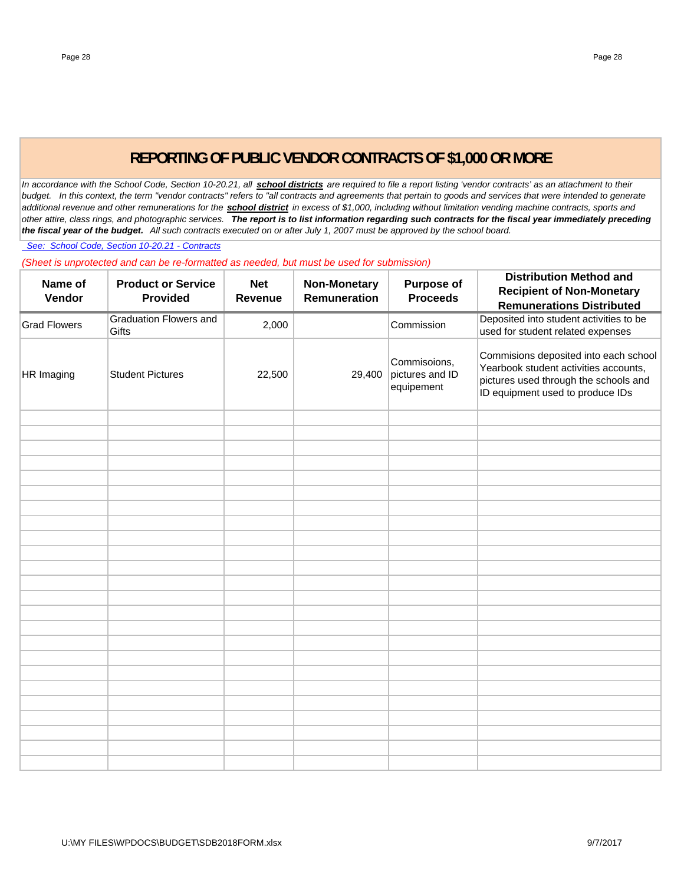# **REPORTING OF PUBLIC VENDOR CONTRACTS OF \$1,000 OR MORE**

In accordance with the School Code, Section 10-20.21, all **school districts** are required to file a report listing 'vendor contracts' as an attachment to their *budget. In this context, the term "vendor contracts" refers to "all contracts and agreements that pertain to goods and services that were intended to generate additional revenue and other remunerations for the school district in excess of \$1,000, including without limitation vending machine contracts, sports and other attire, class rings, and photographic services. The report is to list information regarding such contracts for the fiscal year immediately preceding the fiscal year of the budget. All such contracts executed on or after July 1, 2007 must be approved by the school board.*

 *See: School Code, Section 10-20.21 - Contracts*

*(Sheet is unprotected and can be re-formatted as needed, but must be used for submission)*

| Name of<br>Vendor   | <b>Product or Service</b><br><b>Provided</b> | <b>Net</b><br><b>Revenue</b> | <b>Non-Monetary</b><br>Remuneration | <b>Purpose of</b><br><b>Proceeds</b>          | <b>Distribution Method and</b><br><b>Recipient of Non-Monetary</b><br><b>Remunerations Distributed</b>                                                      |
|---------------------|----------------------------------------------|------------------------------|-------------------------------------|-----------------------------------------------|-------------------------------------------------------------------------------------------------------------------------------------------------------------|
| <b>Grad Flowers</b> | <b>Graduation Flowers and</b><br>Gifts       | 2,000                        |                                     | Commission                                    | Deposited into student activities to be<br>used for student related expenses                                                                                |
| HR Imaging          | <b>Student Pictures</b>                      | 22,500                       | 29,400                              | Commisoions,<br>pictures and ID<br>equipement | Commisions deposited into each school<br>Yearbook student activities accounts,<br>pictures used through the schools and<br>ID equipment used to produce IDs |
|                     |                                              |                              |                                     |                                               |                                                                                                                                                             |
|                     |                                              |                              |                                     |                                               |                                                                                                                                                             |
|                     |                                              |                              |                                     |                                               |                                                                                                                                                             |
|                     |                                              |                              |                                     |                                               |                                                                                                                                                             |
|                     |                                              |                              |                                     |                                               |                                                                                                                                                             |
|                     |                                              |                              |                                     |                                               |                                                                                                                                                             |
|                     |                                              |                              |                                     |                                               |                                                                                                                                                             |
|                     |                                              |                              |                                     |                                               |                                                                                                                                                             |
|                     |                                              |                              |                                     |                                               |                                                                                                                                                             |
|                     |                                              |                              |                                     |                                               |                                                                                                                                                             |
|                     |                                              |                              |                                     |                                               |                                                                                                                                                             |
|                     |                                              |                              |                                     |                                               |                                                                                                                                                             |
|                     |                                              |                              |                                     |                                               |                                                                                                                                                             |
|                     |                                              |                              |                                     |                                               |                                                                                                                                                             |
|                     |                                              |                              |                                     |                                               |                                                                                                                                                             |
|                     |                                              |                              |                                     |                                               |                                                                                                                                                             |
|                     |                                              |                              |                                     |                                               |                                                                                                                                                             |
|                     |                                              |                              |                                     |                                               |                                                                                                                                                             |
|                     |                                              |                              |                                     |                                               |                                                                                                                                                             |
|                     |                                              |                              |                                     |                                               |                                                                                                                                                             |
|                     |                                              |                              |                                     |                                               |                                                                                                                                                             |
|                     |                                              |                              |                                     |                                               |                                                                                                                                                             |
|                     |                                              |                              |                                     |                                               |                                                                                                                                                             |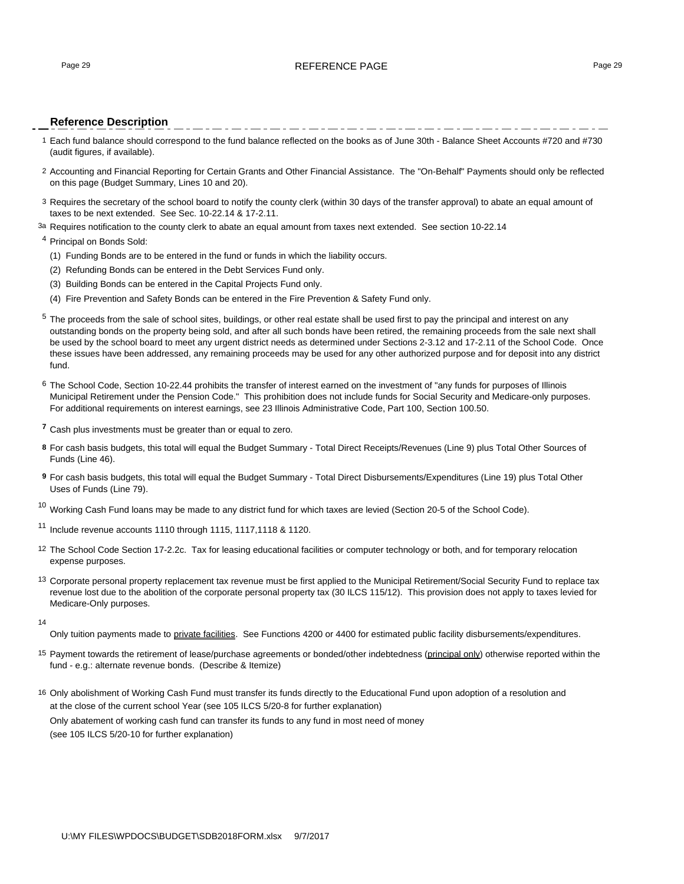#### Page 29 **REFERENCE PAGE 20** REFERENCE PAGE 29

#### **Reference Description**

- 1 Each fund balance should correspond to the fund balance reflected on the books as of June 30th Balance Sheet Accounts #720 and #730 (audit figures, if available).
- 2 Accounting and Financial Reporting for Certain Grants and Other Financial Assistance. The "On-Behalf" Payments should only be reflected on this page (Budget Summary, Lines 10 and 20).
- 3 Requires the secretary of the school board to notify the county clerk (within 30 days of the transfer approval) to abate an equal amount of taxes to be next extended. See Sec. 10-22.14 & 17-2.11.
- 3a Requires notification to the county clerk to abate an equal amount from taxes next extended. See section 10-22.14

#### <sup>4</sup> Principal on Bonds Sold:

- (1) Funding Bonds are to be entered in the fund or funds in which the liability occurs.
- (2) Refunding Bonds can be entered in the Debt Services Fund only.
- (3) Building Bonds can be entered in the Capital Projects Fund only.
- (4) Fire Prevention and Safety Bonds can be entered in the Fire Prevention & Safety Fund only.
- <sup>5</sup> The proceeds from the sale of school sites, buildings, or other real estate shall be used first to pay the principal and interest on any outstanding bonds on the property being sold, and after all such bonds have been retired, the remaining proceeds from the sale next shall be used by the school board to meet any urgent district needs as determined under Sections 2-3.12 and 17-2.11 of the School Code. Once these issues have been addressed, any remaining proceeds may be used for any other authorized purpose and for deposit into any district fund.
- 6 The School Code, Section 10-22.44 prohibits the transfer of interest earned on the investment of "any funds for purposes of Illinois Municipal Retirement under the Pension Code." This prohibition does not include funds for Social Security and Medicare-only purposes. For additional requirements on interest earnings, see 23 Illinois Administrative Code, Part 100, Section 100.50.
- **<sup>7</sup>** Cash plus investments must be greater than or equal to zero.
- **8** For cash basis budgets, this total will equal the Budget Summary Total Direct Receipts/Revenues (Line 9) plus Total Other Sources of Funds (Line 46).
- **9** For cash basis budgets, this total will equal the Budget Summary Total Direct Disbursements/Expenditures (Line 19) plus Total Other Uses of Funds (Line 79).

 $10$  Working Cash Fund loans may be made to any district fund for which taxes are levied (Section 20-5 of the School Code).

<sup>11</sup> Include revenue accounts 1110 through 1115, 1117,1118 & 1120.

- 12 The School Code Section 17-2.2c. Tax for leasing educational facilities or computer technology or both, and for temporary relocation expense purposes.
- <sup>13</sup> Corporate personal property replacement tax revenue must be first applied to the Municipal Retirement/Social Security Fund to replace tax revenue lost due to the abolition of the corporate personal property tax (30 ILCS 115/12). This provision does not apply to taxes levied for Medicare-Only purposes.
- 14

Only tuition payments made to private facilities. See Functions 4200 or 4400 for estimated public facility disbursements/expenditures.

- 15 Payment towards the retirement of lease/purchase agreements or bonded/other indebtedness (principal only) otherwise reported within the fund - e.g.: alternate revenue bonds. (Describe & Itemize)
- 16 Only abolishment of Working Cash Fund must transfer its funds directly to the Educational Fund upon adoption of a resolution and at the close of the current school Year (see 105 ILCS 5/20-8 for further explanation) Only abatement of working cash fund can transfer its funds to any fund in most need of money (see 105 ILCS 5/20-10 for further explanation)